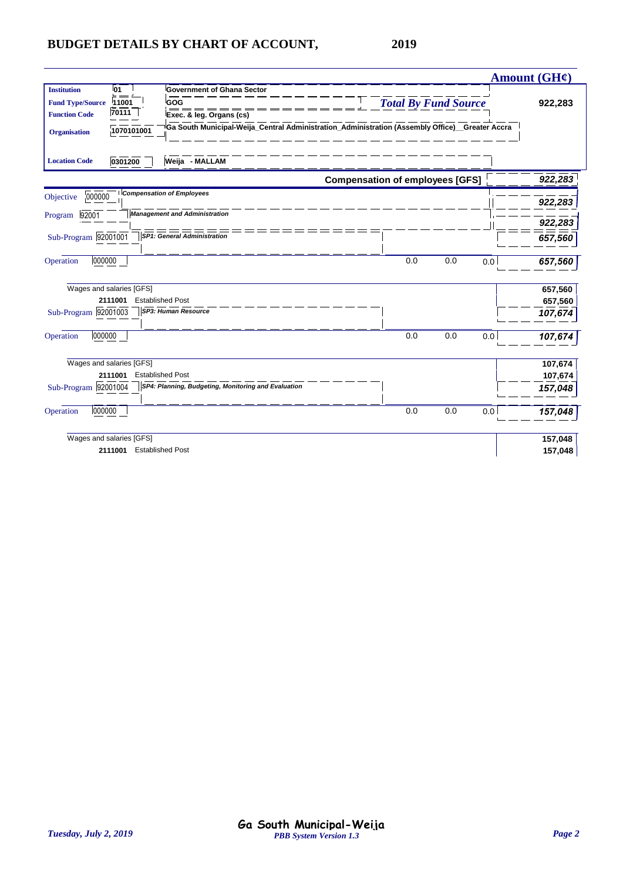|                         |                          |                                                                                                |                                        |                             |     | <b>Amount (GH¢)</b> |
|-------------------------|--------------------------|------------------------------------------------------------------------------------------------|----------------------------------------|-----------------------------|-----|---------------------|
| <b>Institution</b>      | 01                       | <b>Government of Ghana Sector</b>                                                              |                                        |                             |     |                     |
| <b>Fund Type/Source</b> | 11001                    | GOG                                                                                            |                                        | <b>Total By Fund Source</b> |     | 922,283             |
| <b>Function Code</b>    | 70111                    | Exec. & leg. Organs (cs)                                                                       |                                        |                             |     |                     |
| <b>Organisation</b>     | 1070101001               | Ga South Municipal-Weija_Central Administration_Administration (Assembly Office)_Greater Accra |                                        |                             |     |                     |
| <b>Location Code</b>    | 0301200                  | Weija - MALLAM                                                                                 |                                        |                             |     |                     |
|                         |                          |                                                                                                | <b>Compensation of employees [GFS]</b> |                             |     | 922,283             |
| 000000<br>Objective     |                          | <b>Compensation of Employees</b>                                                               |                                        |                             |     | 922,283             |
| 92001<br>Program        |                          | <b>Management and Administration</b>                                                           |                                        |                             |     | 922,283             |
| Sub-Program 92001001    |                          | <b>SP1: General Administration</b>                                                             |                                        |                             |     | 657,560             |
| 000000<br>Operation     |                          |                                                                                                | 0.0                                    | 0.0                         | 0.0 | 657,560             |
|                         | Wages and salaries [GFS] |                                                                                                |                                        |                             |     | 657,560             |
|                         | 2111001                  | <b>Established Post</b>                                                                        |                                        |                             |     | 657,560             |
| Sub-Program 92001003    |                          | <b>SP3: Human Resource</b>                                                                     |                                        |                             |     | 107,674             |
| 000000<br>Operation     |                          |                                                                                                | 0.0                                    | 0.0                         | 0.0 | 107,674             |
|                         | Wages and salaries [GFS] |                                                                                                |                                        |                             |     | 107,674             |
|                         | 2111001                  | <b>Established Post</b>                                                                        |                                        |                             |     | 107,674             |
| Sub-Program 92001004    |                          | SP4: Planning, Budgeting, Monitoring and Evaluation                                            |                                        |                             |     | 157,048             |
| 000000<br>Operation     |                          |                                                                                                | 0.0                                    | 0.0                         | 0.0 | 157,048             |
|                         | Wages and salaries [GFS] |                                                                                                |                                        |                             |     | 157,048             |
|                         | 2111001                  | <b>Established Post</b>                                                                        |                                        |                             |     | 157,048             |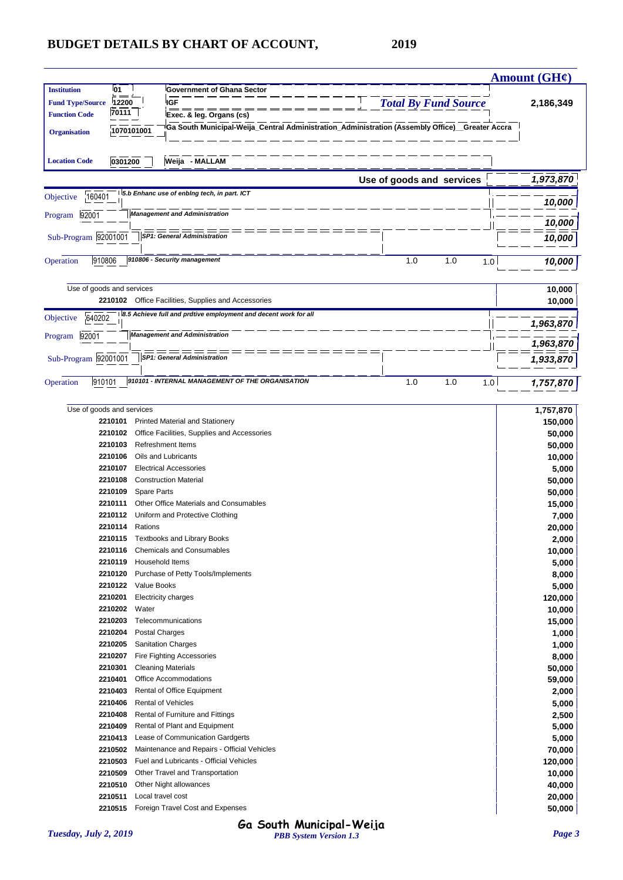|                           |                    |                   |                                             |                                                                 |                                                                                                 |                             |     |     | <b>Amount (GH¢)</b> |
|---------------------------|--------------------|-------------------|---------------------------------------------|-----------------------------------------------------------------|-------------------------------------------------------------------------------------------------|-----------------------------|-----|-----|---------------------|
| <b>Institution</b>        | <b>01</b>          |                   |                                             | Government of Ghana Sector                                      |                                                                                                 |                             |     |     |                     |
| <b>Fund Type/Source</b>   | 12200              |                   | <b>IGF</b>                                  |                                                                 |                                                                                                 | <b>Total By Fund Source</b> |     |     | 2,186,349           |
| <b>Function Code</b>      | 70111              |                   | Exec. & leg. Organs (cs)                    |                                                                 |                                                                                                 |                             |     |     |                     |
| <b>Organisation</b>       |                    | 1070101001        |                                             |                                                                 | Ga South Municipal-Weija_Central Administration_Administration (Assembly Office)__Greater Accra |                             |     |     |                     |
|                           |                    |                   |                                             |                                                                 |                                                                                                 |                             |     |     |                     |
| <b>Location Code</b>      | 0301200            |                   | Weija - MALLAM                              |                                                                 |                                                                                                 |                             |     |     |                     |
|                           |                    |                   |                                             |                                                                 |                                                                                                 |                             |     |     |                     |
|                           |                    |                   |                                             |                                                                 |                                                                                                 | Use of goods and services   |     |     | 1,973,870           |
| 160401<br>Objective       |                    |                   | 5.b Enhanc use of enbing tech, in part. ICT |                                                                 |                                                                                                 |                             |     |     |                     |
|                           |                    |                   | <b>Management and Administration</b>        |                                                                 |                                                                                                 |                             |     |     | 10,000              |
| 92001<br>Program          |                    |                   |                                             |                                                                 |                                                                                                 |                             |     |     | 10,000              |
| Sub-Program 92001001      |                    |                   | <b>SP1: General Administration</b>          |                                                                 |                                                                                                 |                             |     |     | 10,000              |
|                           |                    |                   |                                             |                                                                 |                                                                                                 |                             |     |     |                     |
| 910806<br>Operation       |                    |                   | 910806 - Security management                |                                                                 |                                                                                                 | 1.0                         | 1.0 | 1.0 | 10,000              |
|                           |                    |                   |                                             |                                                                 |                                                                                                 |                             |     |     |                     |
| Use of goods and services |                    |                   |                                             |                                                                 |                                                                                                 |                             |     |     | 10,000              |
|                           |                    |                   |                                             | 2210102 Office Facilities, Supplies and Accessories             |                                                                                                 |                             |     |     | 10,000              |
| 640202<br>Objective       |                    |                   |                                             | 8.5 Achieve full and prdtive employment and decent work for all |                                                                                                 |                             |     |     |                     |
|                           |                    |                   |                                             |                                                                 |                                                                                                 |                             |     |     | 1,963,870           |
| 92001<br>Program          |                    |                   | <b>Management and Administration</b>        |                                                                 |                                                                                                 |                             |     |     | 1,963,870           |
|                           |                    |                   | <b>SP1: General Administration</b>          |                                                                 |                                                                                                 |                             |     |     |                     |
| Sub-Program 92001001      |                    |                   |                                             |                                                                 |                                                                                                 |                             |     |     | 1,933,870           |
| 910101<br>Operation       |                    |                   |                                             | 910101 - INTERNAL MANAGEMENT OF THE ORGANISATION                |                                                                                                 | 1.0                         | 1.0 | 1.0 |                     |
|                           |                    |                   |                                             |                                                                 |                                                                                                 |                             |     |     | 1,757,870           |
|                           |                    |                   |                                             |                                                                 |                                                                                                 |                             |     |     |                     |
| Use of goods and services |                    |                   |                                             |                                                                 |                                                                                                 |                             |     |     | 1,757,870           |
|                           | 2210101<br>2210102 |                   | Printed Material and Stationery             |                                                                 |                                                                                                 |                             |     |     | 150,000             |
|                           | 2210103            |                   | <b>Refreshment Items</b>                    | Office Facilities, Supplies and Accessories                     |                                                                                                 |                             |     |     | 50,000              |
|                           | 2210106            |                   | Oils and Lubricants                         |                                                                 |                                                                                                 |                             |     |     | 50,000              |
|                           | 2210107            |                   | <b>Electrical Accessories</b>               |                                                                 |                                                                                                 |                             |     |     | 10,000              |
|                           | 2210108            |                   | <b>Construction Material</b>                |                                                                 |                                                                                                 |                             |     |     | 5,000               |
|                           | 2210109            | Spare Parts       |                                             |                                                                 |                                                                                                 |                             |     |     | 50,000              |
|                           | 2210111            |                   | Other Office Materials and Consumables      |                                                                 |                                                                                                 |                             |     |     | 50,000<br>15,000    |
|                           | 2210112            |                   | Uniform and Protective Clothing             |                                                                 |                                                                                                 |                             |     |     | 7,000               |
|                           | 2210114            | Rations           |                                             |                                                                 |                                                                                                 |                             |     |     | 20,000              |
|                           |                    |                   | 2210115 Textbooks and Library Books         |                                                                 |                                                                                                 |                             |     |     | 2,000               |
|                           |                    |                   | 2210116 Chemicals and Consumables           |                                                                 |                                                                                                 |                             |     |     | 10,000              |
|                           | 2210119            | Household Items   |                                             |                                                                 |                                                                                                 |                             |     |     | 5,000               |
|                           | 2210120            |                   | Purchase of Petty Tools/Implements          |                                                                 |                                                                                                 |                             |     |     | 8,000               |
|                           | 2210122            | Value Books       |                                             |                                                                 |                                                                                                 |                             |     |     | 5,000               |
|                           | 2210201            |                   | <b>Electricity charges</b>                  |                                                                 |                                                                                                 |                             |     |     | 120,000             |
|                           | 2210202            | Water             |                                             |                                                                 |                                                                                                 |                             |     |     | 10,000              |
|                           | 2210203            |                   | Telecommunications                          |                                                                 |                                                                                                 |                             |     |     | 15,000              |
|                           | 2210204            | Postal Charges    |                                             |                                                                 |                                                                                                 |                             |     |     | 1,000               |
|                           | 2210205            |                   | <b>Sanitation Charges</b>                   |                                                                 |                                                                                                 |                             |     |     | 1,000               |
|                           | 2210207            |                   | <b>Fire Fighting Accessories</b>            |                                                                 |                                                                                                 |                             |     |     | 8,000               |
|                           | 2210301            |                   | <b>Cleaning Materials</b>                   |                                                                 |                                                                                                 |                             |     |     | 50,000              |
|                           | 2210401            |                   | Office Accommodations                       |                                                                 |                                                                                                 |                             |     |     | 59,000              |
|                           | 2210403            |                   | Rental of Office Equipment                  |                                                                 |                                                                                                 |                             |     |     | 2,000               |
|                           | 2210406            |                   | <b>Rental of Vehicles</b>                   |                                                                 |                                                                                                 |                             |     |     | 5,000               |
|                           | 2210408            |                   | Rental of Furniture and Fittings            |                                                                 |                                                                                                 |                             |     |     | 2,500               |
|                           | 2210409            |                   | Rental of Plant and Equipment               |                                                                 |                                                                                                 |                             |     |     | 5,000               |
|                           | 2210413            |                   | Lease of Communication Gardgerts            |                                                                 |                                                                                                 |                             |     |     | 5,000               |
|                           | 2210502            |                   |                                             | Maintenance and Repairs - Official Vehicles                     |                                                                                                 |                             |     |     | 70,000              |
|                           | 2210503            |                   | Fuel and Lubricants - Official Vehicles     |                                                                 |                                                                                                 |                             |     |     | 120,000             |
|                           | 2210509            |                   | Other Travel and Transportation             |                                                                 |                                                                                                 |                             |     |     | 10,000              |
|                           | 2210510<br>2210511 | Local travel cost | Other Night allowances                      |                                                                 |                                                                                                 |                             |     |     | 40,000              |
|                           |                    |                   | 2210515 Foreign Travel Cost and Expenses    |                                                                 |                                                                                                 |                             |     |     | 20,000              |
|                           |                    |                   |                                             |                                                                 |                                                                                                 |                             |     |     | 50,000              |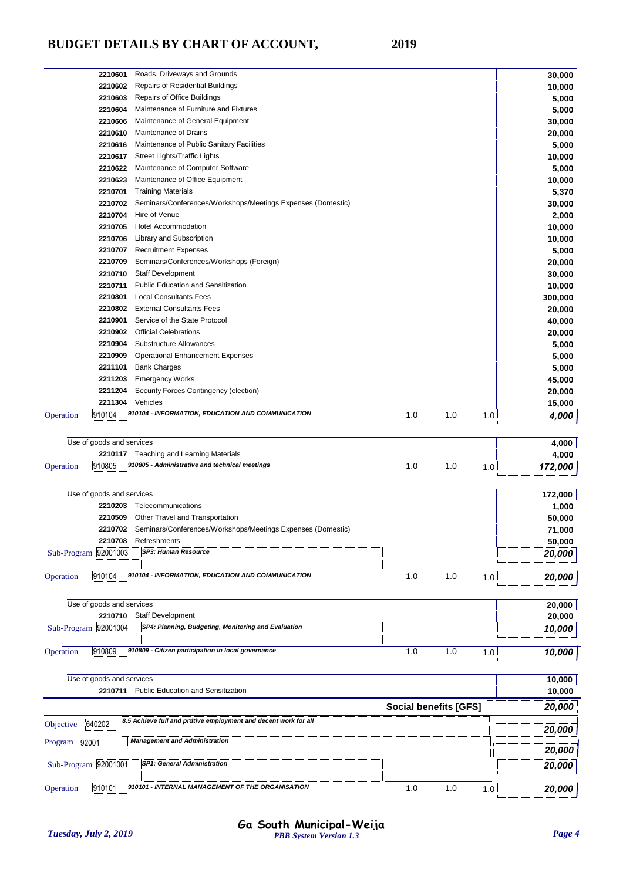| Sub-Program 92001001      | <b>SP1: General Administration</b>                                                        |                              |     |     | 20,000           |
|---------------------------|-------------------------------------------------------------------------------------------|------------------------------|-----|-----|------------------|
|                           |                                                                                           |                              |     |     | 20,000           |
| Program 92001             | <b>Management and Administration</b>                                                      |                              |     |     |                  |
| 640202<br>Objective       | 8.5 Achieve full and prdtive employment and decent work for all                           |                              |     |     | 20,000           |
|                           |                                                                                           | <b>Social benefits [GFS]</b> |     |     | 20,000           |
| 2210711                   | <b>Public Education and Sensitization</b>                                                 |                              |     |     | 10,000           |
| Use of goods and services |                                                                                           |                              |     |     | 10,000           |
| 910809<br>Operation       |                                                                                           | 1.0                          | 1.0 | 1.0 | 10,000           |
|                           | 910809 - Citizen participation in local governance                                        |                              |     |     |                  |
| Sub-Program 92001004      | SP4: Planning, Budgeting, Monitoring and Evaluation                                       |                              |     |     | 10,000           |
| 2210710                   | <b>Staff Development</b>                                                                  |                              |     |     | 20,000           |
| Use of goods and services |                                                                                           |                              |     |     | 20,000           |
|                           |                                                                                           |                              |     |     |                  |
| 910104<br>Operation       | 910104 - INFORMATION, EDUCATION AND COMMUNICATION                                         | 1.0                          | 1.0 | 1.0 | 20,000           |
| Sub-Program 92001003      | SP3: Human Resource                                                                       |                              |     |     | 20,000           |
| 2210708                   | Refreshments                                                                              |                              |     |     | 50,000           |
| 2210702                   | Seminars/Conferences/Workshops/Meetings Expenses (Domestic)                               |                              |     |     | 71,000           |
|                           | 2210509 Other Travel and Transportation                                                   |                              |     |     | 50,000           |
|                           | 2210203 Telecommunications                                                                |                              |     |     | 1,000            |
| Use of goods and services |                                                                                           |                              |     |     | 172,000          |
|                           |                                                                                           |                              |     |     |                  |
| 910805<br>Operation       | 2210117 Teaching and Learning Materials<br>910805 - Administrative and technical meetings | 1.0                          | 1.0 | 1.0 | 4,000<br>172,000 |
| Use of goods and services |                                                                                           |                              |     |     | 4,000            |
|                           |                                                                                           |                              |     |     |                  |
| 910104<br>Operation       | 910104 - INFORMATION, EDUCATION AND COMMUNICATION                                         | 1.0                          | 1.0 | 1.0 | 4,000            |
| 2211304                   | Vehicles                                                                                  |                              |     |     | 15,000           |
| 2211204                   | Security Forces Contingency (election)                                                    |                              |     |     | 20,000           |
| 2211203                   | <b>Emergency Works</b>                                                                    |                              |     |     | 45,000           |
| 2211101                   | <b>Bank Charges</b>                                                                       |                              |     |     | 5,000            |
| 2210909                   | <b>Operational Enhancement Expenses</b>                                                   |                              |     |     | 5,000            |
| 2210904                   | Substructure Allowances                                                                   |                              |     |     | 5,000            |
|                           | 2210902 Official Celebrations                                                             |                              |     |     | 40,000<br>20,000 |
| 2210901                   | 2210802 External Consultants Fees<br>Service of the State Protocol                        |                              |     |     | 20,000           |
| 2210801                   | <b>Local Consultants Fees</b>                                                             |                              |     |     | 300,000          |
| 2210711                   | <b>Public Education and Sensitization</b>                                                 |                              |     |     | 10,000           |
|                           | 2210710 Staff Development                                                                 |                              |     |     | 30,000           |
| 2210709                   | Seminars/Conferences/Workshops (Foreign)                                                  |                              |     |     | 20,000           |
|                           | 2210707 Recruitment Expenses                                                              |                              |     |     | 5,000            |
|                           | 2210706 Library and Subscription                                                          |                              |     |     | 10,000           |
| 2210704<br>2210705        | <b>Hotel Accommodation</b>                                                                |                              |     |     | 2,000<br>10,000  |
| 2210702                   | Seminars/Conferences/Workshops/Meetings Expenses (Domestic)<br>Hire of Venue              |                              |     |     | 30,000           |
| 2210701                   | <b>Training Materials</b>                                                                 |                              |     |     | 5,370            |
| 2210623                   | Maintenance of Office Equipment                                                           |                              |     |     | 10,000           |
| 2210622                   | Maintenance of Computer Software                                                          |                              |     |     | 5,000            |
| 2210617                   | Street Lights/Traffic Lights                                                              |                              |     |     | 10,000           |
| 2210616                   | Maintenance of Public Sanitary Facilities                                                 |                              |     |     | 5,000            |
| 2210610                   | Maintenance of Drains                                                                     |                              |     |     | 20,000           |
| 2210606                   | Maintenance of General Equipment                                                          |                              |     |     | 30,000           |
| 2210603<br>2210604        | Repairs of Office Buildings<br>Maintenance of Furniture and Fixtures                      |                              |     |     | 5,000<br>5,000   |
|                           |                                                                                           |                              |     |     |                  |
| 2210602                   | <b>Repairs of Residential Buildings</b>                                                   |                              |     |     | 10,000           |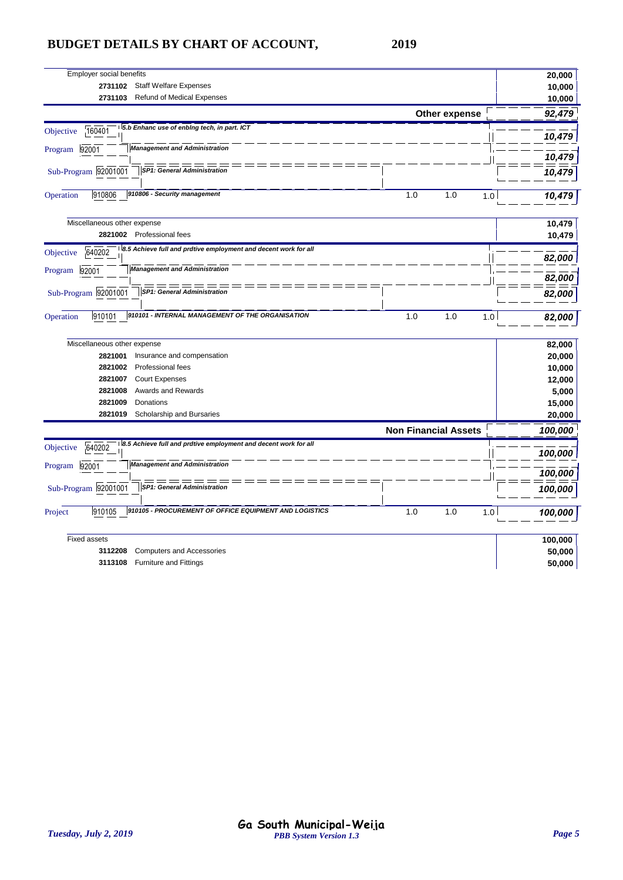| Employer social benefits                                                               |                             | 20,000         |
|----------------------------------------------------------------------------------------|-----------------------------|----------------|
| <b>Staff Welfare Expenses</b><br>2731102                                               |                             | 10,000         |
| 2731103<br><b>Refund of Medical Expenses</b>                                           |                             | 10,000         |
|                                                                                        | Other expense               | 92,479         |
| 5.b Enhanc use of enbing tech, in part. ICT<br>160401<br>Objective                     |                             | 10,479         |
| <b>Management and Administration</b><br>92001<br>Program                               |                             | 10,479         |
| Sub-Program 92001001<br><b>SP1: General Administration</b>                             |                             | 10,479         |
| 910806 - Security management<br>910806<br>Operation                                    | 1.0<br>1.0                  | 10,479<br>1.0  |
| Miscellaneous other expense                                                            |                             | 10,479         |
| 2821002 Professional fees                                                              |                             | 10,479         |
| 8.5 Achieve full and prdtive employment and decent work for all<br>Objective<br>640202 |                             | 82,000         |
| <b>Management and Administration</b><br>92001<br>Program                               |                             | 82,000         |
| Sub-Program 92001001<br><b>SP1: General Administration</b>                             |                             | 82,000         |
| 910101 - INTERNAL MANAGEMENT OF THE ORGANISATION<br>910101<br>Operation                | 1.0<br>1.0                  | 82,000<br>1.0  |
| Miscellaneous other expense                                                            |                             | 82,000         |
| Insurance and compensation<br>2821001                                                  |                             | 20,000         |
| Professional fees<br>2821002                                                           |                             | 10,000         |
| 2821007<br><b>Court Expenses</b>                                                       |                             | 12,000         |
| Awards and Rewards<br>2821008                                                          |                             | 5,000          |
| 2821009<br>Donations                                                                   |                             | 15,000         |
| 2821019<br>Scholarship and Bursaries                                                   |                             | 20,000         |
|                                                                                        | <b>Non Financial Assets</b> | 100,000        |
| 8.5 Achieve full and prdtive employment and decent work for all<br>640202<br>Objective |                             | 100,000        |
| <b>Management and Administration</b><br>92001<br>Program                               |                             | 100,000        |
| Sub-Program 92001001<br><b>SP1: General Administration</b>                             |                             | 100,000        |
| 910105 - PROCUREMENT OF OFFICE EQUIPMENT AND LOGISTICS<br>910105<br>Project            | 1.0<br>1.0                  | 1.0<br>100,000 |
| <b>Fixed assets</b>                                                                    |                             | 100,000        |
| 3112208<br><b>Computers and Accessories</b>                                            |                             | 50,000         |
| 3113108<br><b>Furniture and Fittings</b>                                               |                             | 50,000         |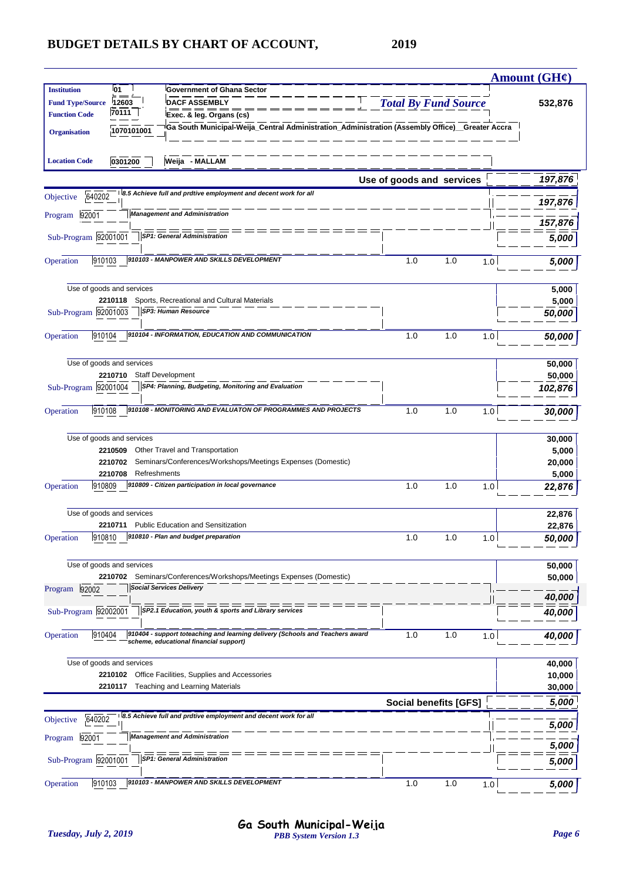|                                                 |                                      |                                                                                                 |                             |                              |     | Amount $(GH\mathcal{C})$ |
|-------------------------------------------------|--------------------------------------|-------------------------------------------------------------------------------------------------|-----------------------------|------------------------------|-----|--------------------------|
| <b>Institution</b>                              | <b>01</b>                            | <b>Government of Ghana Sector</b>                                                               |                             |                              |     |                          |
| <b>Fund Type/Source</b><br><b>Function Code</b> | 12603<br>70111                       | <b>DACF ASSEMBLY</b><br>Exec. & leg. Organs (cs)                                                | <b>Total By Fund Source</b> |                              |     | 532,876                  |
|                                                 |                                      | Ga South Municipal-Weija_Central Administration_Administration (Assembly Office)__Greater Accra |                             |                              |     |                          |
| <b>Organisation</b>                             | 1070101001                           |                                                                                                 |                             |                              |     |                          |
|                                                 |                                      |                                                                                                 |                             |                              |     |                          |
| <b>Location Code</b>                            | 0301200                              | Weija - MALLAM                                                                                  |                             |                              |     |                          |
|                                                 |                                      |                                                                                                 | Use of goods and services   |                              |     | 197,876                  |
| 640202<br>Objective                             |                                      | 8.5 Achieve full and prdtive employment and decent work for all                                 |                             |                              |     |                          |
| 92001<br>Program                                |                                      | <b>Management and Administration</b>                                                            |                             |                              |     | 197,876                  |
|                                                 |                                      |                                                                                                 |                             |                              |     | 157,876                  |
| Sub-Program 92001001                            |                                      | <b>SP1: General Administration</b>                                                              |                             |                              |     | 5,000                    |
|                                                 |                                      | 910103 - MANPOWER AND SKILLS DEVELOPMENT                                                        |                             |                              |     |                          |
| 910103<br>Operation                             |                                      |                                                                                                 | 1.0                         | 1.0                          | 1.0 | 5,000                    |
|                                                 | Use of goods and services            |                                                                                                 |                             |                              |     |                          |
|                                                 | 2210118                              | Sports, Recreational and Cultural Materials                                                     |                             |                              |     | 5,000<br>5,000           |
| Sub-Program 92001003                            |                                      | SP3: Human Resource                                                                             |                             |                              |     | 50,000                   |
|                                                 |                                      |                                                                                                 |                             |                              |     |                          |
| 910104<br>Operation                             |                                      | 910104 - INFORMATION, EDUCATION AND COMMUNICATION                                               | 1.0                         | 1.0                          | 1.0 | 50,000                   |
|                                                 |                                      |                                                                                                 |                             |                              |     |                          |
|                                                 | Use of goods and services<br>2210710 | <b>Staff Development</b>                                                                        |                             |                              |     | 50,000<br>50,000         |
| Sub-Program 92001004                            |                                      | SP4: Planning, Budgeting, Monitoring and Evaluation                                             |                             |                              |     | 102,876                  |
|                                                 |                                      |                                                                                                 |                             |                              |     |                          |
| 910108<br>Operation                             |                                      | 910108 - MONITORING AND EVALUATON OF PROGRAMMES AND PROJECTS                                    | 1.0                         | 1.0                          | 1.0 | 30,000                   |
|                                                 |                                      |                                                                                                 |                             |                              |     |                          |
|                                                 | Use of goods and services            |                                                                                                 |                             |                              |     | 30,000                   |
|                                                 | 2210509<br>2210702                   | Other Travel and Transportation<br>Seminars/Conferences/Workshops/Meetings Expenses (Domestic)  |                             |                              |     | 5,000<br>20,000          |
|                                                 | 2210708<br>Refreshments              |                                                                                                 |                             |                              |     | 5,000                    |
| 910809<br>Operation                             |                                      | 910809 - Citizen participation in local governance                                              | 1.0                         | 1.0                          | 1.0 | 22,876                   |
|                                                 |                                      |                                                                                                 |                             |                              |     |                          |
|                                                 | Use of goods and services            |                                                                                                 |                             |                              |     | 22,876                   |
|                                                 | 2210711                              | Public Education and Sensitization<br>$ 910810 $ 910810 - Plan and budget preparation           | 1.0                         | 1.0                          |     | 22,876                   |
| Operation                                       |                                      |                                                                                                 |                             |                              | 1.0 | 50,000                   |
|                                                 | Use of goods and services            |                                                                                                 |                             |                              |     | 50,000                   |
|                                                 | 2210702                              | Seminars/Conferences/Workshops/Meetings Expenses (Domestic)                                     |                             |                              |     | 50,000                   |
| Program 92002                                   |                                      | <b>Social Services Delivery</b>                                                                 |                             |                              |     |                          |
| Sub-Program 92002001                            |                                      | SP2.1 Education, youth & sports and Library services                                            |                             |                              |     | 40,000                   |
|                                                 |                                      |                                                                                                 |                             |                              |     | 40,000                   |
| 910404<br>Operation                             |                                      | 910404 - support toteaching and learning delivery (Schools and Teachers award                   | 1.0                         | 1.0                          | 1.0 | 40,000                   |
|                                                 |                                      | scheme, educational financial support)                                                          |                             |                              |     |                          |
|                                                 | Use of goods and services            |                                                                                                 |                             |                              |     | 40,000                   |
|                                                 | 2210102                              | Office Facilities, Supplies and Accessories                                                     |                             |                              |     | 10,000                   |
|                                                 | 2210117                              | <b>Teaching and Learning Materials</b>                                                          |                             |                              |     | 30,000                   |
|                                                 |                                      |                                                                                                 |                             | <b>Social benefits [GFS]</b> |     | 5,000                    |
| 640202<br>Objective                             |                                      | 8.5 Achieve full and prdtive employment and decent work for all                                 |                             |                              |     | 5,000                    |
| 92001<br>Program                                |                                      | <b>Management and Administration</b>                                                            |                             |                              |     |                          |
|                                                 |                                      |                                                                                                 |                             |                              |     | 5,000                    |
| Sub-Program 92001001                            |                                      | <b>SP1: General Administration</b>                                                              |                             |                              |     | 5,000                    |
| Operation<br>910103                             |                                      | 910103 - MANPOWER AND SKILLS DEVELOPMENT                                                        | 1.0                         | 1.0                          | 1.0 | 5,000                    |
|                                                 |                                      |                                                                                                 |                             |                              |     |                          |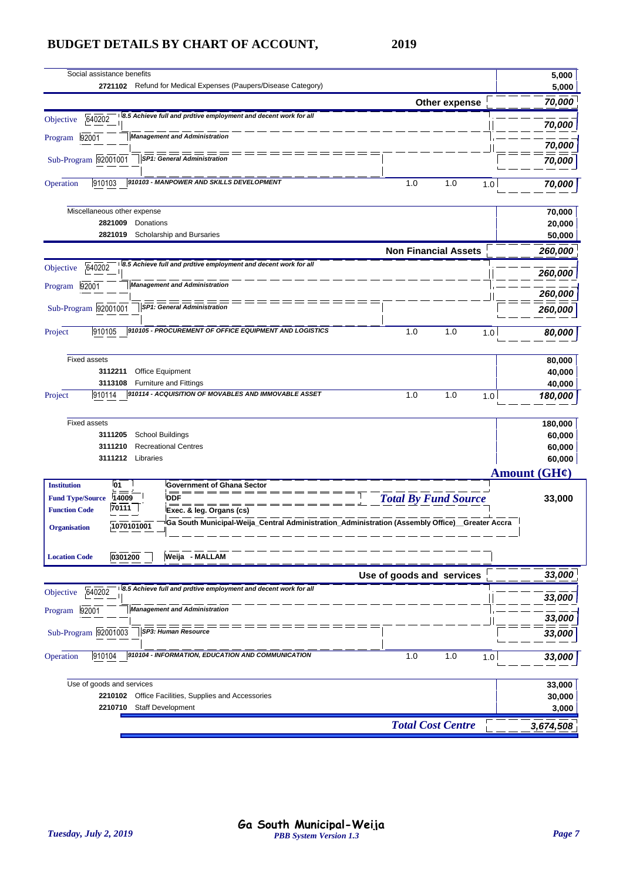| 70,000<br>Other expense<br>8.5 Achieve full and prdtive employment and decent work for all<br>640202<br>Objective<br>70,000<br><b>Management and Administration</b><br>92001<br>Program<br>70,000<br>SP1: General Administration<br>Sub-Program 92001001<br>70,000<br>910103 - MANPOWER AND SKILLS DEVELOPMENT<br>910103<br>1.0<br>Operation<br>1.0<br>1.0<br>70,000<br>Miscellaneous other expense<br>70,000<br>20,000<br>2821009<br>Donations<br>Scholarship and Bursaries<br>2821019<br>50,000<br><b>Non Financial Assets</b><br>260,000<br>8.5 Achieve full and prdtive employment and decent work for all<br>640202<br>Objective<br>260,000<br><b>Management and Administration</b><br>92001<br>Program<br>Sub-Program 92001001<br><b>SP1: General Administration</b><br>260,000<br>910105 - PROCUREMENT OF OFFICE EQUIPMENT AND LOGISTICS<br>910105<br>1.0<br>1.0<br>Project<br>1.0<br>80,000<br><b>Fixed assets</b><br>80,000<br>Office Equipment<br>40,000<br>3112211<br><b>Furniture and Fittings</b><br>3113108<br>40,000<br>910114 - ACQUISITION OF MOVABLES AND IMMOVABLE ASSET<br>1.0<br>910114<br>1.0<br>Project<br>1.0<br>180,000<br><b>Fixed assets</b><br>180,000<br><b>School Buildings</b><br>60,000<br>3111205<br>3111210<br><b>Recreational Centres</b><br>60,000<br>3111212 Libraries<br>60,000<br>Amount $(GH\ell)$<br><b>Institution</b><br><b>01</b><br><b>Government of Ghana Sector</b><br><b>Total By Fund Source</b><br><b>DDF</b><br><b>Fund Type/Source</b><br>14009<br>33,000<br>70111<br><b>Function Code</b><br>Exec. & leg. Organs (cs)<br>Ga South Municipal-Weija_Central Administration_Administration (Assembly Office)_Greater Accra<br>1070101001<br><b>Organisation</b><br>0301200<br>Weija - MALLAM<br><b>Location Code</b><br>Use of goods and services<br>8.5 Achieve full and prdtive employment and decent work for all<br>640202<br>Objective<br>33,000<br><b>Management and Administration</b><br>92001<br>Program<br>33,000<br>SP3: Human Resource<br>Sub-Program 92001003<br>33,000<br>910104 - INFORMATION, EDUCATION AND COMMUNICATION<br>910104<br>1.0<br>1.0<br>Operation<br>1.0<br>33,000<br>Use of goods and services<br>33,000<br>Office Facilities, Supplies and Accessories<br>2210102<br>30,000<br>2210710<br><b>Staff Development</b><br>3,000<br><b>Total Cost Centre</b><br>3,674,508 | Social assistance benefits<br>2721102 Refund for Medical Expenses (Paupers/Disease Category) | 5,000<br>5,000 |
|-------------------------------------------------------------------------------------------------------------------------------------------------------------------------------------------------------------------------------------------------------------------------------------------------------------------------------------------------------------------------------------------------------------------------------------------------------------------------------------------------------------------------------------------------------------------------------------------------------------------------------------------------------------------------------------------------------------------------------------------------------------------------------------------------------------------------------------------------------------------------------------------------------------------------------------------------------------------------------------------------------------------------------------------------------------------------------------------------------------------------------------------------------------------------------------------------------------------------------------------------------------------------------------------------------------------------------------------------------------------------------------------------------------------------------------------------------------------------------------------------------------------------------------------------------------------------------------------------------------------------------------------------------------------------------------------------------------------------------------------------------------------------------------------------------------------------------------------------------------------------------------------------------------------------------------------------------------------------------------------------------------------------------------------------------------------------------------------------------------------------------------------------------------------------------------------------------------------------------------------------------------------------------------------------------------------------------------------------------|----------------------------------------------------------------------------------------------|----------------|
|                                                                                                                                                                                                                                                                                                                                                                                                                                                                                                                                                                                                                                                                                                                                                                                                                                                                                                                                                                                                                                                                                                                                                                                                                                                                                                                                                                                                                                                                                                                                                                                                                                                                                                                                                                                                                                                                                                                                                                                                                                                                                                                                                                                                                                                                                                                                                       |                                                                                              |                |
|                                                                                                                                                                                                                                                                                                                                                                                                                                                                                                                                                                                                                                                                                                                                                                                                                                                                                                                                                                                                                                                                                                                                                                                                                                                                                                                                                                                                                                                                                                                                                                                                                                                                                                                                                                                                                                                                                                                                                                                                                                                                                                                                                                                                                                                                                                                                                       |                                                                                              |                |
|                                                                                                                                                                                                                                                                                                                                                                                                                                                                                                                                                                                                                                                                                                                                                                                                                                                                                                                                                                                                                                                                                                                                                                                                                                                                                                                                                                                                                                                                                                                                                                                                                                                                                                                                                                                                                                                                                                                                                                                                                                                                                                                                                                                                                                                                                                                                                       |                                                                                              |                |
|                                                                                                                                                                                                                                                                                                                                                                                                                                                                                                                                                                                                                                                                                                                                                                                                                                                                                                                                                                                                                                                                                                                                                                                                                                                                                                                                                                                                                                                                                                                                                                                                                                                                                                                                                                                                                                                                                                                                                                                                                                                                                                                                                                                                                                                                                                                                                       |                                                                                              |                |
|                                                                                                                                                                                                                                                                                                                                                                                                                                                                                                                                                                                                                                                                                                                                                                                                                                                                                                                                                                                                                                                                                                                                                                                                                                                                                                                                                                                                                                                                                                                                                                                                                                                                                                                                                                                                                                                                                                                                                                                                                                                                                                                                                                                                                                                                                                                                                       |                                                                                              |                |
|                                                                                                                                                                                                                                                                                                                                                                                                                                                                                                                                                                                                                                                                                                                                                                                                                                                                                                                                                                                                                                                                                                                                                                                                                                                                                                                                                                                                                                                                                                                                                                                                                                                                                                                                                                                                                                                                                                                                                                                                                                                                                                                                                                                                                                                                                                                                                       |                                                                                              |                |
|                                                                                                                                                                                                                                                                                                                                                                                                                                                                                                                                                                                                                                                                                                                                                                                                                                                                                                                                                                                                                                                                                                                                                                                                                                                                                                                                                                                                                                                                                                                                                                                                                                                                                                                                                                                                                                                                                                                                                                                                                                                                                                                                                                                                                                                                                                                                                       |                                                                                              |                |
|                                                                                                                                                                                                                                                                                                                                                                                                                                                                                                                                                                                                                                                                                                                                                                                                                                                                                                                                                                                                                                                                                                                                                                                                                                                                                                                                                                                                                                                                                                                                                                                                                                                                                                                                                                                                                                                                                                                                                                                                                                                                                                                                                                                                                                                                                                                                                       |                                                                                              |                |
|                                                                                                                                                                                                                                                                                                                                                                                                                                                                                                                                                                                                                                                                                                                                                                                                                                                                                                                                                                                                                                                                                                                                                                                                                                                                                                                                                                                                                                                                                                                                                                                                                                                                                                                                                                                                                                                                                                                                                                                                                                                                                                                                                                                                                                                                                                                                                       |                                                                                              |                |
|                                                                                                                                                                                                                                                                                                                                                                                                                                                                                                                                                                                                                                                                                                                                                                                                                                                                                                                                                                                                                                                                                                                                                                                                                                                                                                                                                                                                                                                                                                                                                                                                                                                                                                                                                                                                                                                                                                                                                                                                                                                                                                                                                                                                                                                                                                                                                       |                                                                                              |                |
|                                                                                                                                                                                                                                                                                                                                                                                                                                                                                                                                                                                                                                                                                                                                                                                                                                                                                                                                                                                                                                                                                                                                                                                                                                                                                                                                                                                                                                                                                                                                                                                                                                                                                                                                                                                                                                                                                                                                                                                                                                                                                                                                                                                                                                                                                                                                                       |                                                                                              |                |
|                                                                                                                                                                                                                                                                                                                                                                                                                                                                                                                                                                                                                                                                                                                                                                                                                                                                                                                                                                                                                                                                                                                                                                                                                                                                                                                                                                                                                                                                                                                                                                                                                                                                                                                                                                                                                                                                                                                                                                                                                                                                                                                                                                                                                                                                                                                                                       |                                                                                              |                |
|                                                                                                                                                                                                                                                                                                                                                                                                                                                                                                                                                                                                                                                                                                                                                                                                                                                                                                                                                                                                                                                                                                                                                                                                                                                                                                                                                                                                                                                                                                                                                                                                                                                                                                                                                                                                                                                                                                                                                                                                                                                                                                                                                                                                                                                                                                                                                       |                                                                                              | 260,000        |
|                                                                                                                                                                                                                                                                                                                                                                                                                                                                                                                                                                                                                                                                                                                                                                                                                                                                                                                                                                                                                                                                                                                                                                                                                                                                                                                                                                                                                                                                                                                                                                                                                                                                                                                                                                                                                                                                                                                                                                                                                                                                                                                                                                                                                                                                                                                                                       |                                                                                              |                |
|                                                                                                                                                                                                                                                                                                                                                                                                                                                                                                                                                                                                                                                                                                                                                                                                                                                                                                                                                                                                                                                                                                                                                                                                                                                                                                                                                                                                                                                                                                                                                                                                                                                                                                                                                                                                                                                                                                                                                                                                                                                                                                                                                                                                                                                                                                                                                       |                                                                                              |                |
|                                                                                                                                                                                                                                                                                                                                                                                                                                                                                                                                                                                                                                                                                                                                                                                                                                                                                                                                                                                                                                                                                                                                                                                                                                                                                                                                                                                                                                                                                                                                                                                                                                                                                                                                                                                                                                                                                                                                                                                                                                                                                                                                                                                                                                                                                                                                                       |                                                                                              |                |
|                                                                                                                                                                                                                                                                                                                                                                                                                                                                                                                                                                                                                                                                                                                                                                                                                                                                                                                                                                                                                                                                                                                                                                                                                                                                                                                                                                                                                                                                                                                                                                                                                                                                                                                                                                                                                                                                                                                                                                                                                                                                                                                                                                                                                                                                                                                                                       |                                                                                              |                |
|                                                                                                                                                                                                                                                                                                                                                                                                                                                                                                                                                                                                                                                                                                                                                                                                                                                                                                                                                                                                                                                                                                                                                                                                                                                                                                                                                                                                                                                                                                                                                                                                                                                                                                                                                                                                                                                                                                                                                                                                                                                                                                                                                                                                                                                                                                                                                       |                                                                                              |                |
|                                                                                                                                                                                                                                                                                                                                                                                                                                                                                                                                                                                                                                                                                                                                                                                                                                                                                                                                                                                                                                                                                                                                                                                                                                                                                                                                                                                                                                                                                                                                                                                                                                                                                                                                                                                                                                                                                                                                                                                                                                                                                                                                                                                                                                                                                                                                                       |                                                                                              |                |
|                                                                                                                                                                                                                                                                                                                                                                                                                                                                                                                                                                                                                                                                                                                                                                                                                                                                                                                                                                                                                                                                                                                                                                                                                                                                                                                                                                                                                                                                                                                                                                                                                                                                                                                                                                                                                                                                                                                                                                                                                                                                                                                                                                                                                                                                                                                                                       |                                                                                              |                |
|                                                                                                                                                                                                                                                                                                                                                                                                                                                                                                                                                                                                                                                                                                                                                                                                                                                                                                                                                                                                                                                                                                                                                                                                                                                                                                                                                                                                                                                                                                                                                                                                                                                                                                                                                                                                                                                                                                                                                                                                                                                                                                                                                                                                                                                                                                                                                       |                                                                                              |                |
|                                                                                                                                                                                                                                                                                                                                                                                                                                                                                                                                                                                                                                                                                                                                                                                                                                                                                                                                                                                                                                                                                                                                                                                                                                                                                                                                                                                                                                                                                                                                                                                                                                                                                                                                                                                                                                                                                                                                                                                                                                                                                                                                                                                                                                                                                                                                                       |                                                                                              |                |
|                                                                                                                                                                                                                                                                                                                                                                                                                                                                                                                                                                                                                                                                                                                                                                                                                                                                                                                                                                                                                                                                                                                                                                                                                                                                                                                                                                                                                                                                                                                                                                                                                                                                                                                                                                                                                                                                                                                                                                                                                                                                                                                                                                                                                                                                                                                                                       |                                                                                              |                |
|                                                                                                                                                                                                                                                                                                                                                                                                                                                                                                                                                                                                                                                                                                                                                                                                                                                                                                                                                                                                                                                                                                                                                                                                                                                                                                                                                                                                                                                                                                                                                                                                                                                                                                                                                                                                                                                                                                                                                                                                                                                                                                                                                                                                                                                                                                                                                       |                                                                                              |                |
|                                                                                                                                                                                                                                                                                                                                                                                                                                                                                                                                                                                                                                                                                                                                                                                                                                                                                                                                                                                                                                                                                                                                                                                                                                                                                                                                                                                                                                                                                                                                                                                                                                                                                                                                                                                                                                                                                                                                                                                                                                                                                                                                                                                                                                                                                                                                                       |                                                                                              |                |
|                                                                                                                                                                                                                                                                                                                                                                                                                                                                                                                                                                                                                                                                                                                                                                                                                                                                                                                                                                                                                                                                                                                                                                                                                                                                                                                                                                                                                                                                                                                                                                                                                                                                                                                                                                                                                                                                                                                                                                                                                                                                                                                                                                                                                                                                                                                                                       |                                                                                              |                |
|                                                                                                                                                                                                                                                                                                                                                                                                                                                                                                                                                                                                                                                                                                                                                                                                                                                                                                                                                                                                                                                                                                                                                                                                                                                                                                                                                                                                                                                                                                                                                                                                                                                                                                                                                                                                                                                                                                                                                                                                                                                                                                                                                                                                                                                                                                                                                       |                                                                                              |                |
|                                                                                                                                                                                                                                                                                                                                                                                                                                                                                                                                                                                                                                                                                                                                                                                                                                                                                                                                                                                                                                                                                                                                                                                                                                                                                                                                                                                                                                                                                                                                                                                                                                                                                                                                                                                                                                                                                                                                                                                                                                                                                                                                                                                                                                                                                                                                                       |                                                                                              |                |
|                                                                                                                                                                                                                                                                                                                                                                                                                                                                                                                                                                                                                                                                                                                                                                                                                                                                                                                                                                                                                                                                                                                                                                                                                                                                                                                                                                                                                                                                                                                                                                                                                                                                                                                                                                                                                                                                                                                                                                                                                                                                                                                                                                                                                                                                                                                                                       |                                                                                              |                |
|                                                                                                                                                                                                                                                                                                                                                                                                                                                                                                                                                                                                                                                                                                                                                                                                                                                                                                                                                                                                                                                                                                                                                                                                                                                                                                                                                                                                                                                                                                                                                                                                                                                                                                                                                                                                                                                                                                                                                                                                                                                                                                                                                                                                                                                                                                                                                       |                                                                                              | 33,000         |
|                                                                                                                                                                                                                                                                                                                                                                                                                                                                                                                                                                                                                                                                                                                                                                                                                                                                                                                                                                                                                                                                                                                                                                                                                                                                                                                                                                                                                                                                                                                                                                                                                                                                                                                                                                                                                                                                                                                                                                                                                                                                                                                                                                                                                                                                                                                                                       |                                                                                              |                |
|                                                                                                                                                                                                                                                                                                                                                                                                                                                                                                                                                                                                                                                                                                                                                                                                                                                                                                                                                                                                                                                                                                                                                                                                                                                                                                                                                                                                                                                                                                                                                                                                                                                                                                                                                                                                                                                                                                                                                                                                                                                                                                                                                                                                                                                                                                                                                       |                                                                                              |                |
|                                                                                                                                                                                                                                                                                                                                                                                                                                                                                                                                                                                                                                                                                                                                                                                                                                                                                                                                                                                                                                                                                                                                                                                                                                                                                                                                                                                                                                                                                                                                                                                                                                                                                                                                                                                                                                                                                                                                                                                                                                                                                                                                                                                                                                                                                                                                                       |                                                                                              |                |
|                                                                                                                                                                                                                                                                                                                                                                                                                                                                                                                                                                                                                                                                                                                                                                                                                                                                                                                                                                                                                                                                                                                                                                                                                                                                                                                                                                                                                                                                                                                                                                                                                                                                                                                                                                                                                                                                                                                                                                                                                                                                                                                                                                                                                                                                                                                                                       |                                                                                              |                |
|                                                                                                                                                                                                                                                                                                                                                                                                                                                                                                                                                                                                                                                                                                                                                                                                                                                                                                                                                                                                                                                                                                                                                                                                                                                                                                                                                                                                                                                                                                                                                                                                                                                                                                                                                                                                                                                                                                                                                                                                                                                                                                                                                                                                                                                                                                                                                       |                                                                                              |                |
|                                                                                                                                                                                                                                                                                                                                                                                                                                                                                                                                                                                                                                                                                                                                                                                                                                                                                                                                                                                                                                                                                                                                                                                                                                                                                                                                                                                                                                                                                                                                                                                                                                                                                                                                                                                                                                                                                                                                                                                                                                                                                                                                                                                                                                                                                                                                                       |                                                                                              |                |
|                                                                                                                                                                                                                                                                                                                                                                                                                                                                                                                                                                                                                                                                                                                                                                                                                                                                                                                                                                                                                                                                                                                                                                                                                                                                                                                                                                                                                                                                                                                                                                                                                                                                                                                                                                                                                                                                                                                                                                                                                                                                                                                                                                                                                                                                                                                                                       |                                                                                              |                |
|                                                                                                                                                                                                                                                                                                                                                                                                                                                                                                                                                                                                                                                                                                                                                                                                                                                                                                                                                                                                                                                                                                                                                                                                                                                                                                                                                                                                                                                                                                                                                                                                                                                                                                                                                                                                                                                                                                                                                                                                                                                                                                                                                                                                                                                                                                                                                       |                                                                                              |                |
|                                                                                                                                                                                                                                                                                                                                                                                                                                                                                                                                                                                                                                                                                                                                                                                                                                                                                                                                                                                                                                                                                                                                                                                                                                                                                                                                                                                                                                                                                                                                                                                                                                                                                                                                                                                                                                                                                                                                                                                                                                                                                                                                                                                                                                                                                                                                                       |                                                                                              |                |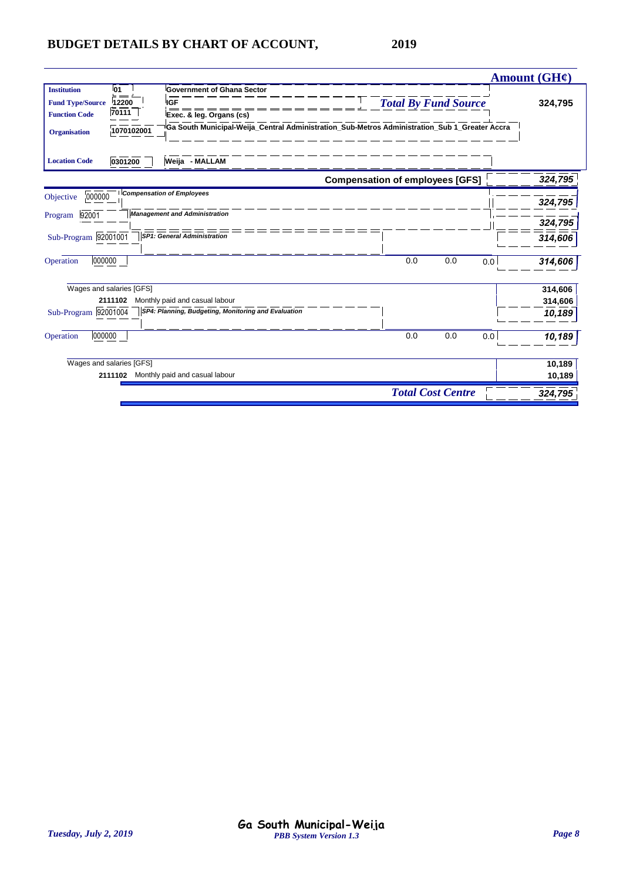|                                                                                                             |                                                                                               |                                        |                          |         | <b>Amount (GH¢)</b> |
|-------------------------------------------------------------------------------------------------------------|-----------------------------------------------------------------------------------------------|----------------------------------------|--------------------------|---------|---------------------|
| <b>Institution</b><br>01<br>12200<br><b>Fund Type/Source</b><br><b>IGF</b><br>70111<br><b>Function Code</b> | <b>Government of Ghana Sector</b><br>Exec. & leg. Organs (cs)                                 | <b>Total By Fund Source</b>            |                          | 324,795 |                     |
| 1070102001<br><b>Organisation</b><br>0301200<br>Weija - MALLAM<br><b>Location Code</b>                      | Ga South Municipal-Weija_Central Administration_Sub-Metros Administration_Sub 1_Greater Accra |                                        |                          |         |                     |
|                                                                                                             |                                                                                               | <b>Compensation of employees [GFS]</b> |                          |         | 324,795             |
| <b>Compensation of Employees</b><br>000000<br>Objective                                                     |                                                                                               |                                        |                          |         | 324,795             |
| <b>Management and Administration</b><br>92001<br>Program                                                    |                                                                                               |                                        |                          |         | 324,795             |
| <b>SP1: General Administration</b><br>Sub-Program 92001001                                                  |                                                                                               |                                        |                          |         | 314,606             |
| 000000<br>Operation                                                                                         |                                                                                               | 0.0                                    | 0.0                      | 0.0     | 314,606             |
| Wages and salaries [GFS]                                                                                    |                                                                                               |                                        |                          |         | 314,606             |
| Monthly paid and casual labour<br>2111102                                                                   |                                                                                               |                                        |                          |         | 314,606             |
| Sub-Program 92001004                                                                                        | SP4: Planning, Budgeting, Monitoring and Evaluation                                           |                                        |                          |         | 10,189              |
| 000000<br>Operation                                                                                         |                                                                                               | 0.0                                    | 0.0                      | 0.0     | 10,189              |
| Wages and salaries [GFS]                                                                                    |                                                                                               |                                        |                          |         | 10,189              |
| 2111102 Monthly paid and casual labour                                                                      |                                                                                               |                                        |                          |         | 10,189              |
|                                                                                                             |                                                                                               |                                        | <b>Total Cost Centre</b> |         | 324,795             |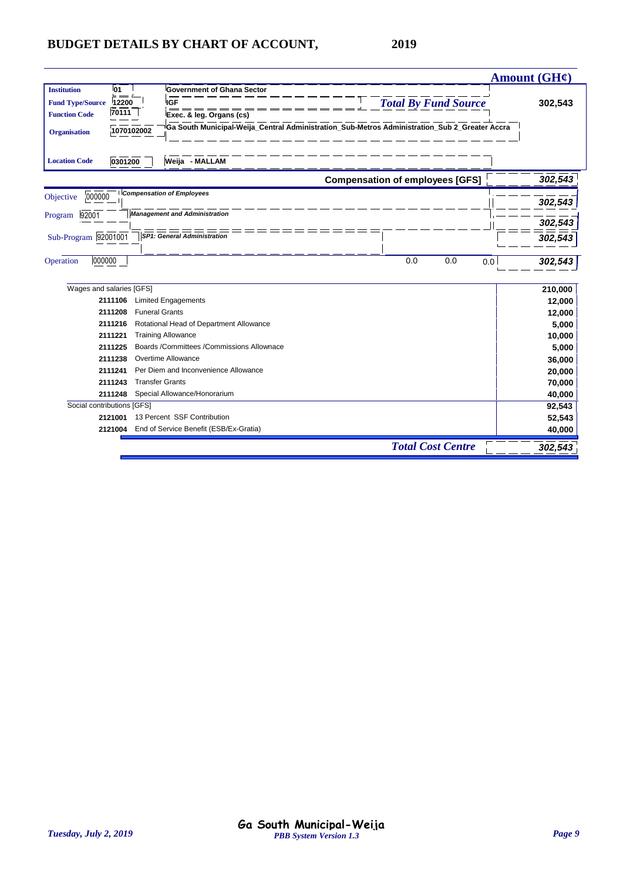|                                   |                                                                                               |                                        | <b>Amount (GH¢)</b> |
|-----------------------------------|-----------------------------------------------------------------------------------------------|----------------------------------------|---------------------|
| <b>01</b><br><b>Institution</b>   | <b>Government of Ghana Sector</b>                                                             |                                        |                     |
| <b>Fund Type/Source</b><br>12200  | IGF                                                                                           | <b>Total By Fund Source</b>            | 302,543             |
| 70111<br><b>Function Code</b>     | Exec. & leg. Organs (cs)                                                                      |                                        |                     |
| 1070102002<br><b>Organisation</b> | Ga South Municipal-Weija_Central Administration_Sub-Metros Administration_Sub 2_Greater Accra |                                        |                     |
| 0301200<br><b>Location Code</b>   | Weija - MALLAM                                                                                |                                        |                     |
|                                   |                                                                                               | <b>Compensation of employees [GFS]</b> | 302,543             |
| 000000<br>Objective               | <b>Compensation of Employees</b>                                                              |                                        | 302,543             |
| Program<br>92001                  | <b>Management and Administration</b>                                                          |                                        |                     |
|                                   |                                                                                               |                                        | 302,543             |
| Sub-Program 92001001              | <b>SP1: General Administration</b>                                                            |                                        | 302,543             |
|                                   |                                                                                               |                                        |                     |
| 000000<br>Operation               |                                                                                               | 0.0<br>0.0<br>0.0                      | 302,543             |
|                                   |                                                                                               |                                        |                     |
| Wages and salaries [GFS]          |                                                                                               |                                        | 210,000             |
| 2111106                           | <b>Limited Engagements</b>                                                                    |                                        | 12,000              |
| 2111208                           | <b>Funeral Grants</b>                                                                         |                                        | 12,000              |
| 2111216                           | Rotational Head of Department Allowance                                                       |                                        | 5,000               |
| 2111221                           | <b>Training Allowance</b>                                                                     |                                        | 10,000              |
| 2111225                           | Boards /Committees /Commissions Allownace                                                     |                                        | 5,000               |
| 2111238                           | Overtime Allowance                                                                            |                                        | 36,000              |
| 2111241                           | Per Diem and Inconvenience Allowance                                                          |                                        | 20,000              |
| 2111243                           | <b>Transfer Grants</b>                                                                        |                                        | 70,000              |
| 2111248                           | Special Allowance/Honorarium                                                                  |                                        | 40,000              |
| Social contributions [GFS]        |                                                                                               |                                        | 92,543              |
| 2121001                           | 13 Percent SSF Contribution                                                                   |                                        | 52,543              |
| 2121004                           | End of Service Benefit (ESB/Ex-Gratia)                                                        |                                        | 40,000              |
|                                   |                                                                                               | <b>Total Cost Centre</b>               | 302,543             |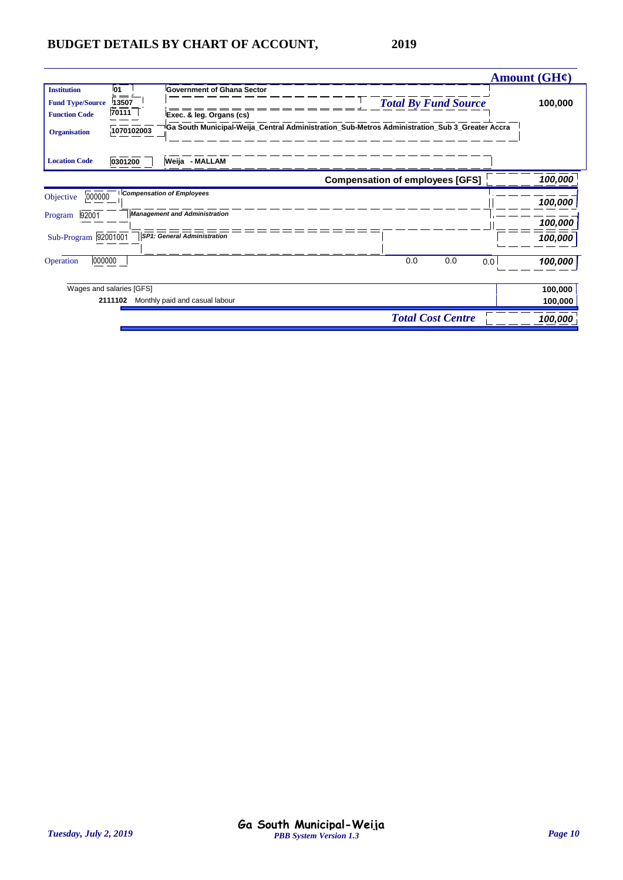|                                                                                                                                                                              |                                                                                                                                                                                  |                             |     | Amount $(GH\ell)$ |         |
|------------------------------------------------------------------------------------------------------------------------------------------------------------------------------|----------------------------------------------------------------------------------------------------------------------------------------------------------------------------------|-----------------------------|-----|-------------------|---------|
| <b>Institution</b><br><b>01</b><br>13507<br><b>Fund Type/Source</b><br>70111<br><b>Function Code</b><br>1070102003<br><b>Organisation</b><br><b>Location Code</b><br>0301200 | <b>Government of Ghana Sector</b><br>Exec. & leg. Organs (cs)<br>Ga South Municipal-Weija_Central Administration_Sub-Metros Administration_Sub 3_Greater Accra<br>Weija - MALLAM | <b>Total By Fund Source</b> |     |                   | 100,000 |
|                                                                                                                                                                              | <b>Compensation of employees [GFS]</b>                                                                                                                                           |                             |     |                   | 100,000 |
| 000000<br>Objective                                                                                                                                                          | <b>Compensation of Employees</b>                                                                                                                                                 |                             |     |                   | 100,000 |
| 92001<br>Program                                                                                                                                                             | <b>Management and Administration</b>                                                                                                                                             |                             |     |                   | 100,000 |
| Sub-Program 92001001                                                                                                                                                         | <b>SP1: General Administration</b>                                                                                                                                               |                             |     |                   | 100,000 |
| 000000<br>Operation                                                                                                                                                          |                                                                                                                                                                                  | 0.0                         | 0.0 | 0.0               | 100,000 |
| Wages and salaries [GFS]                                                                                                                                                     |                                                                                                                                                                                  |                             |     |                   | 100,000 |
| 2111102                                                                                                                                                                      | Monthly paid and casual labour                                                                                                                                                   |                             |     |                   | 100,000 |
|                                                                                                                                                                              |                                                                                                                                                                                  | <b>Total Cost Centre</b>    |     |                   | 100,000 |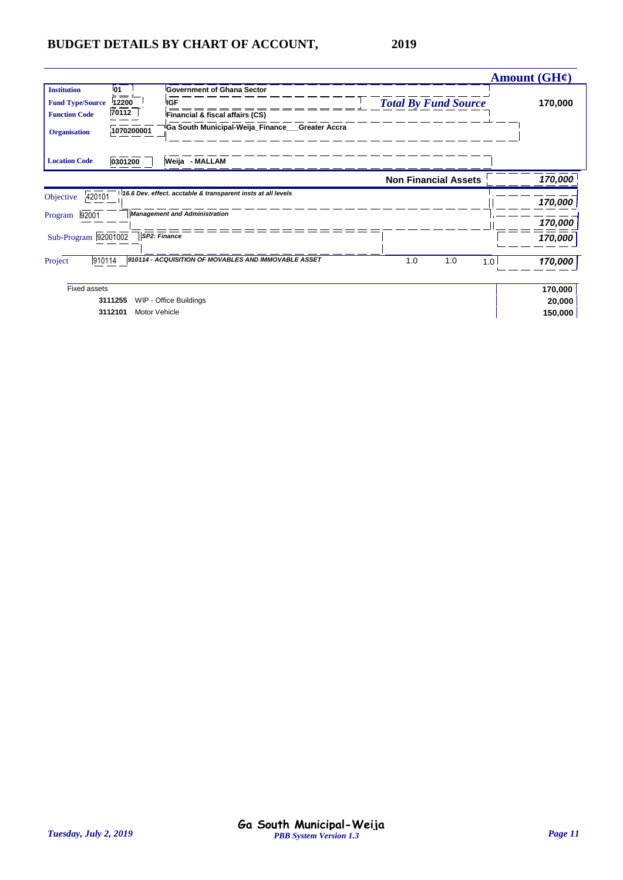|                         |                          |                                                               |                             | Amount (GH¢)   |
|-------------------------|--------------------------|---------------------------------------------------------------|-----------------------------|----------------|
| <b>Institution</b>      | 01                       | <b>Government of Ghana Sector</b>                             |                             |                |
| <b>Fund Type/Source</b> | 12200                    | <b>IGF</b>                                                    | <b>Total By Fund Source</b> | 170,000        |
| <b>Function Code</b>    | 70112                    | Financial & fiscal affairs (CS)                               |                             |                |
| <b>Organisation</b>     | 1070200001               | <sup>∥</sup> Ga South Municipal-Weija_Finance___Greater Accra |                             |                |
| <b>Location Code</b>    | 0301200                  | Weija - MALLAM                                                |                             |                |
|                         |                          |                                                               | <b>Non Financial Assets</b> | 170,000        |
| 420101<br>Objective     |                          | 16.6 Dev. effect. acctable & transparent insts at all levels  |                             |                |
|                         |                          |                                                               |                             | 170,000        |
| 92001<br>Program        |                          | <b>Management and Administration</b>                          |                             | 170,000        |
| Sub-Program 92001002    |                          | SP2: Finance                                                  |                             | 170,000        |
| 910114<br>Project       |                          | 910114 - ACQUISITION OF MOVABLES AND IMMOVABLE ASSET          | 1.0<br>1.0                  | 170,000<br>1.0 |
| <b>Fixed assets</b>     |                          |                                                               |                             | 170,000        |
|                         | 3111255                  | WIP - Office Buildings                                        |                             | 20,000         |
|                         | Motor Vehicle<br>3112101 |                                                               |                             | 150,000        |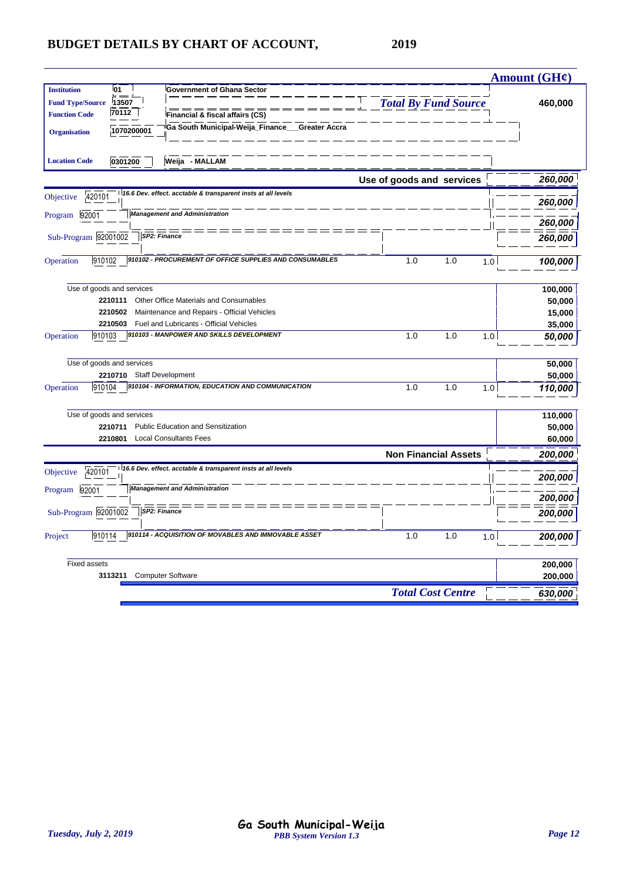|                                                                                      |                             | <b>Amount (GH¢)</b> |
|--------------------------------------------------------------------------------------|-----------------------------|---------------------|
| 01<br><b>Institution</b><br><b>Government of Ghana Sector</b>                        |                             |                     |
| 13507<br><b>Fund Type/Source</b>                                                     | <b>Total By Fund Source</b> | 460,000             |
| 70112<br><b>Function Code</b><br>Financial & fiscal affairs (CS)                     |                             |                     |
| Ga South Municipal-Weija_Finance__Greater Accra<br>1070200001<br><b>Organisation</b> |                             |                     |
|                                                                                      |                             |                     |
| 0301200<br>Weija - MALLAM<br><b>Location Code</b>                                    |                             |                     |
|                                                                                      | Use of goods and services   | 260,000             |
| 16.6 Dev. effect. acctable & transparent insts at all levels<br>420101<br>Objective  |                             |                     |
| <b>Management and Administration</b>                                                 |                             | 260,000             |
| Program 92001                                                                        |                             | 260,000             |
| SP2: Finance<br>Sub-Program 92001002                                                 |                             | 260,000             |
|                                                                                      |                             |                     |
| 910102 - PROCUREMENT OF OFFICE SUPPLIES AND CONSUMABLES<br>910102<br>Operation       | 1.0<br>1.0<br>1.0           | 100,000             |
|                                                                                      |                             |                     |
| Use of goods and services                                                            |                             | 100,000             |
| Other Office Materials and Consumables<br>2210111                                    |                             | 50,000              |
| 2210502<br>Maintenance and Repairs - Official Vehicles                               |                             | 15,000              |
| 2210503<br>Fuel and Lubricants - Official Vehicles                                   |                             | 35,000              |
| 910103 - MANPOWER AND SKILLS DEVELOPMENT<br>910103<br>Operation                      | 1.0<br>1.0<br>1.0           | 50,000              |
|                                                                                      |                             |                     |
| Use of goods and services                                                            |                             | 50,000              |
| <b>Staff Development</b><br>2210710                                                  |                             | 50,000              |
| 910104 - INFORMATION, EDUCATION AND COMMUNICATION<br>910104<br>Operation             | 1.0<br>1.0<br>1.0           | 110,000             |
| Use of goods and services                                                            |                             | 110,000             |
| 2210711<br>Public Education and Sensitization                                        |                             |                     |
| 2210801<br><b>Local Consultants Fees</b>                                             |                             | 50,000              |
|                                                                                      |                             | 60,000              |
|                                                                                      | <b>Non Financial Assets</b> | 200,000             |
| 16.6 Dev. effect. acctable & transparent insts at all levels<br>420101<br>Objective  |                             | 200,000             |
| <b>Management and Administration</b><br>Program 92001                                |                             |                     |
|                                                                                      |                             | 200,000             |
| Sub-Program 92001002<br>SP2: Finance                                                 |                             | 200,000             |
| 910114 - ACQUISITION OF MOVABLES AND IMMOVABLE ASSET<br>910114<br>Project            | 1.0<br>1.0<br>1.0           | 200,000             |
|                                                                                      |                             |                     |
| <b>Fixed assets</b>                                                                  |                             | 200,000             |
| 3113211<br><b>Computer Software</b>                                                  |                             | 200,000             |
|                                                                                      | <b>Total Cost Centre</b>    | 630,000             |
|                                                                                      |                             |                     |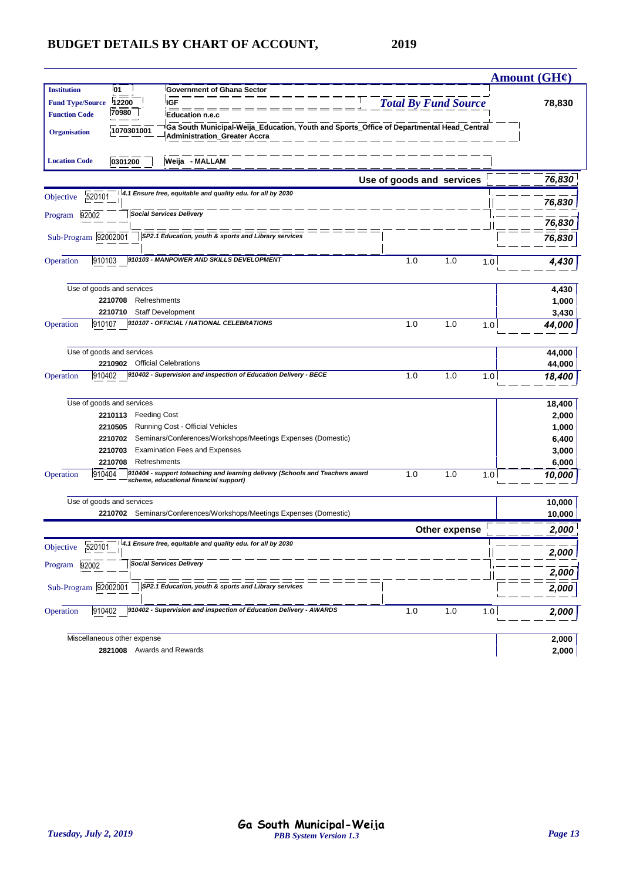|                         |                                |                                                                                                                                 |                             |               |     | Amount $(GH\ell)$ |
|-------------------------|--------------------------------|---------------------------------------------------------------------------------------------------------------------------------|-----------------------------|---------------|-----|-------------------|
| <b>Institution</b>      | <b>01</b>                      | <b>Government of Ghana Sector</b>                                                                                               |                             |               |     |                   |
| <b>Fund Type/Source</b> | 12200                          | <b>IGF</b>                                                                                                                      | <b>Total By Fund Source</b> |               |     | 78,830            |
| <b>Function Code</b>    | 70980                          | <b>Education n.e.c</b>                                                                                                          |                             |               |     |                   |
| <b>Organisation</b>     | 1070301001                     | Ga South Municipal-Weija_Education, Youth and Sports_Office of Departmental Head_Central<br><b>Administration_Greater Accra</b> |                             |               |     |                   |
| <b>Location Code</b>    | 0301200                        | Weija - MALLAM                                                                                                                  |                             |               |     |                   |
|                         |                                |                                                                                                                                 | Use of goods and services   |               |     | 76,830            |
| 520101<br>Objective     |                                | 4.1 Ensure free, equitable and quality edu. for all by 2030                                                                     |                             |               |     | 76,830            |
| 92002<br>Program        |                                | <b>Social Services Delivery</b>                                                                                                 |                             |               |     | 76,830            |
|                         |                                |                                                                                                                                 |                             |               |     |                   |
| Sub-Program 92002001    |                                | SP2.1 Education, youth & sports and Library services                                                                            |                             |               |     | 76,830            |
| 910103<br>Operation     |                                | 910103 - MANPOWER AND SKILLS DEVELOPMENT                                                                                        | 1.0                         | 1.0           | 1.0 | 4,430             |
|                         | Use of goods and services      |                                                                                                                                 |                             |               |     | 4,430             |
|                         | 2210708                        | Refreshments                                                                                                                    |                             |               |     | 1,000             |
|                         | 2210710                        | <b>Staff Development</b>                                                                                                        |                             |               |     | 3,430             |
| 910107<br>Operation     |                                | 910107 - OFFICIAL / NATIONAL CELEBRATIONS                                                                                       | 1.0                         | 1.0           | 1.0 | 44,000            |
|                         | Use of goods and services      |                                                                                                                                 |                             |               |     | 44,000            |
|                         | 2210902 Official Celebrations  |                                                                                                                                 |                             |               |     | 44,000            |
| 910402<br>Operation     |                                | 910402 - Supervision and inspection of Education Delivery - BECE                                                                | 1.0                         | 1.0           | 1.0 | 18,400            |
|                         | Use of goods and services      |                                                                                                                                 |                             |               |     | 18,400            |
|                         | 2210113<br><b>Feeding Cost</b> |                                                                                                                                 |                             |               |     | 2,000             |
|                         | 2210505                        | Running Cost - Official Vehicles                                                                                                |                             |               |     | 1,000             |
|                         | 2210702                        | Seminars/Conferences/Workshops/Meetings Expenses (Domestic)                                                                     |                             |               |     | 6,400             |
|                         | 2210703                        | <b>Examination Fees and Expenses</b>                                                                                            |                             |               |     | 3,000             |
|                         | 2210708<br>Refreshments        |                                                                                                                                 |                             |               |     | 6,000             |
| 910404<br>Operation     |                                | 910404 - support toteaching and learning delivery (Schools and Teachers award<br>scheme, educational financial support)         | 1.0                         | 1.0           | 1.0 | 10,000            |
|                         | Use of goods and services      |                                                                                                                                 |                             |               |     | 10,000            |
|                         |                                | 2210702 Seminars/Conferences/Workshops/Meetings Expenses (Domestic)                                                             |                             |               |     | 10,000            |
|                         |                                |                                                                                                                                 |                             | Other expense |     | 2,000             |
| 520101<br>Objective     |                                | 4.1 Ensure free, equitable and quality edu. for all by 2030                                                                     |                             |               |     |                   |
|                         |                                | <b>Social Services Delivery</b>                                                                                                 |                             |               |     | 2,000             |
| Program 92002           |                                |                                                                                                                                 |                             |               |     | 2,000             |
| Sub-Program 92002001    |                                | SP2.1 Education, youth & sports and Library services                                                                            |                             |               |     | 2,000             |
| 910402<br>Operation     |                                | 910402 - Supervision and inspection of Education Delivery - AWARDS                                                              | 1.0                         | 1.0           | 1.0 | 2,000             |
|                         | Miscellaneous other expense    |                                                                                                                                 |                             |               |     | 2,000             |
|                         | 2821008                        | Awards and Rewards                                                                                                              |                             |               |     | 2,000             |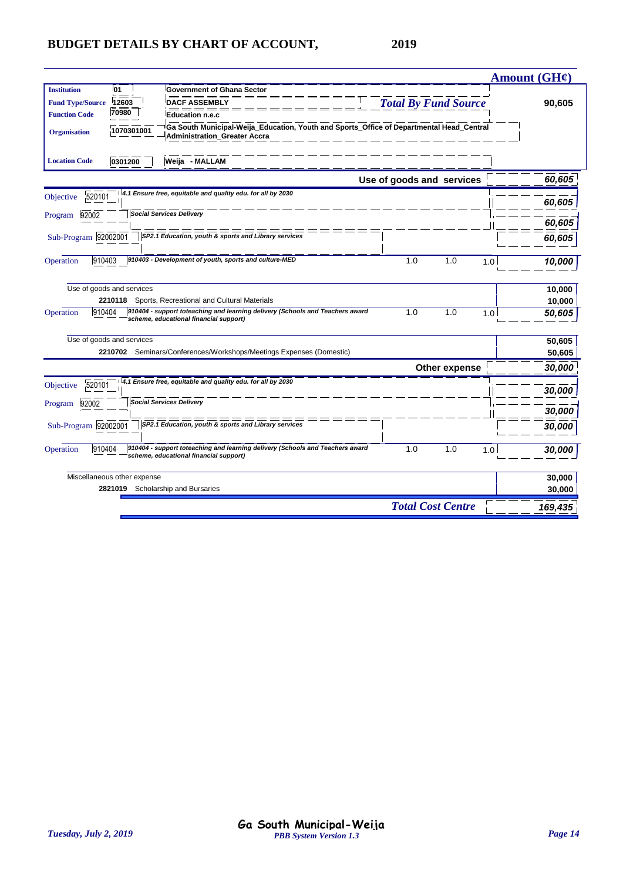|                                                                                                                                                                                                                                                                                                                                      | Amount $(GH\ell)$ |
|--------------------------------------------------------------------------------------------------------------------------------------------------------------------------------------------------------------------------------------------------------------------------------------------------------------------------------------|-------------------|
| <b>01</b><br><b>Institution</b><br><b>Government of Ghana Sector</b><br><b>DACF ASSEMBLY</b><br><b>Total By Fund Source</b><br><b>Fund Type/Source</b><br>12603<br>70980<br><b>Function Code</b><br><b>Education n.e.c</b><br>Ga South Municipal-Weija Education, Youth and Sports Office of Departmental Head Central<br>1070301001 | 90,605            |
| <b>Organisation</b><br><b>Administration Greater Accra</b><br>Weija - MALLAM<br>0301200<br><b>Location Code</b>                                                                                                                                                                                                                      |                   |
| Use of goods and services                                                                                                                                                                                                                                                                                                            | 60,605            |
| 4.1 Ensure free, equitable and quality edu. for all by 2030<br>520101<br>Objective                                                                                                                                                                                                                                                   | 60,605            |
| <b>Social Services Delivery</b><br>92002<br>Program                                                                                                                                                                                                                                                                                  | 60,605            |
| Sub-Program 92002001<br>SP2.1 Education, youth & sports and Library services                                                                                                                                                                                                                                                         | 60,605            |
| 910403 - Development of youth, sports and culture-MED<br>910403<br>Operation<br>1.0<br>1.0<br>1.0                                                                                                                                                                                                                                    | 10,000            |
| Use of goods and services                                                                                                                                                                                                                                                                                                            | 10,000            |
| 2210118 Sports, Recreational and Cultural Materials<br>910404 - support toteaching and learning delivery (Schools and Teachers award<br>1.0<br>910404<br>1.0<br>Operation<br>1.0<br>scheme, educational financial support)                                                                                                           | 10,000<br>50,605  |
| Use of goods and services<br>2210702 Seminars/Conferences/Workshops/Meetings Expenses (Domestic)                                                                                                                                                                                                                                     | 50,605            |
| Other expense                                                                                                                                                                                                                                                                                                                        | 50,605<br>30,000  |
| 4.1 Ensure free, equitable and quality edu. for all by 2030<br>520101<br>Objective                                                                                                                                                                                                                                                   | 30,000            |
| <b>Social Services Delivery</b><br>92002<br>Program                                                                                                                                                                                                                                                                                  | 30,000            |
| Sub-Program 92002001<br>SP2.1 Education, youth & sports and Library services                                                                                                                                                                                                                                                         | 30,000            |
| 910404 - support toteaching and learning delivery (Schools and Teachers award<br>910404<br>1.0<br>1.0<br>Operation<br>1.0<br>scheme, educational financial support)                                                                                                                                                                  | 30,000            |
| Miscellaneous other expense                                                                                                                                                                                                                                                                                                          | 30,000            |
| 2821019 Scholarship and Bursaries<br><b>Total Cost Centre</b>                                                                                                                                                                                                                                                                        | 30,000<br>169,435 |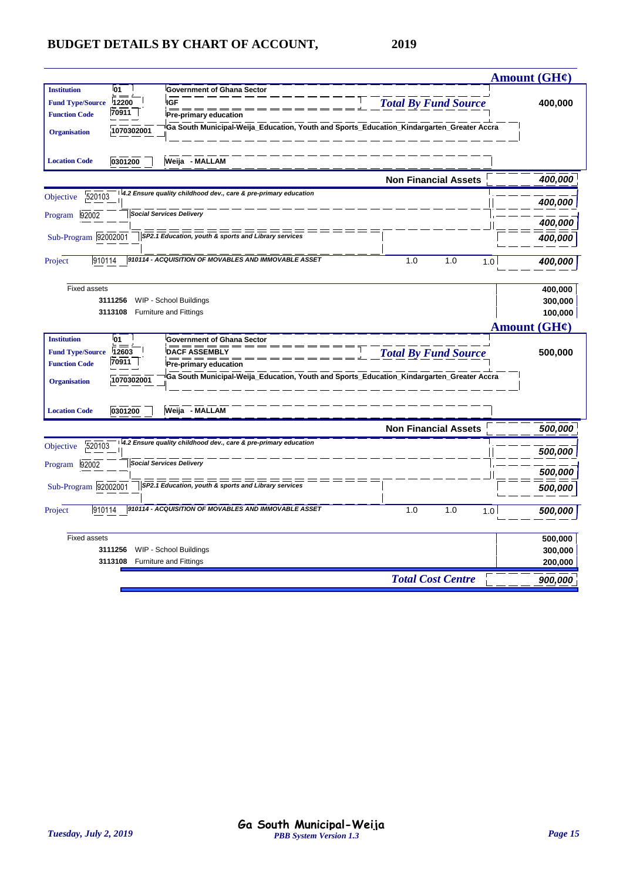|                                                                                                                                                                                                                                                                                                                                                    | <b>Amount (GH¢)</b>                                  |
|----------------------------------------------------------------------------------------------------------------------------------------------------------------------------------------------------------------------------------------------------------------------------------------------------------------------------------------------------|------------------------------------------------------|
| l01<br><b>Institution</b><br><b>Government of Ghana Sector</b><br><b>Total By Fund Source</b><br>12200<br><b>IGF</b><br><b>Fund Type/Source</b><br>70911<br><b>Function Code</b><br><b>Pre-primary education</b><br>Ga South Municipal-Weija_Education, Youth and Sports_Education_Kindargarten_Greater Accra<br>1070302001<br><b>Organisation</b> | 400,000                                              |
| Weija - MALLAM<br><b>Location Code</b><br>0301200                                                                                                                                                                                                                                                                                                  |                                                      |
| <b>Non Financial Assets</b>                                                                                                                                                                                                                                                                                                                        | 400,000                                              |
| 4.2 Ensure quality childhood dev., care & pre-primary education<br>520103<br>Objective                                                                                                                                                                                                                                                             | 400,000                                              |
| <b>Social Services Delivery</b><br>92002<br>Program                                                                                                                                                                                                                                                                                                |                                                      |
|                                                                                                                                                                                                                                                                                                                                                    | 400,000                                              |
| Sub-Program 92002001<br>SP2.1 Education, youth & sports and Library services                                                                                                                                                                                                                                                                       | 400,000                                              |
| 910114 - ACQUISITION OF MOVABLES AND IMMOVABLE ASSET<br>910114<br>1.0<br>1.0<br>Project                                                                                                                                                                                                                                                            | 1.0<br>400,000                                       |
| <b>Fixed assets</b><br>3111256<br>WIP - School Buildings<br>3113108<br><b>Furniture and Fittings</b>                                                                                                                                                                                                                                               | 400,000<br>300,000<br>100,000<br><b>Amount (GH¢)</b> |
| l01<br><b>Institution</b><br><b>Government of Ghana Sector</b>                                                                                                                                                                                                                                                                                     |                                                      |
| <b>Total By Fund Source</b><br><b>DACF ASSEMBLY</b><br>12603<br><b>Fund Type/Source</b><br>70911                                                                                                                                                                                                                                                   | 500,000                                              |
| <b>Function Code</b><br>Pre-primary education<br>Ga South Municipal-Weija_Education, Youth and Sports_Education_Kindargarten_Greater Accra                                                                                                                                                                                                         |                                                      |
| 1070302001<br><b>Organisation</b>                                                                                                                                                                                                                                                                                                                  |                                                      |
| Weija - MALLAM<br><b>Location Code</b><br>0301200                                                                                                                                                                                                                                                                                                  |                                                      |
| <b>Non Financial Assets</b>                                                                                                                                                                                                                                                                                                                        | 500,000                                              |
| 4.2 Ensure quality childhood dev., care & pre-primary education<br>520103<br>Objective                                                                                                                                                                                                                                                             | 500,000                                              |
| <b>Social Services Delivery</b><br>92002<br>Program                                                                                                                                                                                                                                                                                                |                                                      |
|                                                                                                                                                                                                                                                                                                                                                    | 500,000                                              |
| Sub-Program 92002001<br>SP2.1 Education, youth & sports and Library services                                                                                                                                                                                                                                                                       | 500,000                                              |
| 910114 - ACQUISITION OF MOVABLES AND IMMOVABLE ASSET<br>1.0<br>Project<br>910114<br>1.0                                                                                                                                                                                                                                                            | 1.0<br>500,000                                       |
| <b>Fixed assets</b>                                                                                                                                                                                                                                                                                                                                | 500,000                                              |
| WIP - School Buildings<br>3111256                                                                                                                                                                                                                                                                                                                  | 300,000                                              |
| <b>Furniture and Fittings</b><br>3113108                                                                                                                                                                                                                                                                                                           | 200,000                                              |
| <b>Total Cost Centre</b>                                                                                                                                                                                                                                                                                                                           | 900,000                                              |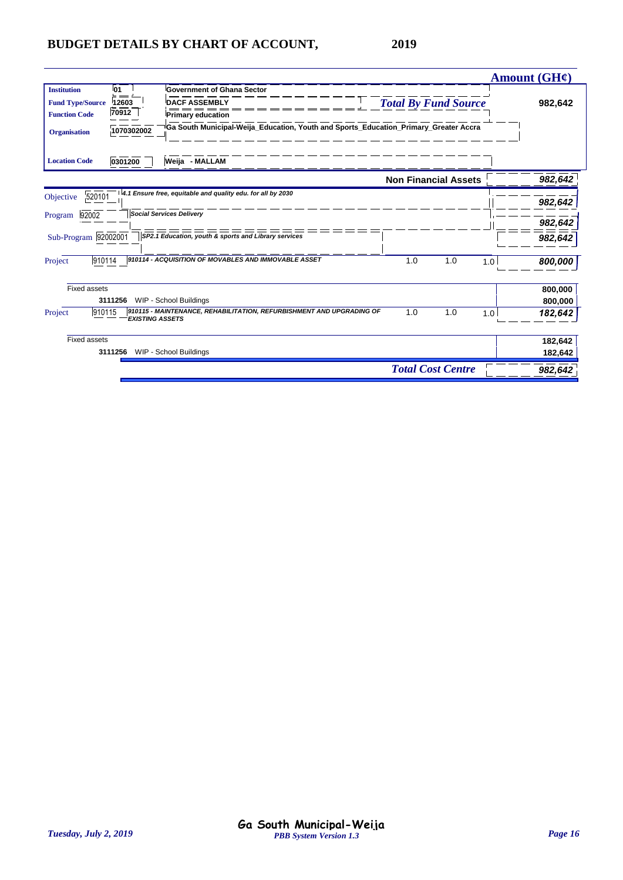|                                     |                                                                                                |                             | Amount $(GH\ell)$ |
|-------------------------------------|------------------------------------------------------------------------------------------------|-----------------------------|-------------------|
| 01<br><b>Institution</b><br>$=$ $=$ | <b>Government of Ghana Sector</b>                                                              |                             |                   |
| 12603<br><b>Fund Type/Source</b>    | <b>DACF ASSEMBLY</b>                                                                           | <b>Total By Fund Source</b> | 982,642           |
| 70912<br><b>Function Code</b>       | <b>Primary education</b>                                                                       |                             |                   |
| 1070302002<br><b>Organisation</b>   | Ga South Municipal-Weija Education, Youth and Sports Education Primary Greater Accra           |                             |                   |
| 0301200<br><b>Location Code</b>     | Weija - MALLAM                                                                                 |                             |                   |
|                                     |                                                                                                | <b>Non Financial Assets</b> | 982,642           |
| 520101<br>Objective                 | 4.1 Ensure free, equitable and quality edu. for all by 2030                                    |                             |                   |
|                                     |                                                                                                |                             | 982,642           |
| 92002<br>Program                    | <b>Social Services Delivery</b>                                                                |                             | 982,642           |
| Sub-Program 92002001                | SP2.1 Education, youth & sports and Library services                                           |                             | 982,642           |
| 910114<br>Project                   | 910114 - ACQUISITION OF MOVABLES AND IMMOVABLE ASSET                                           | 1.0<br>1.0                  | 1.0<br>800,000    |
| <b>Fixed assets</b>                 |                                                                                                |                             | 800.000           |
| 3111256                             | WIP - School Buildings                                                                         |                             | 800,000           |
| 910115<br>Project                   | 910115 - MAINTENANCE, REHABILITATION, REFURBISHMENT AND UPGRADING OF<br><b>EXISTING ASSETS</b> | 1.0<br>1.0                  | 1.0<br>182,642    |
| <b>Fixed assets</b>                 |                                                                                                |                             | 182,642           |
| 3111256                             | WIP - School Buildings                                                                         |                             | 182,642           |
|                                     |                                                                                                | <b>Total Cost Centre</b>    | 982,642           |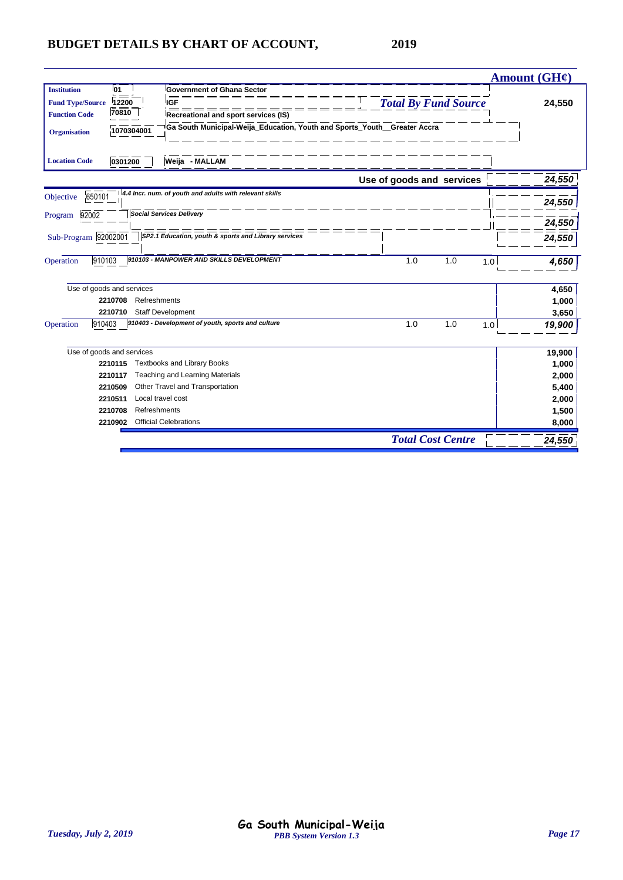|                           |              |                                                                                        |                             | Amount (GH¢) |
|---------------------------|--------------|----------------------------------------------------------------------------------------|-----------------------------|--------------|
| <b>Institution</b>        | 01           | <b>Government of Ghana Sector</b>                                                      |                             |              |
| <b>Fund Type/Source</b>   | 12200        | <b>IGF</b>                                                                             | <b>Total By Fund Source</b> | 24,550       |
| <b>Function Code</b>      | 70810        | Recreational and sport services (IS)                                                   |                             |              |
| <b>Organisation</b>       | 1070304001   | <sup>i</sup> Ga South Municipal-Weija_Education, Youth and Sports_Youth__Greater Accra |                             |              |
| <b>Location Code</b>      | 0301200      | Weija - MALLAM                                                                         |                             |              |
|                           |              |                                                                                        | Use of goods and services   | 24,550       |
| 650101<br>Objective       |              | 4.4 Incr. num. of youth and adults with relevant skills                                |                             |              |
|                           |              |                                                                                        |                             | 24,550       |
| 92002<br>Program          |              | <b>Social Services Delivery</b>                                                        |                             | 24,550       |
| Sub-Program 92002001      |              | SP2.1 Education, youth & sports and Library services                                   |                             |              |
|                           |              |                                                                                        |                             | 24,550       |
| 910103<br>Operation       |              | 910103 - MANPOWER AND SKILLS DEVELOPMENT                                               | 1.0<br>1.0<br>1.0           | 4,650        |
| Use of goods and services |              |                                                                                        |                             | 4,650        |
| 2210708                   | Refreshments |                                                                                        |                             | 1,000        |
| 2210710                   |              | Staff Development                                                                      |                             | 3,650        |
| 910403<br>Operation       |              | 910403 - Development of youth, sports and culture                                      | 1.0<br>1.0<br>1.0           | 19,900       |
| Use of goods and services |              |                                                                                        |                             | 19,900       |
| 2210115                   |              | <b>Textbooks and Library Books</b>                                                     |                             | 1,000        |
| 2210117                   |              | Teaching and Learning Materials                                                        |                             | 2,000        |
| 2210509                   |              | Other Travel and Transportation                                                        |                             | 5,400        |
| 2210511                   |              | Local travel cost                                                                      |                             | 2,000        |
| 2210708                   | Refreshments |                                                                                        |                             | 1,500        |
| 2210902                   |              | <b>Official Celebrations</b>                                                           |                             | 8,000        |
|                           |              |                                                                                        | <b>Total Cost Centre</b>    | 24,550       |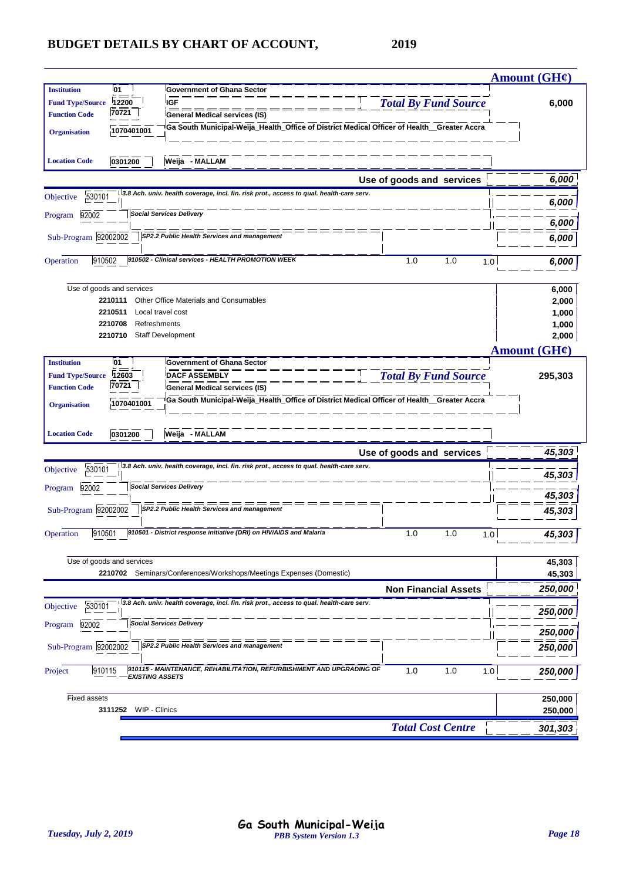|                         |                                                         |                                                                                             |                             | <b>Amount (GH¢)</b>      |
|-------------------------|---------------------------------------------------------|---------------------------------------------------------------------------------------------|-----------------------------|--------------------------|
| <b>Institution</b>      | <b>01</b>                                               | <b>Government of Ghana Sector</b>                                                           |                             |                          |
| <b>Fund Type/Source</b> | 12200                                                   | <b>IGF</b>                                                                                  | <b>Total By Fund Source</b> | 6,000                    |
| <b>Function Code</b>    | 70721                                                   | General Medical services (IS)                                                               |                             |                          |
| <b>Organisation</b>     | 1070401001                                              | Ga South Municipal-Weija_Health_Office of District Medical Officer of Health__Greater Accra |                             |                          |
|                         |                                                         |                                                                                             |                             |                          |
| <b>Location Code</b>    | 0301200                                                 | Weija - MALLAM                                                                              |                             |                          |
|                         |                                                         |                                                                                             | Use of goods and services   | 6,000                    |
| 530101<br>Objective     |                                                         | 3.8 Ach. univ. health coverage, incl. fin. risk prot., access to qual. health-care serv.    |                             | 6,000                    |
| 92002<br>Program        |                                                         | <b>Social Services Delivery</b>                                                             |                             |                          |
|                         |                                                         |                                                                                             |                             | 6,000                    |
| Sub-Program 92002002    |                                                         | SP2.2 Public Health Services and management                                                 |                             | 6,000                    |
| 910502<br>Operation     |                                                         | 910502 - Clinical services - HEALTH PROMOTION WEEK                                          | 1.0<br>1.0<br>1.0           | 6,000                    |
|                         |                                                         |                                                                                             |                             |                          |
|                         | Use of goods and services                               |                                                                                             |                             | 6,000                    |
|                         | 2210111                                                 | Other Office Materials and Consumables                                                      |                             | 2,000                    |
|                         | 2210511<br>Local travel cost<br>2210708<br>Refreshments |                                                                                             |                             | 1,000                    |
|                         | 2210710                                                 | Staff Development                                                                           |                             | 1,000<br>2,000           |
|                         |                                                         |                                                                                             |                             | Amount $(GH\mathcal{C})$ |
| <b>Institution</b>      | 01                                                      | <b>Government of Ghana Sector</b>                                                           |                             |                          |
| <b>Fund Type/Source</b> | 12603                                                   | <b>DACF ASSEMBLY</b>                                                                        | <b>Total By Fund Source</b> | 295,303                  |
| <b>Function Code</b>    | 70721                                                   | <b>General Medical services (IS)</b>                                                        |                             |                          |
| <b>Organisation</b>     | 1070401001                                              | Ga South Municipal-Weija_Health_Office of District Medical Officer of Health_Greater Accra  |                             |                          |
|                         |                                                         |                                                                                             |                             |                          |
| <b>Location Code</b>    | 0301200                                                 | Weija - MALLAM                                                                              |                             |                          |
|                         |                                                         |                                                                                             | Use of goods and services   | 45,303                   |
| 530101<br>Objective     |                                                         | 3.8 Ach. univ. health coverage, incl. fin. risk prot., access to qual. health-care serv.    |                             |                          |
|                         |                                                         |                                                                                             |                             | 45,303                   |
| 92002<br>Program        |                                                         | <b>Social Services Delivery</b>                                                             |                             | 45,303                   |
| Sub-Program 92002002    |                                                         | SP2.2 Public Health Services and management                                                 |                             | 45,303                   |
|                         |                                                         |                                                                                             |                             |                          |
| 910501<br>Operation     |                                                         | 910501 - District response initiative (DRI) on HIV/AIDS and Malaria                         | 1.0<br>1.0<br>1.0           | 45,303                   |
|                         | Use of goods and services                               |                                                                                             |                             |                          |
|                         |                                                         | 2210702 Seminars/Conferences/Workshops/Meetings Expenses (Domestic)                         |                             | 45,303<br>45,303         |
|                         |                                                         |                                                                                             | <b>Non Financial Assets</b> | 250,000                  |
| 530101<br>Objective     |                                                         | 3.8 Ach. univ. health coverage, incl. fin. risk prot., access to qual. health-care serv.    |                             |                          |
|                         |                                                         |                                                                                             |                             | 250,000                  |
| 92002<br>Program        |                                                         | <b>Social Services Delivery</b>                                                             |                             | 250,000                  |
| Sub-Program 92002002    |                                                         | SP2.2 Public Health Services and management                                                 |                             | 250,000                  |
|                         |                                                         |                                                                                             |                             |                          |
| 910115<br>Project       | <b>EXISTING ASSETS</b>                                  | 910115 - MAINTENANCE, REHABILITATION, REFURBISHMENT AND UPGRADING OF                        | 1.0<br>1.0<br>1.0           | 250,000                  |
| <b>Fixed assets</b>     |                                                         |                                                                                             |                             |                          |
|                         | WIP - Clinics<br>3111252                                |                                                                                             |                             | 250,000<br>250,000       |
|                         |                                                         |                                                                                             | <b>Total Cost Centre</b>    |                          |
|                         |                                                         |                                                                                             |                             | 301,303                  |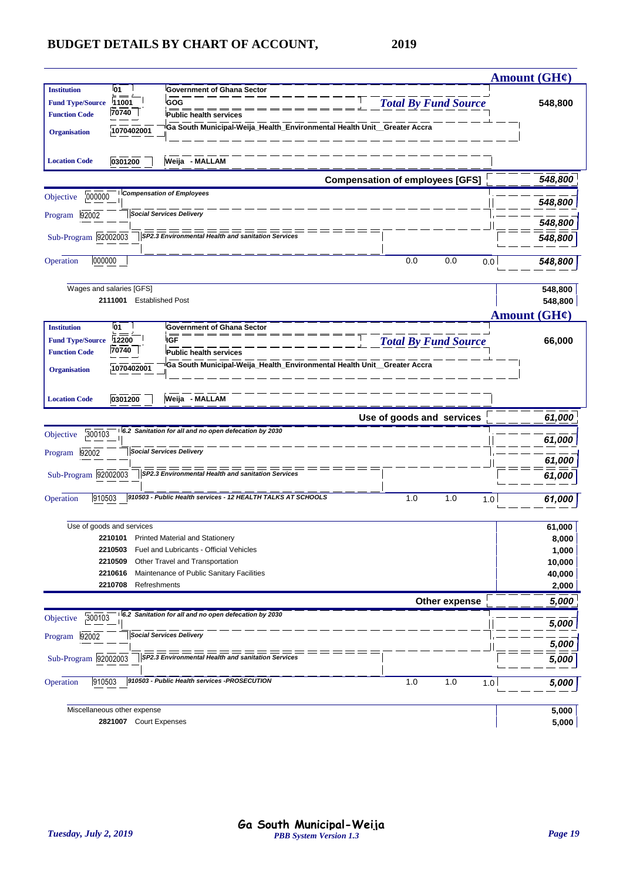|                         |                                                       |                                                                          |                                        | <b>Amount (GH¢)</b> |
|-------------------------|-------------------------------------------------------|--------------------------------------------------------------------------|----------------------------------------|---------------------|
| <b>Institution</b>      | <b>01</b>                                             | <b>Government of Ghana Sector</b>                                        |                                        |                     |
| <b>Fund Type/Source</b> | 11001                                                 | GOG                                                                      | <b>Total By Fund Source</b>            | 548,800             |
| <b>Function Code</b>    | 70740                                                 | <b>Public health services</b>                                            |                                        |                     |
|                         | 1070402001                                            | Ga South Municipal-Weija_Health_Environmental Health Unit_Greater Accra  |                                        |                     |
| <b>Organisation</b>     |                                                       |                                                                          |                                        |                     |
|                         |                                                       |                                                                          |                                        |                     |
| <b>Location Code</b>    | 0301200                                               | Weija - MALLAM                                                           |                                        |                     |
|                         |                                                       |                                                                          | <b>Compensation of employees [GFS]</b> | 548,800             |
| 000000<br>Objective     |                                                       | <b>Compensation of Employees</b>                                         |                                        |                     |
|                         |                                                       |                                                                          |                                        | 548,800             |
| 92002<br>Program        |                                                       | <b>Social Services Delivery</b>                                          |                                        | 548,800             |
|                         |                                                       |                                                                          |                                        |                     |
| Sub-Program 92002003    |                                                       | SP2.3 Environmental Health and sanitation Services                       |                                        | 548,800             |
| 000000<br>Operation     |                                                       |                                                                          | 0.0<br>0.0                             | 0.0                 |
|                         |                                                       |                                                                          |                                        | 548,800             |
|                         |                                                       |                                                                          |                                        |                     |
|                         | Wages and salaries [GFS]<br>2111001 Established Post  |                                                                          |                                        | 548,800             |
|                         |                                                       |                                                                          |                                        | 548,800             |
|                         |                                                       |                                                                          |                                        | <b>Amount (GH¢)</b> |
| <b>Institution</b>      | <b>01</b>                                             | <b>Government of Ghana Sector</b>                                        |                                        |                     |
| <b>Fund Type/Source</b> | 12200<br>70740                                        | <b>IGF</b>                                                               | <b>Total By Fund Source</b>            | 66,000              |
| <b>Function Code</b>    |                                                       | Public health services                                                   |                                        |                     |
| <b>Organisation</b>     | 1070402001                                            | Ga South Municipal-Weija_Health_Environmental Health Unit__Greater Accra |                                        |                     |
|                         |                                                       |                                                                          |                                        |                     |
| <b>Location Code</b>    | 0301200                                               | Weija - MALLAM                                                           |                                        |                     |
|                         |                                                       |                                                                          |                                        |                     |
|                         |                                                       |                                                                          |                                        |                     |
|                         |                                                       |                                                                          | Use of goods and services              | 61,000              |
| 300103<br>Objective     |                                                       | 6.2 Sanitation for all and no open defecation by 2030                    |                                        |                     |
|                         |                                                       |                                                                          |                                        | 61,000              |
| 92002<br>Program        |                                                       | <b>Social Services Delivery</b>                                          |                                        | 61,000              |
|                         |                                                       | ========<br>ᆖ<br>SP2.3 Environmental Health and sanitation Services      |                                        |                     |
| Sub-Program 92002003    |                                                       |                                                                          |                                        | 61,000              |
| 910503<br>Operation     |                                                       | 910503 - Public Health services - 12 HEALTH TALKS AT SCHOOLS             | 1.0<br>1.0                             | 1.0                 |
|                         |                                                       |                                                                          |                                        | 61,000              |
|                         | Use of goods and services                             |                                                                          |                                        |                     |
|                         |                                                       | 2210101 Printed Material and Stationery                                  |                                        | 61,000<br>8,000     |
|                         | 2210503                                               | Fuel and Lubricants - Official Vehicles                                  |                                        | 1,000               |
|                         | 2210509                                               | Other Travel and Transportation                                          |                                        | 10,000              |
|                         | 2210616                                               | Maintenance of Public Sanitary Facilities                                |                                        | 40,000              |
|                         | 2210708<br>Refreshments                               |                                                                          |                                        | 2,000               |
|                         |                                                       |                                                                          | Other expense                          | 5,000               |
|                         |                                                       | 6.2 Sanitation for all and no open defecation by 2030                    |                                        |                     |
| 300103<br>Objective     |                                                       |                                                                          |                                        | 5,000               |
| 92002<br>Program        |                                                       | <b>Social Services Delivery</b>                                          |                                        |                     |
|                         |                                                       |                                                                          |                                        | 5,000               |
| Sub-Program 92002003    |                                                       | SP2.3 Environmental Health and sanitation Services                       |                                        | 5,000               |
|                         |                                                       |                                                                          |                                        |                     |
| 910503<br>Operation     |                                                       | 910503 - Public Health services -PROSECUTION                             | 1.0<br>1.0                             | 1.0<br>5,000        |
|                         |                                                       |                                                                          |                                        |                     |
|                         | Miscellaneous other expense<br>2821007 Court Expenses |                                                                          |                                        | 5,000<br>5,000      |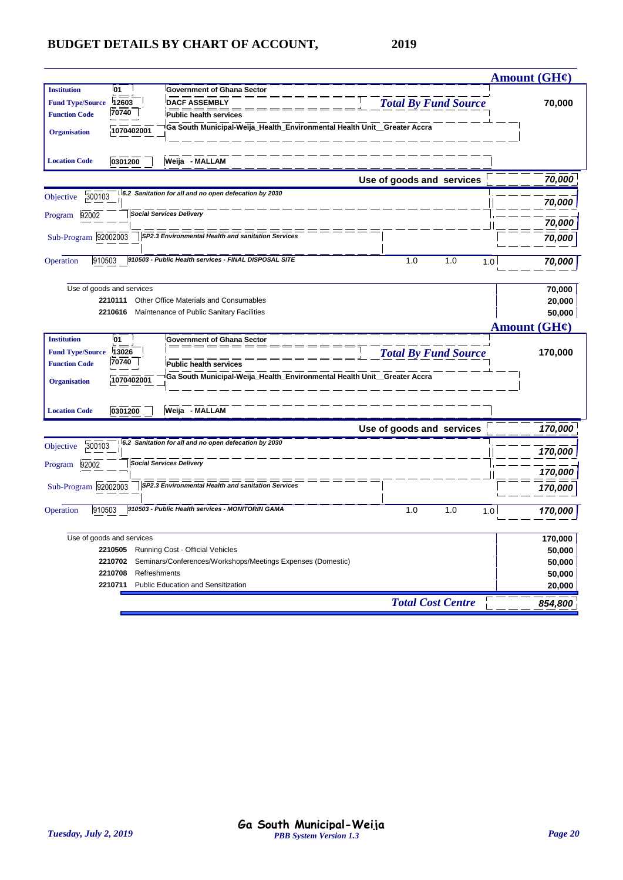|                         |                           |                                                                         |                             | <b>Amount (GH¢)</b> |
|-------------------------|---------------------------|-------------------------------------------------------------------------|-----------------------------|---------------------|
| <b>Institution</b>      | <sup>1</sup> 01           | <b>Government of Ghana Sector</b>                                       |                             |                     |
| <b>Fund Type/Source</b> | 12603                     | <b>DACF ASSEMBLY</b>                                                    | <b>Total By Fund Source</b> | 70,000              |
| <b>Function Code</b>    | 70740                     | <b>Public health services</b>                                           |                             |                     |
| <b>Organisation</b>     | 1070402001                | Ga South Municipal-Weija_Health_Environmental Health Unit_Greater Accra |                             |                     |
| <b>Location Code</b>    | 0301200                   | Weija - MALLAM                                                          |                             |                     |
|                         |                           |                                                                         | Use of goods and services   | 70,000              |
| 300103<br>Objective     |                           | 6.2 Sanitation for all and no open defecation by 2030                   |                             | 70,000              |
| Program 92002           |                           | <b>Social Services Delivery</b>                                         |                             |                     |
|                         |                           |                                                                         |                             | 70,000              |
| Sub-Program 92002003    |                           | SP2.3 Environmental Health and sanitation Services                      |                             | 70,000              |
| 910503<br>Operation     |                           | 910503 - Public Health services - FINAL DISPOSAL SITE                   | 1.0<br>1.0<br>1.0           | 70,000              |
|                         | Use of goods and services |                                                                         |                             | 70,000              |
|                         | 2210111                   | Other Office Materials and Consumables                                  |                             | 20,000              |
|                         | 2210616                   | Maintenance of Public Sanitary Facilities                               |                             | 50,000              |
|                         |                           |                                                                         |                             | Amount (GH¢)        |
| <b>Institution</b>      | <sup>1</sup> 01           | <b>Government of Ghana Sector</b>                                       |                             |                     |
| <b>Fund Type/Source</b> | 13026                     |                                                                         | <b>Total By Fund Source</b> | 170,000             |
| <b>Function Code</b>    | 70740                     | <b>Public health services</b>                                           |                             |                     |
| <b>Organisation</b>     | 1070402001                | Ga South Municipal-Weija_Health_Environmental Health Unit_Greater Accra |                             |                     |
| <b>Location Code</b>    | 0301200                   | Weija - MALLAM                                                          |                             |                     |
|                         |                           |                                                                         | Use of goods and services   | 170,000             |
| 300103<br>Objective     |                           | 6.2 Sanitation for all and no open defecation by 2030                   |                             | 170,000             |
| Program 92002           |                           | <b>Social Services Delivery</b>                                         |                             | 170,000             |
| Sub-Program 92002003    |                           | =====<br>SP2.3 Environmental Health and sanitation Services             |                             | 170,000             |
|                         |                           |                                                                         |                             |                     |
| 910503<br>Operation     |                           | 910503 - Public Health services - MONITORIN GAMA                        | 1.0<br>1.0<br>1.0           | 170,000             |
|                         | Use of goods and services |                                                                         |                             | 170,000             |
|                         | 2210505                   | Running Cost - Official Vehicles                                        |                             | 50,000              |
|                         | 2210702                   | Seminars/Conferences/Workshops/Meetings Expenses (Domestic)             |                             | 50,000              |
|                         | 2210708                   | Refreshments                                                            |                             | 50,000              |
|                         | 2210711                   | <b>Public Education and Sensitization</b>                               |                             | 20,000              |
|                         |                           |                                                                         | <b>Total Cost Centre</b>    | 854,800             |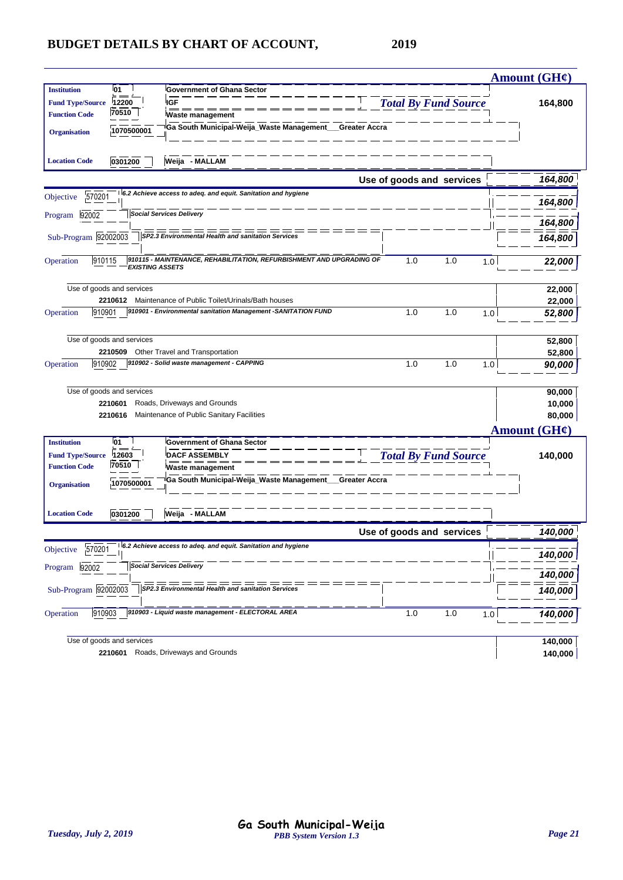|                                   |                                                                                                |                             | <b>Amount (GH¢)</b> |
|-----------------------------------|------------------------------------------------------------------------------------------------|-----------------------------|---------------------|
| 01<br><b>Institution</b>          | <b>Government of Ghana Sector</b>                                                              |                             |                     |
| <b>Fund Type/Source</b><br>12200  | <b>IGF</b>                                                                                     | <b>Total By Fund Source</b> | 164,800             |
| 70510<br><b>Function Code</b>     | <b>Waste management</b>                                                                        |                             |                     |
| 1070500001<br><b>Organisation</b> | Ga South Municipal-Weija_Waste Management_<br>Greater Accra                                    |                             |                     |
| <b>Location Code</b><br>0301200   | Weija - MALLAM                                                                                 |                             |                     |
|                                   |                                                                                                | Use of goods and services   | 164,800             |
| 570201<br>Objective               | 6.2 Achieve access to adeq. and equit. Sanitation and hygiene                                  |                             | 164,800             |
| 92002<br>Program                  | <b>Social Services Delivery</b>                                                                |                             | 164,800             |
| Sub-Program 92002003              | SP2.3 Environmental Health and sanitation Services                                             |                             |                     |
|                                   |                                                                                                |                             | 164,800             |
| 910115<br>Operation               | 910115 - MAINTENANCE, REHABILITATION, REFURBISHMENT AND UPGRADING OF<br><b>EXISTING ASSETS</b> | 1.0<br>1.0                  | 1.0<br>22,000       |
| Use of goods and services         |                                                                                                |                             | 22,000              |
| 2210612                           | Maintenance of Public Toilet/Urinals/Bath houses                                               |                             | 22,000              |
| 910901<br>Operation               | 910901 - Environmental sanitation Management -SANITATION FUND                                  | 1.0<br>1.0                  | 1.0<br>52,800       |
| Use of goods and services         |                                                                                                |                             | 52,800              |
| 2210509                           | Other Travel and Transportation                                                                |                             | 52,800              |
| 910902<br>Operation               | 910902 - Solid waste management - CAPPING                                                      | 1.0<br>1.0                  | 1.0<br>90,000       |
| Use of goods and services         |                                                                                                |                             | 90,000              |
| 2210601                           | Roads, Driveways and Grounds                                                                   |                             | 10,000              |
| 2210616                           | Maintenance of Public Sanitary Facilities                                                      |                             | 80,000              |
|                                   |                                                                                                |                             | <b>Amount (GH¢)</b> |
| 01<br><b>Institution</b>          | <b>Government of Ghana Sector</b>                                                              |                             |                     |
| 12603<br><b>Fund Type/Source</b>  | <b>DACF ASSEMBLY</b>                                                                           | <b>Total By Fund Source</b> | 140,000             |
| 70510<br><b>Function Code</b>     | Waste management                                                                               |                             |                     |
| 1070500001<br><b>Organisation</b> | Ga South Municipal-Weija_Waste Management_<br>Greater Accra                                    |                             |                     |
| <b>Location Code</b><br>0301200   | Weija - MALLAM                                                                                 |                             |                     |
|                                   |                                                                                                | Use of goods and services   | 140,000             |
| 570201<br>Objective               | 6.2 Achieve access to adeq. and equit. Sanitation and hygiene                                  |                             | 140,000             |
| Program 92002                     | <b>Social Services Delivery</b>                                                                |                             | 140,000             |
| Sub-Program 92002003              | SP2.3 Environmental Health and sanitation Services                                             |                             | 140,000             |
| 910903<br>Operation               | 910903 - Liquid waste management - ELECTORAL AREA                                              | 1.0<br>1.0                  | 1.0                 |
|                                   |                                                                                                |                             | 140,000             |
| Use of goods and services         |                                                                                                |                             | 140,000             |
|                                   | 2210601 Roads, Driveways and Grounds                                                           |                             | 140,000             |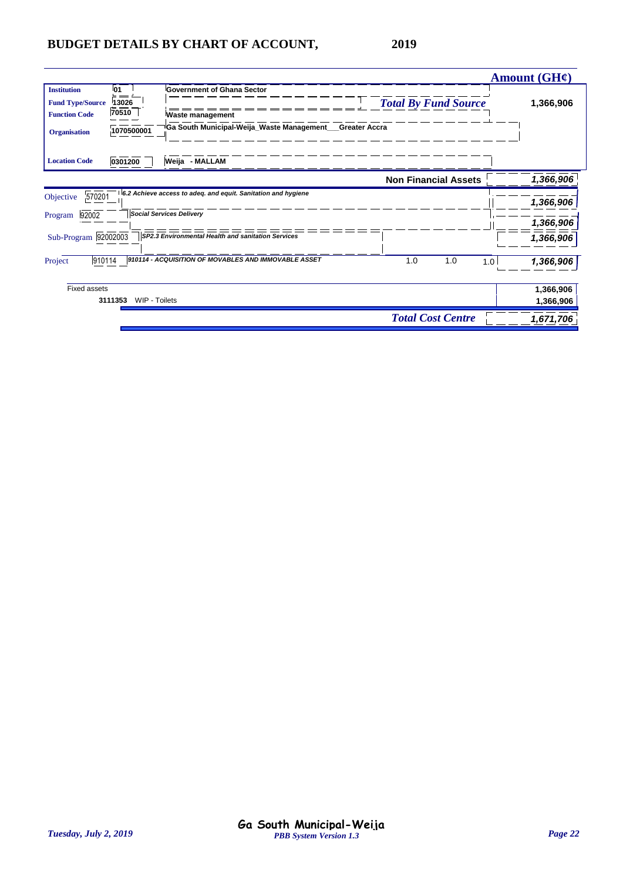|                                                                                                                             |                                                                                                                   |                                                     | Amount $(GH\mathcal{C})$ |
|-----------------------------------------------------------------------------------------------------------------------------|-------------------------------------------------------------------------------------------------------------------|-----------------------------------------------------|--------------------------|
| <b>Institution</b><br><b>01</b><br>13026<br><b>Fund Type/Source</b><br>70510<br><b>Function Code</b><br><b>Organisation</b> | <b>Government of Ghana Sector</b><br>Waste management<br>Ga South Municipal-Weija_Waste Management_<br>1070500001 | <b>Total By Fund Source</b><br><b>Greater Accra</b> | 1,366,906                |
| <b>Location Code</b><br>0301200                                                                                             | Weija - MALLAM                                                                                                    |                                                     |                          |
|                                                                                                                             |                                                                                                                   | <b>Non Financial Assets</b>                         | 1,366,906                |
| 570201<br>Objective                                                                                                         | 6.2 Achieve access to adeq. and equit. Sanitation and hygiene                                                     |                                                     | 1,366,906                |
| 92002<br>Program                                                                                                            | <b>Social Services Delivery</b>                                                                                   |                                                     | 1,366,906                |
| Sub-Program 92002003                                                                                                        | SP2.3 Environmental Health and sanitation Services                                                                |                                                     | 1,366,906                |
| 910114<br>Project                                                                                                           | 910114 - ACQUISITION OF MOVABLES AND IMMOVABLE ASSET                                                              | 1.0<br>1.0<br>1.0                                   | 1,366,906                |
| <b>Fixed assets</b><br>3111353                                                                                              | WIP - Toilets                                                                                                     |                                                     | 1,366,906<br>1,366,906   |
|                                                                                                                             |                                                                                                                   | <b>Total Cost Centre</b>                            | 1,671,706                |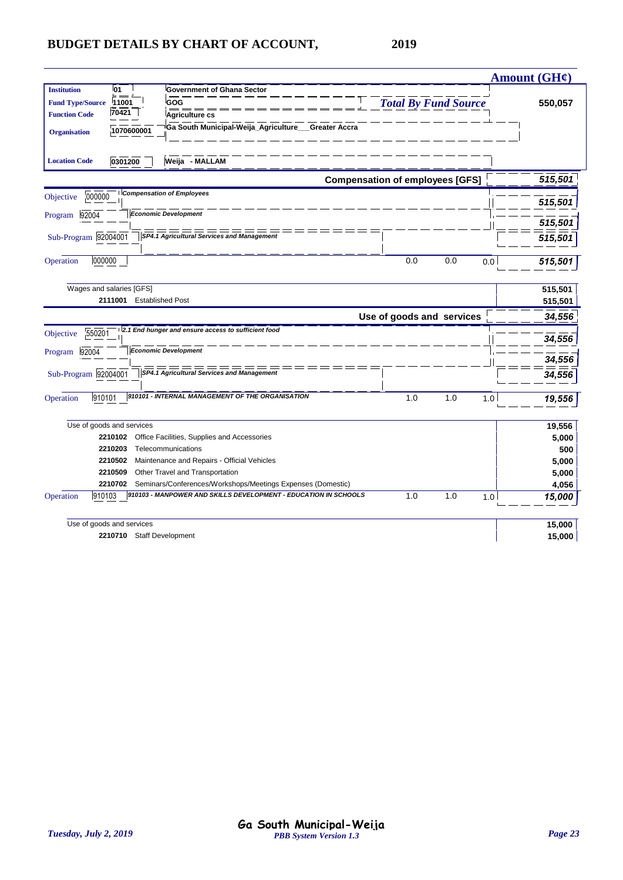|                         |                                                        |                                                                 |                                        |     |     | Amount $(GH\mathcal{C})$ |
|-------------------------|--------------------------------------------------------|-----------------------------------------------------------------|----------------------------------------|-----|-----|--------------------------|
| <b>Institution</b>      | <b>01</b>                                              | <b>Government of Ghana Sector</b>                               |                                        |     |     |                          |
| <b>Fund Type/Source</b> | 11001                                                  | GOG                                                             | <b>Total By Fund Source</b>            |     |     | 550,057                  |
| <b>Function Code</b>    | 70421                                                  | <b>Agriculture cs</b>                                           |                                        |     |     |                          |
| <b>Organisation</b>     | 1070600001                                             | Ga South Municipal-Weija_Agriculture__Greater Accra             |                                        |     |     |                          |
| <b>Location Code</b>    | 0301200                                                | Weija - MALLAM                                                  |                                        |     |     |                          |
|                         |                                                        |                                                                 | <b>Compensation of employees [GFS]</b> |     |     | 515,501                  |
| 000000<br>Objective     |                                                        | <b>Compensation of Employees</b>                                |                                        |     |     |                          |
|                         |                                                        |                                                                 |                                        |     |     | 515,501                  |
| 92004<br>Program        |                                                        | <b>Economic Development</b>                                     |                                        |     |     | 515,501                  |
| Sub-Program 92004001    |                                                        | SP4.1 Agricultural Services and Management                      |                                        |     |     | 515,501                  |
|                         |                                                        |                                                                 |                                        |     |     |                          |
| 000000<br>Operation     |                                                        |                                                                 | 0.0                                    | 0.0 | 0.0 | 515,501                  |
|                         | Wages and salaries [GFS]                               |                                                                 |                                        |     |     |                          |
|                         | 2111001                                                | <b>Established Post</b>                                         |                                        |     |     | 515,501<br>515,501       |
|                         |                                                        |                                                                 | Use of goods and services              |     |     | 34,556                   |
|                         |                                                        | 2.1 End hunger and ensure access to sufficient food             |                                        |     |     |                          |
| 550201<br>Objective     |                                                        |                                                                 |                                        |     |     | 34,556                   |
| 92004<br>Program        |                                                        | <b>Economic Development</b>                                     |                                        |     |     | 34,556                   |
|                         |                                                        | SP4.1 Agricultural Services and Management                      |                                        |     |     |                          |
| Sub-Program 92004001    |                                                        |                                                                 |                                        |     |     | 34,556                   |
| 910101<br>Operation     |                                                        | 910101 - INTERNAL MANAGEMENT OF THE ORGANISATION                | 1.0                                    | 1.0 | 1.0 | 19,556                   |
|                         | Use of goods and services                              |                                                                 |                                        |     |     | 19,556                   |
|                         | 2210102                                                | Office Facilities, Supplies and Accessories                     |                                        |     |     | 5,000                    |
|                         | 2210203                                                | Telecommunications                                              |                                        |     |     | 500                      |
|                         | 2210502                                                | Maintenance and Repairs - Official Vehicles                     |                                        |     |     | 5,000                    |
|                         | 2210509                                                | Other Travel and Transportation                                 |                                        |     |     | 5,000                    |
|                         | 2210702                                                | Seminars/Conferences/Workshops/Meetings Expenses (Domestic)     |                                        |     |     | 4,056                    |
| Operation<br>910103     |                                                        | 910103 - MANPOWER AND SKILLS DEVELOPMENT - EDUCATION IN SCHOOLS | 1.0                                    | 1.0 | 1.0 | 15,000                   |
|                         |                                                        |                                                                 |                                        |     |     |                          |
|                         |                                                        |                                                                 |                                        |     |     |                          |
|                         | Use of goods and services<br>2210710 Staff Development |                                                                 |                                        |     |     | 15,000<br>15,000         |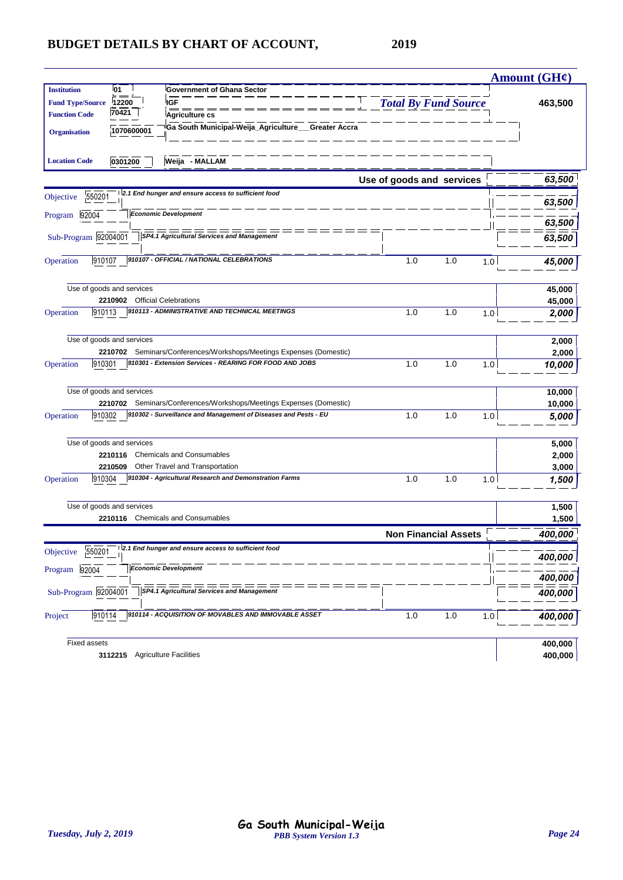|                                                                                                                                                                                                                                                                        |                             |     |     | <b>Amount (GH¢)</b>     |
|------------------------------------------------------------------------------------------------------------------------------------------------------------------------------------------------------------------------------------------------------------------------|-----------------------------|-----|-----|-------------------------|
| <b>Institution</b><br><b>01</b><br><b>Government of Ghana Sector</b><br>12200<br><b>IGF</b><br><b>Fund Type/Source</b><br>70421<br><b>Function Code</b><br>Agriculture cs<br>Ga South Municipal-Weija_Agriculture___Greater Accra<br>1070600001<br><b>Organisation</b> | <b>Total By Fund Source</b> |     |     | 463,500                 |
| Weija - MALLAM<br><b>Location Code</b><br>0301200                                                                                                                                                                                                                      |                             |     |     |                         |
|                                                                                                                                                                                                                                                                        | Use of goods and services   |     |     | 63,500                  |
| 2.1 End hunger and ensure access to sufficient food<br>550201<br>Objective                                                                                                                                                                                             |                             |     |     | 63,500                  |
| <b>Economic Development</b><br>92004<br>Program                                                                                                                                                                                                                        |                             |     |     | 63,500                  |
| Sub-Program 92004001<br><b>SP4.1 Agricultural Services and Management</b>                                                                                                                                                                                              |                             |     |     | 63,500                  |
| 910107 - OFFICIAL / NATIONAL CELEBRATIONS<br>910107<br>Operation                                                                                                                                                                                                       | 1.0                         | 1.0 | 1.0 | 45,000                  |
| Use of goods and services<br>2210902 Official Celebrations                                                                                                                                                                                                             |                             |     |     | 45,000<br>45,000        |
| 910113 - ADMINISTRATIVE AND TECHNICAL MEETINGS<br>910113<br>Operation                                                                                                                                                                                                  | 1.0                         | 1.0 | 1.0 | 2,000                   |
| Use of goods and services<br>2210702 Seminars/Conferences/Workshops/Meetings Expenses (Domestic)                                                                                                                                                                       |                             |     |     | 2,000<br>2,000          |
| 910301 - Extension Services - REARING FOR FOOD AND JOBS<br>Operation<br>910301                                                                                                                                                                                         | 1.0                         | 1.0 | 1.0 | 10,000                  |
| Use of goods and services<br>2210702 Seminars/Conferences/Workshops/Meetings Expenses (Domestic)                                                                                                                                                                       |                             |     |     | 10,000<br>10,000        |
| 910302 - Surveillance and Management of Diseases and Pests - EU<br>Operation<br>910302                                                                                                                                                                                 | 1.0                         | 1.0 | 1.0 | 5,000                   |
| Use of goods and services<br>2210116<br><b>Chemicals and Consumables</b><br>Other Travel and Transportation<br>2210509                                                                                                                                                 |                             |     |     | 5,000<br>2,000<br>3,000 |
| 910304<br>910304 - Agricultural Research and Demonstration Farms<br>Operation                                                                                                                                                                                          | 1.0                         | 1.0 | 1.0 | 1,500                   |
| Use of goods and services<br>2210116 Chemicals and Consumables                                                                                                                                                                                                         |                             |     |     | 1,500<br>1,500          |
|                                                                                                                                                                                                                                                                        | <b>Non Financial Assets</b> |     |     | 400,000                 |
| 12.1 End hunger and ensure access to sufficient food<br>550201<br>Objective                                                                                                                                                                                            |                             |     |     | 400,000                 |
| <b>Economic Development</b><br>92004<br>Program                                                                                                                                                                                                                        |                             |     |     | 400,000                 |
| Sub-Program 92004001<br><b>SP4.1 Agricultural Services and Management</b>                                                                                                                                                                                              |                             |     |     | 400,000                 |
| 910114 - ACQUISITION OF MOVABLES AND IMMOVABLE ASSET<br>910114<br>Project                                                                                                                                                                                              | 1.0                         | 1.0 | 1.0 | 400,000                 |
| <b>Fixed assets</b><br>3112215 Agriculture Facilities                                                                                                                                                                                                                  |                             |     |     | 400,000<br>400,000      |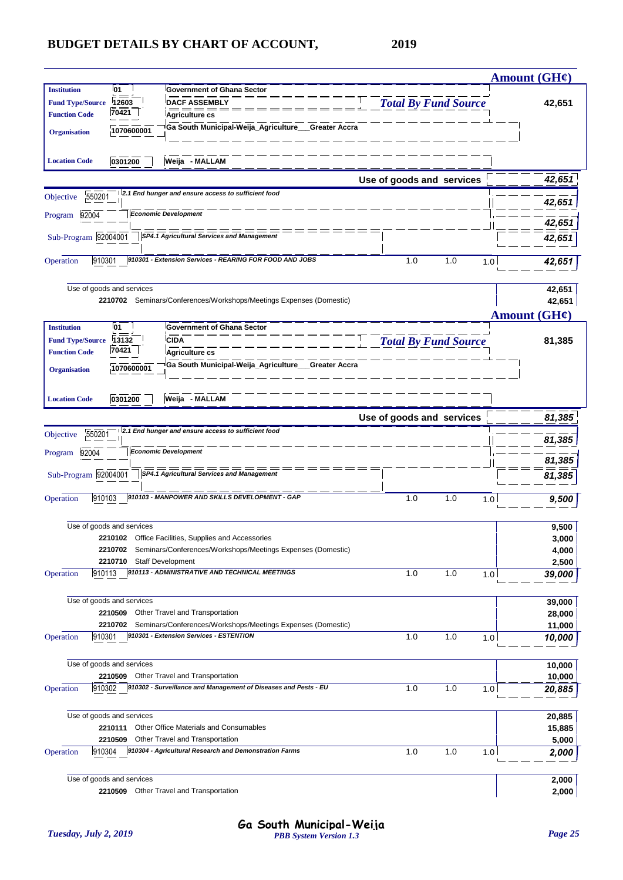|                         |                           |                                                                                           |                             | <b>Amount (GH¢)</b>   |
|-------------------------|---------------------------|-------------------------------------------------------------------------------------------|-----------------------------|-----------------------|
| <b>Institution</b>      | 01                        | <b>Government of Ghana Sector</b>                                                         |                             |                       |
| <b>Fund Type/Source</b> | 12603                     | <b>DACF ASSEMBLY</b>                                                                      | <b>Total By Fund Source</b> | 42,651                |
| <b>Function Code</b>    | 70421                     | Agriculture cs                                                                            |                             |                       |
| <b>Organisation</b>     | 1070600001                | Ga South Municipal-Weija_Agriculture__Greater Accra                                       |                             |                       |
|                         |                           |                                                                                           |                             |                       |
| <b>Location Code</b>    | 0301200                   | Weija - MALLAM                                                                            |                             |                       |
|                         |                           | 2.1 End hunger and ensure access to sufficient food                                       | Use of goods and services   | 42,651                |
| 550201<br>Objective     |                           |                                                                                           |                             | 42,651                |
| 92004<br>Program        |                           | <b>Economic Development</b>                                                               |                             | 42,651                |
| Sub-Program 92004001    |                           | SP4.1 Agricultural Services and Management                                                |                             | 42,651                |
| 910301<br>Operation     |                           | 910301 - Extension Services - REARING FOR FOOD AND JOBS                                   | 1.0<br>1.0                  | 1.0<br>42,651         |
|                         |                           |                                                                                           |                             |                       |
|                         | Use of goods and services | 2210702 Seminars/Conferences/Workshops/Meetings Expenses (Domestic)                       |                             | 42,651<br>42,651      |
|                         |                           |                                                                                           |                             | Amount $(GH\ell)$     |
| <b>Institution</b>      | 01                        | <b>Government of Ghana Sector</b>                                                         |                             |                       |
| <b>Fund Type/Source</b> | 13132                     | <b>CIDA</b>                                                                               | <b>Total By Fund Source</b> | 81,385                |
| <b>Function Code</b>    | 70421                     | Agriculture cs                                                                            |                             |                       |
| <b>Organisation</b>     | 1070600001                | Ga South Municipal-Weija_Agriculture___Greater Accra                                      |                             |                       |
|                         |                           |                                                                                           |                             |                       |
| <b>Location Code</b>    | 0301200                   | Weija - MALLAM                                                                            |                             |                       |
|                         |                           |                                                                                           | Use of goods and services   | 81,385                |
| 550201<br>Objective     |                           | 2.1 End hunger and ensure access to sufficient food                                       |                             | 81,385                |
| Program 92004           |                           | <b>Economic Development</b>                                                               |                             |                       |
|                         |                           |                                                                                           |                             | 81,385                |
| Sub-Program 92004001    |                           | SP4.1 Agricultural Services and Management                                                |                             | 81,385                |
| 910103<br>Operation     |                           | 910103 - MANPOWER AND SKILLS DEVELOPMENT - GAP                                            | 1.0<br>1.0                  | 1.0<br>9,500          |
|                         | Use of goods and services |                                                                                           |                             | 9,500                 |
|                         |                           | 2210102 Office Facilities, Supplies and Accessories                                       |                             | 3,000                 |
|                         | 2210702                   | Seminars/Conferences/Workshops/Meetings Expenses (Domestic)                               |                             | 4,000                 |
|                         | 2210710                   | Staff Development                                                                         |                             | 2,500                 |
| 910113<br>Operation     |                           | 910113 - ADMINISTRATIVE AND TECHNICAL MEETINGS                                            | 1.0<br>1.0                  | 1.0<br>39,000         |
|                         | Use of goods and services |                                                                                           |                             | 39,000                |
|                         | 2210509                   | Other Travel and Transportation                                                           |                             | 28,000                |
|                         | 2210702                   | Seminars/Conferences/Workshops/Meetings Expenses (Domestic)                               |                             | 11,000                |
| 910301<br>Operation     |                           | 910301 - Extension Services - ESTENTION                                                   | 1.0<br>1.0                  | 1.0<br>10,000         |
|                         | Use of goods and services |                                                                                           |                             |                       |
|                         | 2210509                   | Other Travel and Transportation                                                           |                             | 10,000<br>10,000      |
| 910302<br>Operation     |                           | 910302 - Surveillance and Management of Diseases and Pests - EU                           | 1.0<br>1.0                  | 1.0<br>20,885         |
|                         |                           |                                                                                           |                             |                       |
|                         | Use of goods and services |                                                                                           |                             | 20,885                |
|                         | 2210111                   | Other Office Materials and Consumables                                                    |                             | 15,885                |
| 910304<br>Operation     | 2210509                   | Other Travel and Transportation<br>910304 - Agricultural Research and Demonstration Farms | 1.0<br>1.0                  | 5,000<br>1.0<br>2,000 |
|                         |                           |                                                                                           |                             |                       |
|                         | Use of goods and services |                                                                                           |                             | 2,000                 |
|                         | 2210509                   | Other Travel and Transportation                                                           |                             | 2,000                 |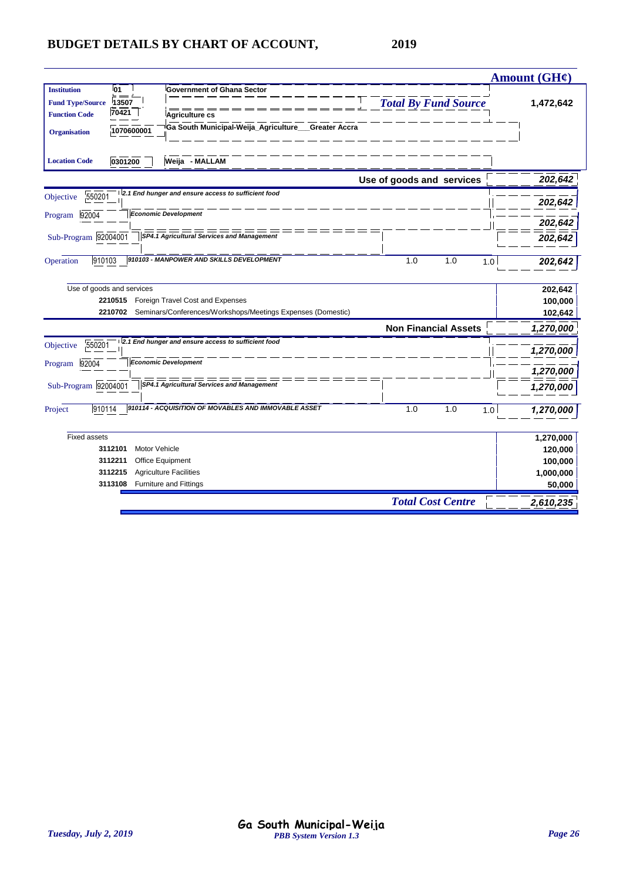|                                                                                                                                  | Amount (GH¢)     |
|----------------------------------------------------------------------------------------------------------------------------------|------------------|
| <b>Institution</b><br>01<br><b>Government of Ghana Sector</b><br><b>Total By Fund Source</b><br>13507<br><b>Fund Type/Source</b> | 1,472,642        |
| 70421<br><b>Function Code</b><br>Agriculture cs                                                                                  |                  |
| Ga South Municipal-Weija_Agriculture___Greater Accra<br>1070600001<br><b>Organisation</b>                                        |                  |
| 0301200<br>Weija - MALLAM<br><b>Location Code</b>                                                                                |                  |
| Use of goods and services                                                                                                        | 202,642          |
| 2.1 End hunger and ensure access to sufficient food<br>550201<br>Objective                                                       |                  |
| <b>Economic Development</b><br>92004<br>Program                                                                                  | 202,642          |
|                                                                                                                                  | 202,642          |
| Sub-Program 92004001<br>SP4.1 Agricultural Services and Management                                                               | 202,642          |
| 910103 - MANPOWER AND SKILLS DEVELOPMENT<br>910103<br>1.0<br>1.0<br>Operation                                                    | 1.0<br>202,642   |
| Use of goods and services                                                                                                        | 202,642          |
| 2210515 Foreign Travel Cost and Expenses                                                                                         | 100,000          |
| Seminars/Conferences/Workshops/Meetings Expenses (Domestic)<br>2210702                                                           | 102,642          |
| <b>Non Financial Assets</b>                                                                                                      | 1,270,000        |
| 2.1 End hunger and ensure access to sufficient food<br>550201<br>Objective                                                       |                  |
| <b>Economic Development</b><br>92004<br>Program                                                                                  | 1,270,000        |
|                                                                                                                                  | 1,270,000        |
| ======<br>Sub-Program 92004001<br>SP4.1 Agricultural Services and Management                                                     | 1,270,000        |
| 910114 - ACQUISITION OF MOVABLES AND IMMOVABLE ASSET<br>1.0<br>1.0<br>910114<br>Project                                          | 1.0<br>1,270,000 |
| <b>Fixed assets</b>                                                                                                              | 1,270,000        |
| 3112101<br>Motor Vehicle                                                                                                         | 120,000          |
| 3112211<br>Office Equipment                                                                                                      | 100,000          |
| <b>Agriculture Facilities</b><br>3112215                                                                                         | 1,000,000        |
| 3113108 Furniture and Fittings                                                                                                   | 50,000           |
| <b>Total Cost Centre</b>                                                                                                         | 2,610,235        |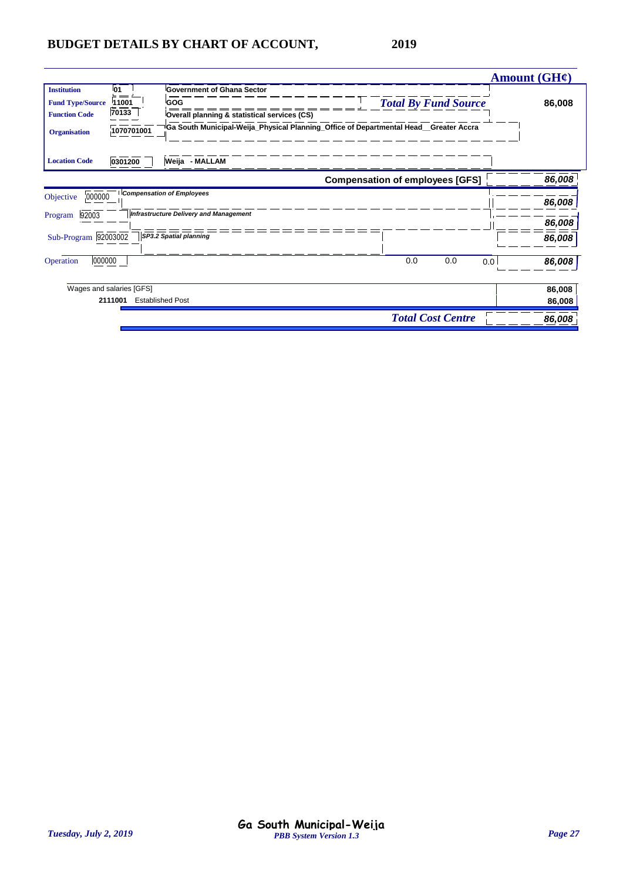|                                               |                    |                                                                                                    |                                        | Amount $(GH\mathcal{C})$ |
|-----------------------------------------------|--------------------|----------------------------------------------------------------------------------------------------|----------------------------------------|--------------------------|
| <b>Institution</b><br><b>Fund Type/Source</b> | <b>01</b><br>11001 | <b>Government of Ghana Sector</b><br>GOG                                                           | <b>Total By Fund Source</b>            | 86,008                   |
| <b>Function Code</b>                          | 70133              | Overall planning & statistical services (CS)                                                       |                                        |                          |
| <b>Organisation</b>                           | 1070701001         | <sup>i</sup> Ga South Municipal-Weija_Physical Planning_Office of Departmental Head__Greater Accra |                                        |                          |
| <b>Location Code</b>                          | 0301200            | Weija - MALLAM                                                                                     |                                        |                          |
|                                               |                    |                                                                                                    | <b>Compensation of employees [GFS]</b> | 86,008                   |
| 000000<br>Objective                           |                    | <b>Compensation of Employees</b>                                                                   |                                        | 86,008                   |
| 92003<br>Program                              |                    | Infrastructure Delivery and Management                                                             |                                        | 86,008                   |
| Sub-Program 92003002                          |                    | SP3.2 Spatial planning                                                                             |                                        | 86,008                   |
| 000000<br>Operation                           |                    |                                                                                                    | 0.0<br>0.0                             | 86,008<br>0.0            |
| Wages and salaries [GFS]                      |                    |                                                                                                    |                                        | 86,008                   |
| 2111001                                       |                    | <b>Established Post</b>                                                                            |                                        | 86,008                   |
|                                               |                    |                                                                                                    | <b>Total Cost Centre</b>               | 86,008                   |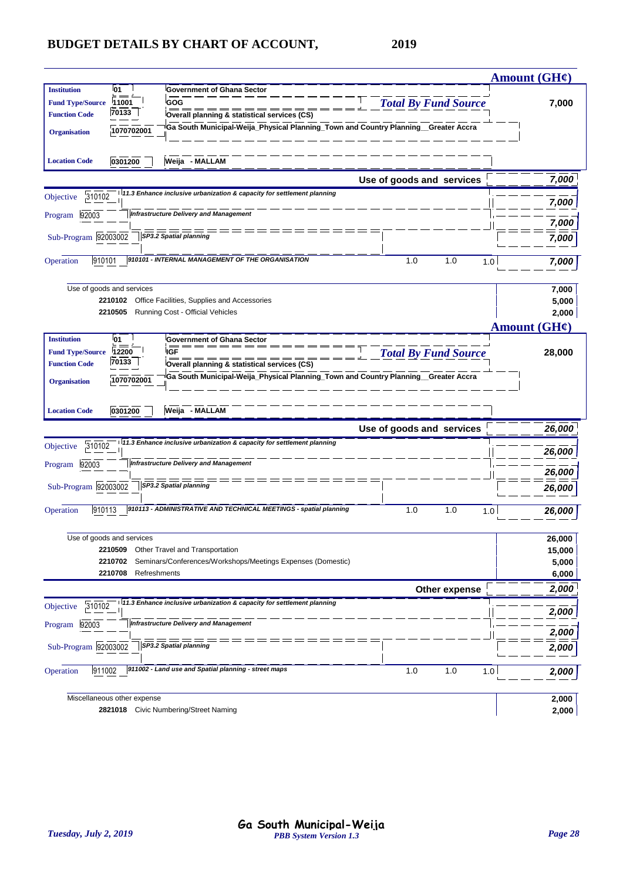|                                                                                                                         |                             | <b>Amount (GH¢)</b>      |
|-------------------------------------------------------------------------------------------------------------------------|-----------------------------|--------------------------|
| <b>Institution</b><br><b>01</b><br><b>Government of Ghana Sector</b>                                                    |                             |                          |
| GOG<br>11001<br><b>Fund Type/Source</b>                                                                                 | <b>Total By Fund Source</b> | 7,000                    |
| 70133<br><b>Function Code</b><br>Overall planning & statistical services (CS)                                           |                             |                          |
| Ga South Municipal-Weija_Physical Planning_Town and Country Planning_Greater Accra<br>1070702001<br><b>Organisation</b> |                             |                          |
|                                                                                                                         |                             |                          |
| Weija - MALLAM<br>0301200<br><b>Location Code</b>                                                                       |                             |                          |
|                                                                                                                         | Use of goods and services   | 7,000                    |
| 11.3 Enhance inclusive urbanization & capacity for settlement planning<br>310102<br>Objective                           |                             |                          |
|                                                                                                                         |                             | 7,000                    |
| <b>Infrastructure Delivery and Management</b><br>92003<br>Program                                                       |                             | 7,000                    |
| Sub-Program 92003002<br>SP3.2 Spatial planning                                                                          |                             | 7,000                    |
|                                                                                                                         |                             |                          |
| 910101 - INTERNAL MANAGEMENT OF THE ORGANISATION<br>910101<br>Operation                                                 | 1.0<br>1.0<br>1.0           | 7,000                    |
|                                                                                                                         |                             |                          |
| Use of goods and services<br>2210102                                                                                    |                             | 7,000                    |
| Office Facilities, Supplies and Accessories<br>2210505<br>Running Cost - Official Vehicles                              |                             | 5,000<br>2,000           |
|                                                                                                                         |                             | Amount $(GH\mathcal{C})$ |
| l01<br><b>Government of Ghana Sector</b><br><b>Institution</b>                                                          |                             |                          |
| <b>IGF</b><br><b>Fund Type/Source</b><br>12200                                                                          | <b>Total By Fund Source</b> | 28,000                   |
| 70133<br><b>Function Code</b><br>Overall planning & statistical services (CS)                                           |                             |                          |
| Ga South Municipal-Weija_Physical Planning_Town and Country Planning_Greater Accra<br>1070702001<br><b>Organisation</b> |                             |                          |
|                                                                                                                         |                             |                          |
| Weija - MALLAM<br>0301200<br><b>Location Code</b>                                                                       |                             |                          |
|                                                                                                                         | Use of goods and services   | 26,000                   |
| 11.3 Enhance inclusive urbanization & capacity for settlement planning                                                  |                             |                          |
| 310102<br>Objective                                                                                                     |                             | 26,000                   |
| <b>Infrastructure Delivery and Management</b><br>92003<br>Program                                                       |                             | 26,000                   |
| Sub-Program 92003002<br>SP3.2 Spatial planning                                                                          |                             | 26,000                   |
|                                                                                                                         |                             |                          |
| 910113 - ADMINISTRATIVE AND TECHNICAL MEETINGS - spatial planning<br>910113<br>Operation                                | 1.0<br>1.0<br>1.0           | 26,000                   |
|                                                                                                                         |                             |                          |
| Use of goods and services                                                                                               |                             | 26,000                   |
| Other Travel and Transportation<br>2210509                                                                              |                             | 15,000                   |
| Seminars/Conferences/Workshops/Meetings Expenses (Domestic)<br>2210702                                                  |                             | 5,000                    |
| 2210708<br>Refreshments                                                                                                 |                             | 6,000                    |
|                                                                                                                         | Other expense               |                          |
| 11.3 Enhance inclusive urbanization & capacity for settlement planning<br>310102<br>Objective                           |                             | 2,000                    |
|                                                                                                                         |                             |                          |
| <b>Infrastructure Delivery and Management</b><br>92003<br>Program                                                       |                             | 2,000                    |
|                                                                                                                         |                             | 2,000                    |
| Sub-Program 92003002<br>SP3.2 Spatial planning                                                                          |                             | 2,000                    |
|                                                                                                                         |                             |                          |
| 911002 - Land use and Spatial planning - street maps<br>911002<br>Operation                                             | 1.0<br>1.0<br>1.0           | 2,000                    |
|                                                                                                                         |                             |                          |
| Miscellaneous other expense<br>2821018 Civic Numbering/Street Naming                                                    |                             | 2,000<br>2,000           |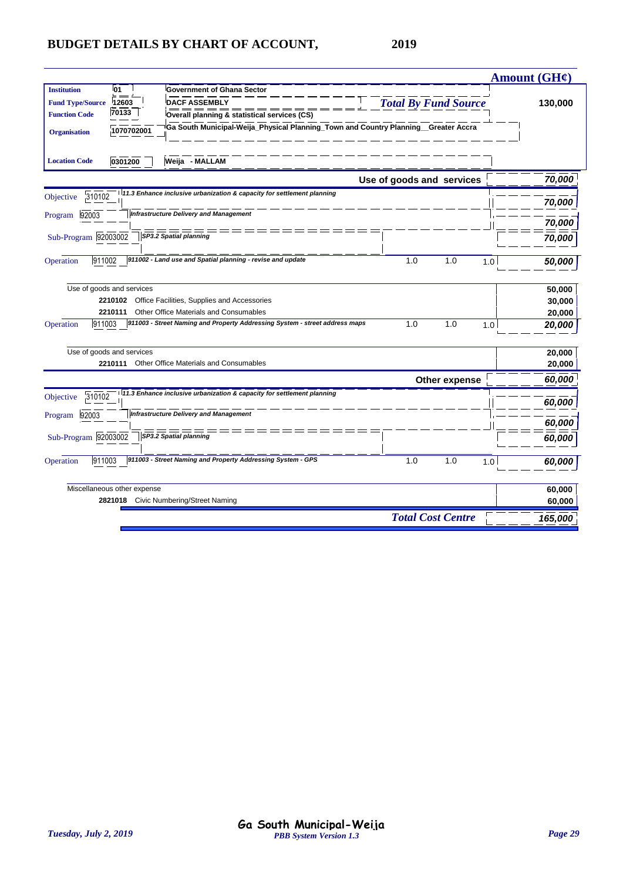|                                                                                                                                                                                                                                                                                                                                        |                             | Amount (GH¢) |
|----------------------------------------------------------------------------------------------------------------------------------------------------------------------------------------------------------------------------------------------------------------------------------------------------------------------------------------|-----------------------------|--------------|
| l01<br><b>Government of Ghana Sector</b><br><b>Institution</b><br><b>DACF ASSEMBLY</b><br><b>Fund Type/Source</b><br>12603<br>70133<br><b>Function Code</b><br>Overall planning & statistical services (CS)<br>Ga South Municipal-Weija_Physical Planning_Town and Country Planning_Greater Accra<br>1070702001<br><b>Organisation</b> | <b>Total By Fund Source</b> | 130,000      |
| <b>Location Code</b><br>0301200<br>Weija - MALLAM                                                                                                                                                                                                                                                                                      | Use of goods and services   | 70,000       |
| 11.3 Enhance inclusive urbanization & capacity for settlement planning<br>310102<br>Objective                                                                                                                                                                                                                                          |                             |              |
| <b>Infrastructure Delivery and Management</b><br>92003<br>Program                                                                                                                                                                                                                                                                      |                             | 70,000       |
|                                                                                                                                                                                                                                                                                                                                        |                             | 70,000       |
| Sub-Program 92003002<br>SP3.2 Spatial planning                                                                                                                                                                                                                                                                                         |                             | 70,000       |
| 911002 - Land use and Spatial planning - revise and update<br>911002<br>Operation                                                                                                                                                                                                                                                      | 1.0<br>1.0<br>1.0           | 50,000       |
| Use of goods and services                                                                                                                                                                                                                                                                                                              |                             | 50,000       |
| 2210102<br>Office Facilities, Supplies and Accessories                                                                                                                                                                                                                                                                                 |                             | 30,000       |
| 2210111<br>Other Office Materials and Consumables                                                                                                                                                                                                                                                                                      |                             | 20,000       |
| 911003<br>911003 - Street Naming and Property Addressing System - street address maps<br>Operation                                                                                                                                                                                                                                     | 1.0<br>1.0<br>1.0           | 20,000       |
| Use of goods and services                                                                                                                                                                                                                                                                                                              |                             | 20,000       |
| Other Office Materials and Consumables<br>2210111                                                                                                                                                                                                                                                                                      |                             | 20,000       |
|                                                                                                                                                                                                                                                                                                                                        | Other expense               | 60,000       |
| 11.3 Enhance inclusive urbanization & capacity for settlement planning<br>310102<br>Objective                                                                                                                                                                                                                                          |                             | 60,000       |
| <b>Infrastructure Delivery and Management</b><br>92003<br>Program                                                                                                                                                                                                                                                                      |                             | 60,000       |
| SP3.2 Spatial planning<br>Sub-Program 92003002                                                                                                                                                                                                                                                                                         |                             | 60,000       |
| 911003 - Street Naming and Property Addressing System - GPS<br>911003<br>Operation                                                                                                                                                                                                                                                     | 1.0<br>1.0<br>1.0           | 60,000       |
| Miscellaneous other expense                                                                                                                                                                                                                                                                                                            |                             | 60,000       |
| 2821018 Civic Numbering/Street Naming                                                                                                                                                                                                                                                                                                  |                             | 60,000       |
|                                                                                                                                                                                                                                                                                                                                        | <b>Total Cost Centre</b>    | 165,000      |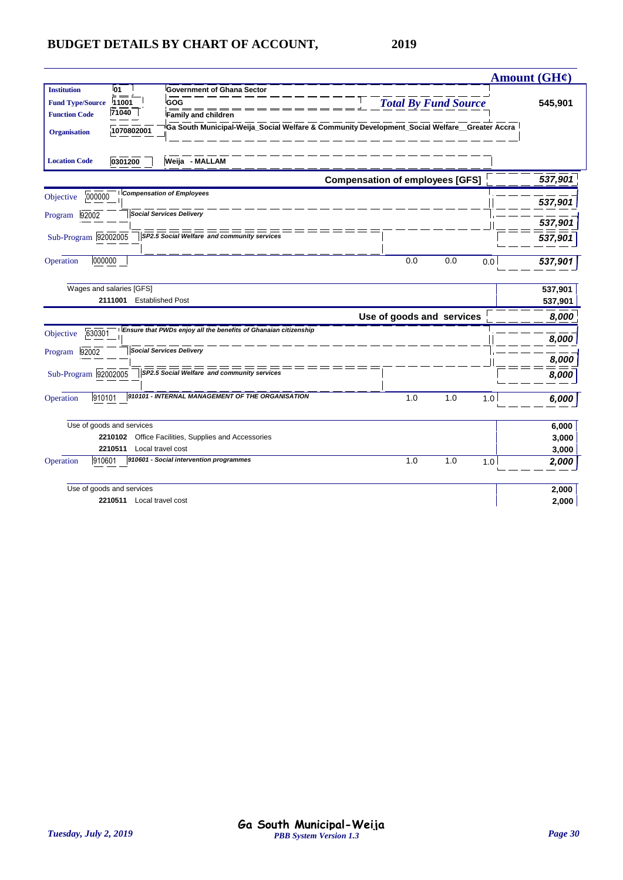|                                                                                                                                                                                                                                                                   |                                                                                                                              | Amount (GH¢)       |
|-------------------------------------------------------------------------------------------------------------------------------------------------------------------------------------------------------------------------------------------------------------------|------------------------------------------------------------------------------------------------------------------------------|--------------------|
| 01<br><b>Institution</b><br><b>Government of Ghana Sector</b><br><b>Fund Type/Source</b><br>11001<br>GOG<br>71040<br><b>Function Code</b><br><b>Family and children</b><br>1070802001<br><b>Organisation</b><br>Weija - MALLAM<br><b>Location Code</b><br>0301200 | <b>Total By Fund Source</b><br>Ga South Municipal-Weija_Social Welfare & Community Development_Social Welfare__Greater Accra | 545,901            |
|                                                                                                                                                                                                                                                                   | <b>Compensation of employees [GFS]</b>                                                                                       | 537,901            |
| <b>Compensation of Employees</b><br>000000<br>Objective<br><b>Social Services Delivery</b><br>Program 92002                                                                                                                                                       |                                                                                                                              | 537,901<br>537,901 |
| Sub-Program 92002005<br>SP2.5 Social Welfare and community services                                                                                                                                                                                               |                                                                                                                              | 537,901            |
| 000000<br>Operation                                                                                                                                                                                                                                               | 0.0<br>0.0<br>0.0                                                                                                            | 537,901            |
| Wages and salaries [GFS]                                                                                                                                                                                                                                          |                                                                                                                              | 537,901            |
| 2111001 Established Post                                                                                                                                                                                                                                          |                                                                                                                              | 537,901            |
|                                                                                                                                                                                                                                                                   | Use of goods and services                                                                                                    | 8,000              |
| Ensure that PWDs enjoy all the benefits of Ghanaian citizenship<br>630301<br>Objective                                                                                                                                                                            |                                                                                                                              | 8,000              |
| <b>Social Services Delivery</b><br>92002<br>Program                                                                                                                                                                                                               |                                                                                                                              | 8,000              |
| SP2.5 Social Welfare and community services<br>Sub-Program 92002005                                                                                                                                                                                               |                                                                                                                              | 8,000              |
| 910101 - INTERNAL MANAGEMENT OF THE ORGANISATION<br>Operation<br>910101                                                                                                                                                                                           | 1.0<br>1.0<br>1.0                                                                                                            | 6,000              |
| Use of goods and services                                                                                                                                                                                                                                         |                                                                                                                              | 6,000              |
| Office Facilities, Supplies and Accessories<br>2210102                                                                                                                                                                                                            |                                                                                                                              | 3,000              |
| 2210511<br>Local travel cost                                                                                                                                                                                                                                      |                                                                                                                              | 3,000              |
| 910601 - Social intervention programmes<br>Operation<br>910601                                                                                                                                                                                                    | 1.0<br>1.0<br>1.0                                                                                                            | 2,000              |
| Use of goods and services                                                                                                                                                                                                                                         |                                                                                                                              | 2,000              |
| 2210511 Local travel cost                                                                                                                                                                                                                                         |                                                                                                                              | 2,000              |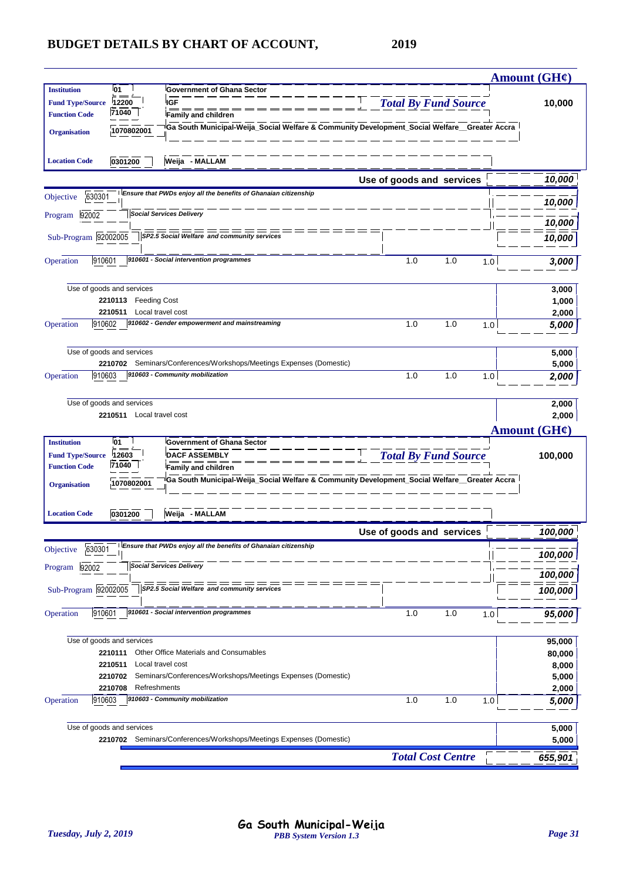|                                                                                                                                                                                                |                                      |                                 |                                                                                               |                             |     |     | <b>Amount (GH¢)</b>                                                                                                                              |
|------------------------------------------------------------------------------------------------------------------------------------------------------------------------------------------------|--------------------------------------|---------------------------------|-----------------------------------------------------------------------------------------------|-----------------------------|-----|-----|--------------------------------------------------------------------------------------------------------------------------------------------------|
| <b>Institution</b>                                                                                                                                                                             | 01                                   |                                 | <b>Government of Ghana Sector</b>                                                             |                             |     |     |                                                                                                                                                  |
| <b>Fund Type/Source</b>                                                                                                                                                                        | 12200<br>71040                       | <b>IGF</b>                      |                                                                                               | <b>Total By Fund Source</b> |     |     | 10,000                                                                                                                                           |
| <b>Function Code</b>                                                                                                                                                                           |                                      |                                 | <b>Family and children</b>                                                                    |                             |     |     |                                                                                                                                                  |
| <b>Organisation</b>                                                                                                                                                                            | 1070802001                           |                                 | Ga South Municipal-Weija_Social Welfare & Community Development_Social Welfare _Greater Accra |                             |     |     |                                                                                                                                                  |
| <b>Location Code</b>                                                                                                                                                                           | 0301200                              |                                 | Weija - MALLAM                                                                                |                             |     |     |                                                                                                                                                  |
|                                                                                                                                                                                                |                                      |                                 |                                                                                               | Use of goods and services   |     |     | 10,000                                                                                                                                           |
| 630301<br>Objective                                                                                                                                                                            |                                      |                                 | Ensure that PWDs enjoy all the benefits of Ghanaian citizenship                               |                             |     |     | 10,000                                                                                                                                           |
| 92002<br>Program                                                                                                                                                                               |                                      | <b>Social Services Delivery</b> |                                                                                               |                             |     |     | 10,000                                                                                                                                           |
| Sub-Program 92002005                                                                                                                                                                           |                                      |                                 | SP2.5 Social Welfare and community services                                                   |                             |     |     | 10,000                                                                                                                                           |
|                                                                                                                                                                                                |                                      |                                 |                                                                                               |                             |     |     |                                                                                                                                                  |
| 910601<br>Operation                                                                                                                                                                            |                                      |                                 | 910601 - Social intervention programmes                                                       | 1.0                         | 1.0 | 1.0 | 3,000                                                                                                                                            |
|                                                                                                                                                                                                | Use of goods and services            |                                 |                                                                                               |                             |     |     | 3,000                                                                                                                                            |
|                                                                                                                                                                                                | 2210113 Feeding Cost                 |                                 |                                                                                               |                             |     |     | 1,000                                                                                                                                            |
|                                                                                                                                                                                                | 2210511                              | Local travel cost               |                                                                                               |                             |     |     | 2,000                                                                                                                                            |
| Operation                                                                                                                                                                                      | 910602                               |                                 | 910602 - Gender empowerment and mainstreaming                                                 | 1.0                         | 1.0 | 1.0 | 5,000                                                                                                                                            |
|                                                                                                                                                                                                | Use of goods and services            |                                 |                                                                                               |                             |     |     | 5,000                                                                                                                                            |
|                                                                                                                                                                                                | 2210702                              |                                 | Seminars/Conferences/Workshops/Meetings Expenses (Domestic)                                   |                             |     |     | 5,000                                                                                                                                            |
| Operation                                                                                                                                                                                      | 910603                               |                                 | 910603 - Community mobilization                                                               | 1.0                         | 1.0 | 1.0 | 2,000                                                                                                                                            |
|                                                                                                                                                                                                |                                      |                                 |                                                                                               |                             |     |     |                                                                                                                                                  |
| Use of goods and services                                                                                                                                                                      |                                      |                                 |                                                                                               |                             |     |     |                                                                                                                                                  |
|                                                                                                                                                                                                | 2210511 Local travel cost            |                                 |                                                                                               |                             |     |     | 2,000                                                                                                                                            |
|                                                                                                                                                                                                |                                      |                                 |                                                                                               |                             |     |     | Amount $(GH\mathcal{C})$                                                                                                                         |
|                                                                                                                                                                                                | 01                                   |                                 | <b>Government of Ghana Sector</b>                                                             |                             |     |     |                                                                                                                                                  |
|                                                                                                                                                                                                | 12603                                |                                 | <b>DACF ASSEMBLY</b>                                                                          | <b>Total By Fund Source</b> |     |     |                                                                                                                                                  |
|                                                                                                                                                                                                | 71040                                |                                 | <b>Family and children</b>                                                                    |                             |     |     |                                                                                                                                                  |
|                                                                                                                                                                                                | 1070802001                           |                                 | Ga South Municipal-Weija_Social Welfare & Community Development_Social Welfare__Greater Accra |                             |     |     |                                                                                                                                                  |
|                                                                                                                                                                                                |                                      |                                 |                                                                                               |                             |     |     |                                                                                                                                                  |
|                                                                                                                                                                                                | 0301200                              |                                 | Weija - MALLAM                                                                                |                             |     |     |                                                                                                                                                  |
|                                                                                                                                                                                                |                                      |                                 |                                                                                               | Use of goods and services   |     |     |                                                                                                                                                  |
| 630301                                                                                                                                                                                         |                                      |                                 | Ensure that PWDs enjoy all the benefits of Ghanaian citizenship                               |                             |     |     |                                                                                                                                                  |
| 92002                                                                                                                                                                                          |                                      | <b>Social Services Delivery</b> |                                                                                               |                             |     |     |                                                                                                                                                  |
|                                                                                                                                                                                                |                                      |                                 | SP2.5 Social Welfare and community services                                                   |                             |     |     |                                                                                                                                                  |
| 910601                                                                                                                                                                                         |                                      |                                 | 910601 - Social intervention programmes                                                       | 1.0                         | 1.0 | 1.0 |                                                                                                                                                  |
|                                                                                                                                                                                                |                                      |                                 |                                                                                               |                             |     |     |                                                                                                                                                  |
|                                                                                                                                                                                                | Use of goods and services<br>2210111 |                                 | Other Office Materials and Consumables                                                        |                             |     |     |                                                                                                                                                  |
|                                                                                                                                                                                                | 2210511                              | Local travel cost               |                                                                                               |                             |     |     |                                                                                                                                                  |
|                                                                                                                                                                                                | 2210702                              |                                 | Seminars/Conferences/Workshops/Meetings Expenses (Domestic)                                   |                             |     |     |                                                                                                                                                  |
|                                                                                                                                                                                                | 2210708                              | Refreshments                    |                                                                                               |                             |     |     |                                                                                                                                                  |
|                                                                                                                                                                                                | 910603                               |                                 | 910603 - Community mobilization                                                               | 1.0                         | 1.0 | 1.0 |                                                                                                                                                  |
|                                                                                                                                                                                                | Use of goods and services            |                                 |                                                                                               |                             |     |     |                                                                                                                                                  |
| <b>Institution</b><br><b>Fund Type/Source</b><br><b>Function Code</b><br><b>Organisation</b><br><b>Location Code</b><br>Objective<br>Program<br>Sub-Program 92002005<br>Operation<br>Operation |                                      |                                 | 2210702 Seminars/Conferences/Workshops/Meetings Expenses (Domestic)                           |                             |     |     | 2,000<br>100,000<br>100,000<br>100,000<br>100,000<br>100,000<br>95,000<br>95,000<br>80,000<br>8,000<br>5,000<br>2,000<br>5,000<br>5,000<br>5,000 |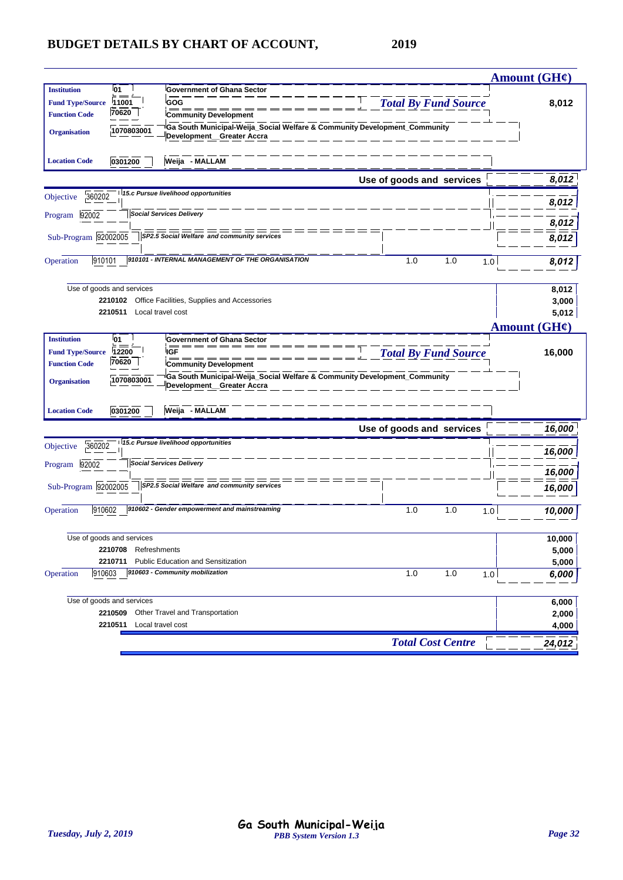|                                                                                                                                                          |                             | <b>Amount (GH¢)</b> |
|----------------------------------------------------------------------------------------------------------------------------------------------------------|-----------------------------|---------------------|
| 01<br>Government of Ghana Sector<br><b>Institution</b>                                                                                                   |                             |                     |
| GOG<br><b>Fund Type/Source</b><br>11001                                                                                                                  | <b>Total By Fund Source</b> | 8,012               |
| 70620<br><b>Function Code</b><br><b>Community Development</b>                                                                                            |                             |                     |
| <sup>i</sup> Ga South Municipal-Weija_Social Welfare & Community Development_Community<br>1070803001<br><b>Organisation</b><br>Development_Greater Accra |                             |                     |
| Weija - MALLAM<br>0301200<br><b>Location Code</b>                                                                                                        |                             |                     |
|                                                                                                                                                          | Use of goods and services   | 8,012               |
| 15.c Pursue livelihood opportunities<br>360202<br>Objective                                                                                              |                             | 8,012               |
| <b>Social Services Delivery</b><br>92002<br>Program                                                                                                      |                             | 8,012               |
| Sub-Program 92002005<br>SP2.5 Social Welfare and community services                                                                                      |                             |                     |
|                                                                                                                                                          |                             | 8,012               |
| 910101<br>910101 - INTERNAL MANAGEMENT OF THE ORGANISATION<br>Operation                                                                                  | 1.0<br>1.0<br>1.0           | 8,012               |
|                                                                                                                                                          |                             |                     |
| Use of goods and services<br>Office Facilities, Supplies and Accessories<br>2210102                                                                      |                             | 8,012<br>3,000      |
| 2210511<br>Local travel cost                                                                                                                             |                             | 5,012               |
|                                                                                                                                                          |                             | Amount (GH¢)        |
| <b>Institution</b><br>01<br><b>Government of Ghana Sector</b>                                                                                            |                             |                     |
| IGF<br><b>Fund Type/Source</b><br>12200                                                                                                                  | <b>Total By Fund Source</b> | 16,000              |
| 70620<br><b>Function Code</b><br><b>Community Development</b>                                                                                            |                             |                     |
| <sup>i</sup> Ga South Municipal-Weija_Social Welfare & Community Development_Community<br>1070803001<br><b>Organisation</b><br>Development_Greater Accra |                             |                     |
|                                                                                                                                                          |                             |                     |
| Weija - MALLAM<br>0301200<br><b>Location Code</b>                                                                                                        |                             |                     |
|                                                                                                                                                          | Use of goods and services   | 16,000              |
| 15.c Pursue livelihood opportunities<br>360202<br>Objective                                                                                              |                             | 16,000              |
| <b>Social Services Delivery</b><br>92002<br>Program                                                                                                      |                             | 16,000              |
| $=$ $=$ $=$ $=$<br>Sub-Program 92002005<br>SP2.5 Social Welfare and community services                                                                   |                             | 16,000              |
| 910602 - Gender empowerment and mainstreaming<br>910602<br>Operation                                                                                     | 1.0<br>1.0<br>1.0           | 10,000              |
| Use of goods and services                                                                                                                                |                             | 10,000              |
| 2210708 Refreshments                                                                                                                                     |                             | 5,000               |
| Public Education and Sensitization<br>2210711                                                                                                            |                             | 5,000               |
| 910603 - Community mobilization<br>910603<br>Operation                                                                                                   | 1.0<br>1.0<br>1.0           | 6,000               |
| Use of goods and services                                                                                                                                |                             | 6,000               |
| 2210509 Other Travel and Transportation                                                                                                                  |                             | 2,000               |
| 2210511 Local travel cost                                                                                                                                |                             | 4,000               |
|                                                                                                                                                          | <b>Total Cost Centre</b>    | 24,012              |
|                                                                                                                                                          |                             |                     |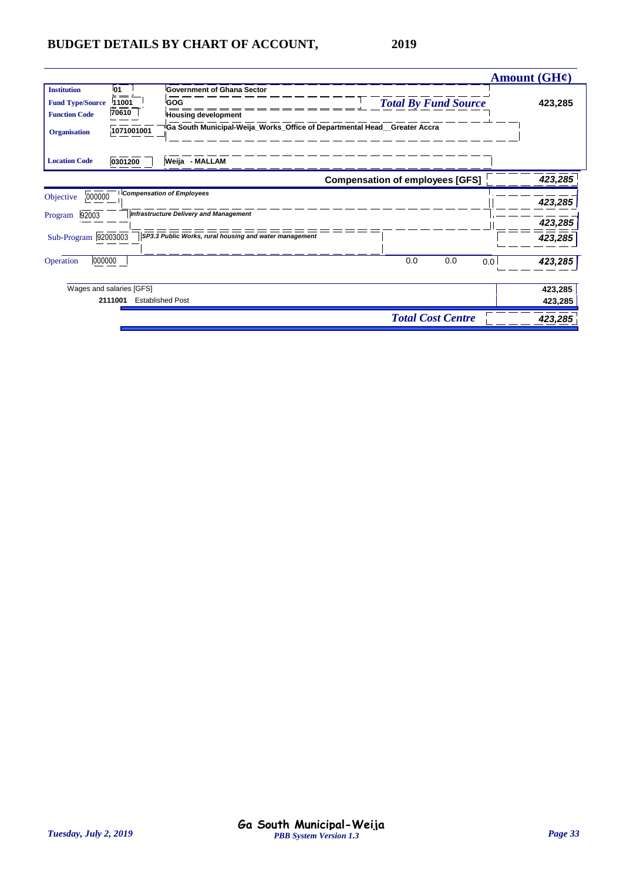|                                                                                                                                    |                                                                                                                                                                  |                                        | <b>Amount (GH¢)</b> |
|------------------------------------------------------------------------------------------------------------------------------------|------------------------------------------------------------------------------------------------------------------------------------------------------------------|----------------------------------------|---------------------|
| <b>Institution</b><br>01<br>11001<br><b>Fund Type/Source</b><br>70610<br><b>Function Code</b><br>1071001001<br><b>Organisation</b> | <b>Government of Ghana Sector</b><br>GOG<br><b>Housing development</b><br><sup>i</sup> Ga South Municipal-Weija_Works_Office of Departmental Head__Greater Accra | <b>Total By Fund Source</b>            | 423,285             |
| <b>Location Code</b><br>0301200                                                                                                    | Weija - MALLAM                                                                                                                                                   |                                        |                     |
|                                                                                                                                    |                                                                                                                                                                  | <b>Compensation of employees [GFS]</b> | 423,285             |
| 000000<br>Objective                                                                                                                | <b>Compensation of Employees</b>                                                                                                                                 |                                        | 423,285             |
| 92003<br>Program                                                                                                                   | Infrastructure Delivery and Management                                                                                                                           |                                        | 423,285             |
| Sub-Program 92003003                                                                                                               | SP3.3 Public Works, rural housing and water management                                                                                                           |                                        | 423,285             |
| 000000<br>Operation                                                                                                                |                                                                                                                                                                  | 0.0<br>0.0<br>0.0                      | 423,285             |
| Wages and salaries [GFS]                                                                                                           |                                                                                                                                                                  |                                        | 423,285             |
| 2111001                                                                                                                            | <b>Established Post</b>                                                                                                                                          |                                        | 423,285             |
|                                                                                                                                    |                                                                                                                                                                  | <b>Total Cost Centre</b>               | 423,285             |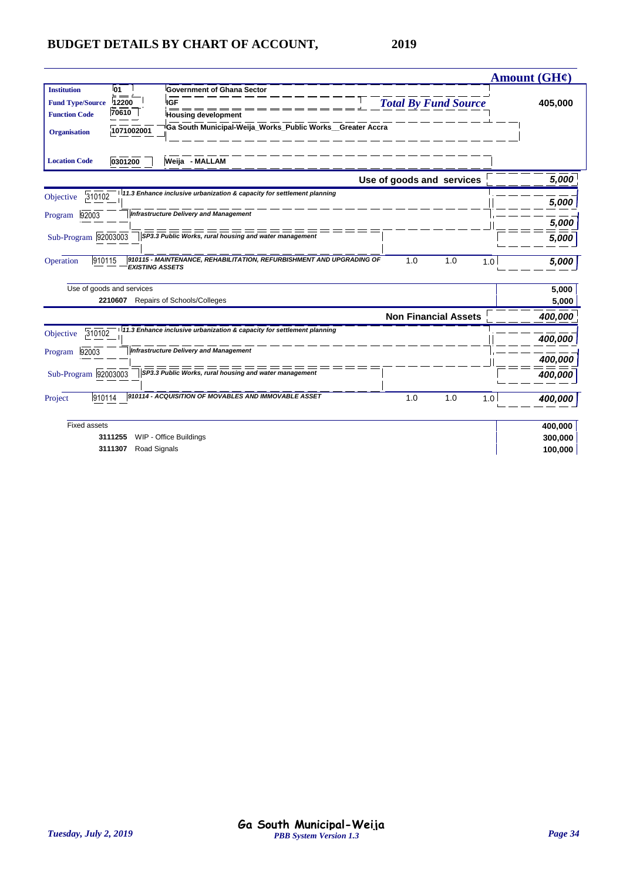|                                                                                                                       |                             | Amount (GH¢) |
|-----------------------------------------------------------------------------------------------------------------------|-----------------------------|--------------|
| 01<br><b>Institution</b><br><b>Government of Ghana Sector</b>                                                         |                             |              |
| 12200<br><b>IGF</b><br><b>Fund Type/Source</b>                                                                        | <b>Total By Fund Source</b> | 405,000      |
| 70610<br><b>Function Code</b><br><b>Housing development</b>                                                           |                             |              |
| Ga South Municipal-Weija_Works_Public Works__Greater Accra<br>1071002001<br><b>Organisation</b>                       |                             |              |
| <b>Location Code</b><br>0301200<br>Weija - MALLAM                                                                     |                             |              |
|                                                                                                                       | Use of goods and services   | 5,000        |
| 111.3 Enhance inclusive urbanization & capacity for settlement planning<br>310102<br>Objective                        |                             |              |
| <b>Infrastructure Delivery and Management</b>                                                                         |                             | 5,000        |
| 92003<br>Program                                                                                                      |                             | 5,000        |
| Sub-Program 92003003<br>SP3.3 Public Works, rural housing and water management                                        |                             | 5,000        |
| 910115 - MAINTENANCE, REHABILITATION, REFURBISHMENT AND UPGRADING OF<br>910115<br>Operation<br><b>EXISTING ASSETS</b> | 1.0<br>1.0<br>1.0           | 5,000        |
| Use of goods and services                                                                                             |                             | 5,000        |
| 2210607<br>Repairs of Schools/Colleges                                                                                |                             | 5,000        |
|                                                                                                                       | <b>Non Financial Assets</b> | 400,000      |
| 11.3 Enhance inclusive urbanization & capacity for settlement planning<br>310102<br>Objective                         |                             | 400,000      |
| <b>Infrastructure Delivery and Management</b><br>92003<br>Program                                                     |                             |              |
|                                                                                                                       |                             | 400,000      |
| Sub-Program 92003003<br>SP3.3 Public Works, rural housing and water management                                        |                             | 400,000      |
| 910114 - ACQUISITION OF MOVABLES AND IMMOVABLE ASSET<br>910114<br>Project                                             | 1.0<br>1.0<br>1.0           | 400,000      |
| <b>Fixed assets</b>                                                                                                   |                             | 400,000      |
| WIP - Office Buildings<br>3111255                                                                                     |                             | 300,000      |
| Road Signals<br>3111307                                                                                               |                             | 100,000      |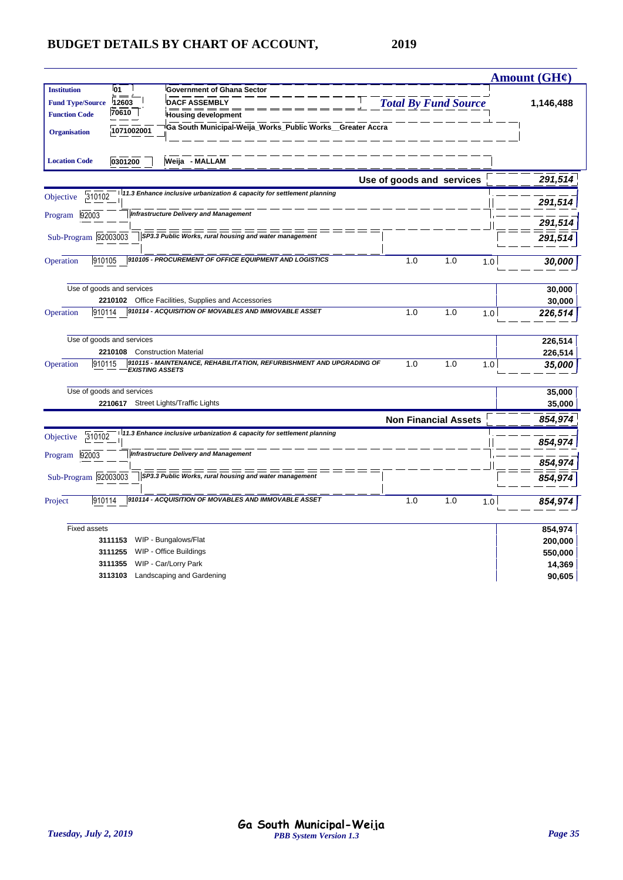|                         |                           |                                                                                                |                             |     |     | <b>Amount (GH¢)</b> |
|-------------------------|---------------------------|------------------------------------------------------------------------------------------------|-----------------------------|-----|-----|---------------------|
| <b>Institution</b>      | 01                        | <b>Government of Ghana Sector</b>                                                              |                             |     |     |                     |
| <b>Fund Type/Source</b> | 12603                     | <b>DACF ASSEMBLY</b>                                                                           | <b>Total By Fund Source</b> |     |     | 1,146,488           |
| <b>Function Code</b>    | 70610                     | <b>Housing development</b>                                                                     |                             |     |     |                     |
| <b>Organisation</b>     | 1071002001                | Ga South Municipal-Weija_Works_Public Works_Greater Accra                                      |                             |     |     |                     |
| <b>Location Code</b>    | 0301200                   | Weija - MALLAM                                                                                 |                             |     |     |                     |
|                         |                           |                                                                                                | Use of goods and services   |     |     | 291,514             |
| 310102<br>Objective     |                           | 11.3 Enhance inclusive urbanization & capacity for settlement planning                         |                             |     |     | 291,514             |
| Program 92003           |                           | <b>Infrastructure Delivery and Management</b>                                                  |                             |     |     |                     |
|                         |                           |                                                                                                |                             |     |     | 291,514             |
| Sub-Program 92003003    |                           | SP3.3 Public Works, rural housing and water management                                         |                             |     |     | 291,514             |
| Operation               | 910105                    | 910105 - PROCUREMENT OF OFFICE EQUIPMENT AND LOGISTICS                                         | 1.0                         | 1.0 | 1.0 | 30,000              |
|                         | Use of goods and services |                                                                                                |                             |     |     | 30,000              |
|                         |                           | 2210102 Office Facilities, Supplies and Accessories                                            |                             |     |     | 30,000              |
| Operation               | 910114                    | 910114 - ACQUISITION OF MOVABLES AND IMMOVABLE ASSET                                           | 1.0                         | 1.0 | 1.0 | 226,514             |
|                         | Use of goods and services |                                                                                                |                             |     |     | 226,514             |
|                         |                           | 2210108 Construction Material                                                                  |                             |     |     | 226,514             |
| Operation               | 910115                    | 910115 - MAINTENANCE, REHABILITATION, REFURBISHMENT AND UPGRADING OF<br><b>EXISTING ASSETS</b> | 1.0                         | 1.0 | 1.0 | 35,000              |
|                         | Use of goods and services |                                                                                                |                             |     |     | 35,000              |
|                         |                           | 2210617 Street Lights/Traffic Lights                                                           |                             |     |     | 35,000              |
|                         |                           |                                                                                                | <b>Non Financial Assets</b> |     |     | 854,974             |
| 310102<br>Objective     |                           | 11.3 Enhance inclusive urbanization & capacity for settlement planning                         |                             |     |     | 854,974             |
| 92003<br>Program        |                           | <b>Infrastructure Delivery and Management</b>                                                  |                             |     |     | 854,974             |
| Sub-Program 92003003    |                           | SP3.3 Public Works, rural housing and water management                                         |                             |     |     | 854,974             |
| Project                 | 910114                    | 910114 - ACQUISITION OF MOVABLES AND IMMOVABLE ASSET                                           | 1.0                         | 1.0 | 1.0 | 854,974             |
| <b>Fixed assets</b>     |                           |                                                                                                |                             |     |     | 854,974             |
|                         | 3111153                   | WIP - Bungalows/Flat                                                                           |                             |     |     | 200,000             |
|                         | 3111255                   | WIP - Office Buildings                                                                         |                             |     |     | 550,000             |
|                         | 3111355                   | WIP - Car/Lorry Park                                                                           |                             |     |     | 14,369              |
|                         | 3113103                   | Landscaping and Gardening                                                                      |                             |     |     | 90,605              |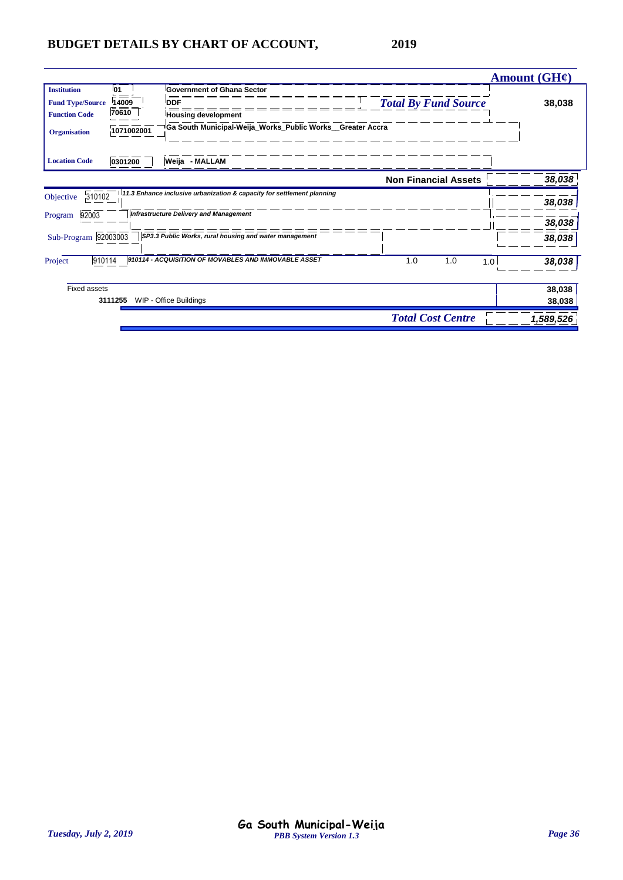|                          |                |                                                                         |                             | <b>Amount (GH¢)</b> |
|--------------------------|----------------|-------------------------------------------------------------------------|-----------------------------|---------------------|
| 01<br><b>Institution</b> |                | <b>Government of Ghana Sector</b>                                       |                             |                     |
| <b>Fund Type/Source</b>  | 14009<br>$= -$ | <b>DDF</b>                                                              | <b>Total By Fund Source</b> | 38,038              |
| <b>Function Code</b>     | 70610          | <b>Housing development</b>                                              |                             |                     |
| <b>Organisation</b>      | 1071002001     | <sup>i</sup> Ga South Municipal-Weija_Works_Public Works__Greater Accra |                             |                     |
| <b>Location Code</b>     | 0301200        | Weija - MALLAM                                                          |                             |                     |
|                          |                |                                                                         | <b>Non Financial Assets</b> | 38,038              |
| 310102<br>Objective      |                | 11.3 Enhance inclusive urbanization & capacity for settlement planning  |                             | 38,038              |
| 92003<br>Program         |                | <b>Infrastructure Delivery and Management</b>                           |                             |                     |
|                          |                |                                                                         |                             | 38,038              |
| Sub-Program 92003003     |                | SP3.3 Public Works, rural housing and water management                  |                             | 38,038              |
| 910114<br>Project        |                | 910114 - ACQUISITION OF MOVABLES AND IMMOVABLE ASSET                    | 1.0<br>1.0                  | 38,038<br>1.0       |
| <b>Fixed assets</b>      |                |                                                                         |                             | 38,038              |
| 3111255                  |                | WIP - Office Buildings                                                  |                             | 38,038              |
|                          |                |                                                                         | <b>Total Cost Centre</b>    | 1,589,526           |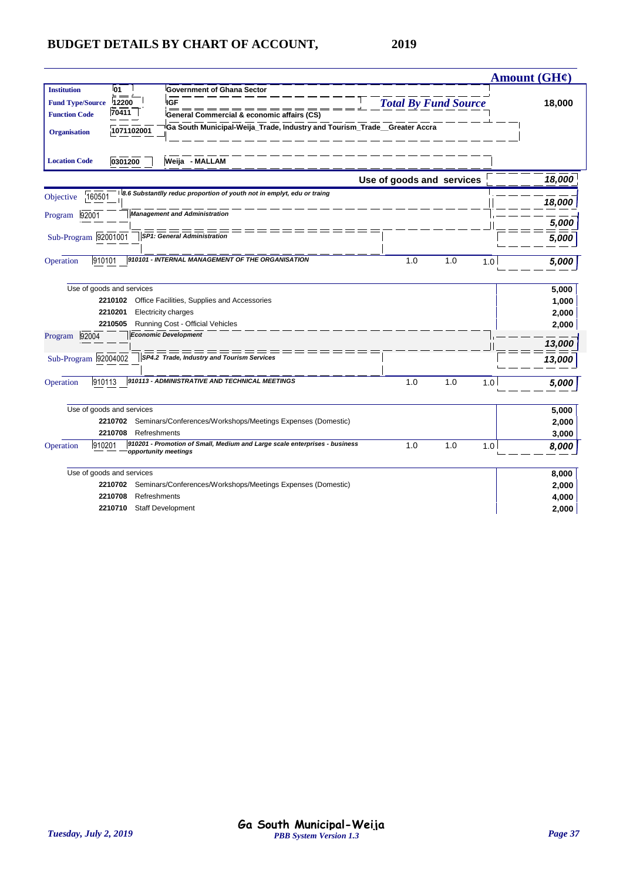| l01<br><b>Institution</b><br><b>Government of Ghana Sector</b><br><b>IGF</b><br><b>Total By Fund Source</b><br><b>Fund Type/Source</b><br>12200<br>18,000<br>70411<br><b>Function Code</b><br>General Commercial & economic affairs (CS)<br>Ga South Municipal-Weija_Trade, Industry and Tourism_Trade_Greater Accra<br>1071102001<br><b>Organisation</b><br>Weija - MALLAM<br><b>Location Code</b><br>0301200<br>Use of goods and services<br>8.6 Substantlly reduc proportion of youth not in emplyt, edu or traing<br>160501<br>Objective<br>18,000<br><b>Management and Administration</b><br>92001<br>Program | Amount (GH¢) |
|--------------------------------------------------------------------------------------------------------------------------------------------------------------------------------------------------------------------------------------------------------------------------------------------------------------------------------------------------------------------------------------------------------------------------------------------------------------------------------------------------------------------------------------------------------------------------------------------------------------------|--------------|
|                                                                                                                                                                                                                                                                                                                                                                                                                                                                                                                                                                                                                    |              |
|                                                                                                                                                                                                                                                                                                                                                                                                                                                                                                                                                                                                                    |              |
|                                                                                                                                                                                                                                                                                                                                                                                                                                                                                                                                                                                                                    |              |
|                                                                                                                                                                                                                                                                                                                                                                                                                                                                                                                                                                                                                    |              |
|                                                                                                                                                                                                                                                                                                                                                                                                                                                                                                                                                                                                                    |              |
|                                                                                                                                                                                                                                                                                                                                                                                                                                                                                                                                                                                                                    | 18,000       |
|                                                                                                                                                                                                                                                                                                                                                                                                                                                                                                                                                                                                                    |              |
|                                                                                                                                                                                                                                                                                                                                                                                                                                                                                                                                                                                                                    |              |
|                                                                                                                                                                                                                                                                                                                                                                                                                                                                                                                                                                                                                    | 5,000        |
| SP1: General Administration<br>Sub-Program 92001001                                                                                                                                                                                                                                                                                                                                                                                                                                                                                                                                                                | 5,000        |
|                                                                                                                                                                                                                                                                                                                                                                                                                                                                                                                                                                                                                    |              |
| 910101 - INTERNAL MANAGEMENT OF THE ORGANISATION<br>910101<br>1.0<br>1.0<br>Operation<br>1.0                                                                                                                                                                                                                                                                                                                                                                                                                                                                                                                       | 5,000        |
| Use of goods and services                                                                                                                                                                                                                                                                                                                                                                                                                                                                                                                                                                                          | 5,000        |
| Office Facilities, Supplies and Accessories<br>2210102                                                                                                                                                                                                                                                                                                                                                                                                                                                                                                                                                             | 1,000        |
| 2210201<br>Electricity charges                                                                                                                                                                                                                                                                                                                                                                                                                                                                                                                                                                                     | 2,000        |
| 2210505<br>Running Cost - Official Vehicles                                                                                                                                                                                                                                                                                                                                                                                                                                                                                                                                                                        | 2,000        |
| <b>Economic Development</b><br>92004<br>Program                                                                                                                                                                                                                                                                                                                                                                                                                                                                                                                                                                    |              |
|                                                                                                                                                                                                                                                                                                                                                                                                                                                                                                                                                                                                                    | 13,000       |
| SP4.2 Trade, Industry and Tourism Services<br>Sub-Program 92004002<br>13,000                                                                                                                                                                                                                                                                                                                                                                                                                                                                                                                                       |              |
|                                                                                                                                                                                                                                                                                                                                                                                                                                                                                                                                                                                                                    |              |
| 910113 - ADMINISTRATIVE AND TECHNICAL MEETINGS<br>910113<br>Operation<br>1.0<br>1.0<br>1.0                                                                                                                                                                                                                                                                                                                                                                                                                                                                                                                         | 5,000        |
| Use of goods and services                                                                                                                                                                                                                                                                                                                                                                                                                                                                                                                                                                                          | 5,000        |
| Seminars/Conferences/Workshops/Meetings Expenses (Domestic)<br>2210702                                                                                                                                                                                                                                                                                                                                                                                                                                                                                                                                             | 2,000        |
| 2210708<br>Refreshments                                                                                                                                                                                                                                                                                                                                                                                                                                                                                                                                                                                            | 3,000        |
| 910201 - Promotion of Small, Medium and Large scale enterprises - business<br>1.0<br>1.0<br>Operation<br>910201<br>1.0<br>opportunity meetings                                                                                                                                                                                                                                                                                                                                                                                                                                                                     | 8,000        |
| Use of goods and services                                                                                                                                                                                                                                                                                                                                                                                                                                                                                                                                                                                          | 8,000        |
| Seminars/Conferences/Workshops/Meetings Expenses (Domestic)<br>2210702                                                                                                                                                                                                                                                                                                                                                                                                                                                                                                                                             | 2,000        |
| 2210708<br>Refreshments                                                                                                                                                                                                                                                                                                                                                                                                                                                                                                                                                                                            | 4,000        |
| <b>Staff Development</b><br>2,000<br>2210710                                                                                                                                                                                                                                                                                                                                                                                                                                                                                                                                                                       |              |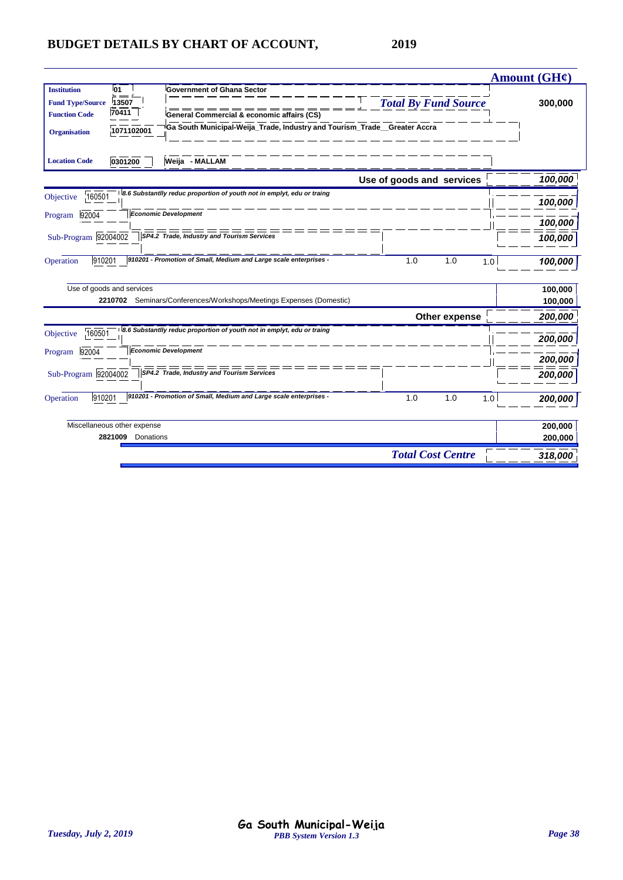|                                                                                                                | Amount (GH¢) |  |
|----------------------------------------------------------------------------------------------------------------|--------------|--|
| <b>01</b><br><b>Institution</b><br><b>Government of Ghana Sector</b>                                           |              |  |
| <b>Total By Fund Source</b><br><b>Fund Type/Source</b><br>13507                                                | 300,000      |  |
| 70411<br><b>Function Code</b><br>General Commercial & economic affairs (CS)                                    |              |  |
| Ga South Municipal-Weija_Trade, Industry and Tourism_Trade__Greater Accra<br>1071102001<br><b>Organisation</b> |              |  |
| 0301200<br>Weija - MALLAM<br><b>Location Code</b>                                                              |              |  |
| Use of goods and services                                                                                      | 100,000      |  |
| 8.6 Substantlly reduc proportion of youth not in emplyt, edu or traing<br>160501<br>Objective                  | 100,000      |  |
| <b>Economic Development</b><br>92004<br>Program                                                                | 100,000      |  |
| SP4.2 Trade, Industry and Tourism Services<br>Sub-Program 92004002                                             | 100,000      |  |
| 910201<br>910201 - Promotion of Small, Medium and Large scale enterprises -<br>1.0<br>1.0<br>Operation<br>1.0  | 100,000      |  |
| Use of goods and services                                                                                      | 100,000      |  |
| 2210702 Seminars/Conferences/Workshops/Meetings Expenses (Domestic)                                            | 100,000      |  |
| Other expense                                                                                                  |              |  |
| 8.6 Substantlly reduc proportion of youth not in emplyt, edu or traing<br>160501<br>Objective                  | 200,000      |  |
| Economic Development<br>92004<br>Program                                                                       |              |  |
|                                                                                                                | 200,000      |  |
| Sub-Program 92004002<br>SP4.2 Trade, Industry and Tourism Services                                             | 200,000      |  |
| 910201 - Promotion of Small, Medium and Large scale enterprises -<br>910201<br>1.0<br>1.0<br>Operation<br>1.0  | 200,000      |  |
| Miscellaneous other expense                                                                                    | 200,000      |  |
| 2821009<br>Donations                                                                                           | 200,000      |  |
| <b>Total Cost Centre</b>                                                                                       | 318,000      |  |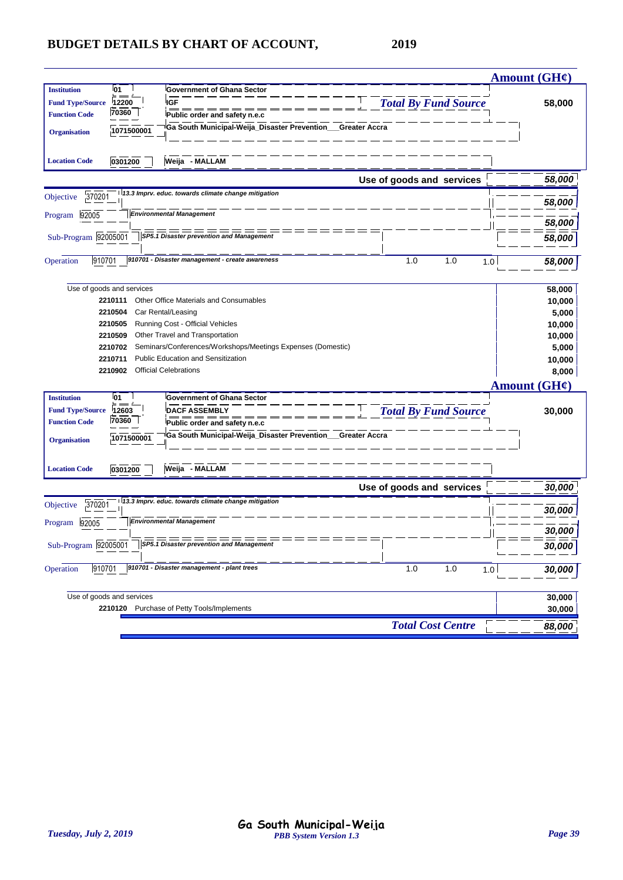|                                                                                                                     |                             | <b>Amount (GH¢)</b>      |
|---------------------------------------------------------------------------------------------------------------------|-----------------------------|--------------------------|
| <b>Institution</b><br>01<br><b>Government of Ghana Sector</b>                                                       |                             |                          |
| 12200<br><b>IGF</b><br><b>Fund Type/Source</b>                                                                      | <b>Total By Fund Source</b> | 58,000                   |
| 70360<br><b>Function Code</b><br>Public order and safety n.e.c                                                      |                             |                          |
| Ga South Municipal-Weija_Disaster Prevention_<br>1071500001<br><b>Organisation</b>                                  | Greater Accra               |                          |
|                                                                                                                     |                             |                          |
| Weija - MALLAM<br><b>Location Code</b><br>0301200                                                                   |                             |                          |
|                                                                                                                     |                             |                          |
|                                                                                                                     | Use of goods and services   | 58,000                   |
| 13.3 Imprv. educ. towards climate change mitigation<br>370201<br>Objective                                          |                             | 58,000                   |
| <b>Environmental Management</b><br>92005<br>Program                                                                 |                             |                          |
|                                                                                                                     |                             | 58,000                   |
| Sub-Program 92005001<br><b>SP5.1 Disaster prevention and Management</b>                                             |                             | 58,000                   |
|                                                                                                                     |                             |                          |
| 910701 - Disaster management - create awareness<br>910701<br>Operation                                              | 1.0<br>1.0<br>1.0           | 58,000                   |
|                                                                                                                     |                             |                          |
| Use of goods and services                                                                                           |                             | 58,000                   |
| Other Office Materials and Consumables<br>2210111                                                                   |                             | 10,000                   |
| 2210504<br>Car Rental/Leasing                                                                                       |                             | 5,000                    |
| Running Cost - Official Vehicles<br>2210505                                                                         |                             | 10,000                   |
| Other Travel and Transportation<br>2210509                                                                          |                             | 10,000                   |
| Seminars/Conferences/Workshops/Meetings Expenses (Domestic)<br>2210702<br><b>Public Education and Sensitization</b> |                             | 5,000                    |
| 2210711<br><b>Official Celebrations</b><br>2210902                                                                  |                             | 10,000<br>8,000          |
|                                                                                                                     |                             |                          |
|                                                                                                                     |                             | Amount $(GH\mathcal{C})$ |
| <b>Institution</b><br>01<br><b>Government of Ghana Sector</b>                                                       |                             |                          |
| <b>DACF ASSEMBLY</b><br>12603<br><b>Fund Type/Source</b><br>70360                                                   | <b>Total By Fund Source</b> | 30,000                   |
| <b>Function Code</b><br>Public order and safety n.e.c                                                               |                             |                          |
| Ga South Municipal-Weija_Disaster Prevention_<br>1071500001<br><b>Organisation</b>                                  | Greater Accra               |                          |
|                                                                                                                     |                             |                          |
| <b>Location Code</b><br>0301200<br>Weija - MALLAM                                                                   |                             |                          |
|                                                                                                                     | Use of goods and services   | 30,000                   |
| 13.3 Imprv. educ. towards climate change mitigation<br>370201<br>Objective                                          |                             |                          |
|                                                                                                                     |                             | 30,000                   |
| <b>Environmental Management</b><br>Program 92005                                                                    |                             | 30,000                   |
| Sub-Program 92005001<br>SP5.1 Disaster prevention and Management                                                    |                             |                          |
|                                                                                                                     |                             | 30,000                   |
| 910701 - Disaster management - plant trees<br>910701<br>Operation                                                   | 1.0<br>1.0<br>1.0           | 30,000                   |
|                                                                                                                     |                             |                          |
| Use of goods and services                                                                                           |                             | 30,000                   |
| 2210120 Purchase of Petty Tools/Implements                                                                          |                             | 30,000                   |
|                                                                                                                     |                             |                          |
|                                                                                                                     | <b>Total Cost Centre</b>    | 88,000                   |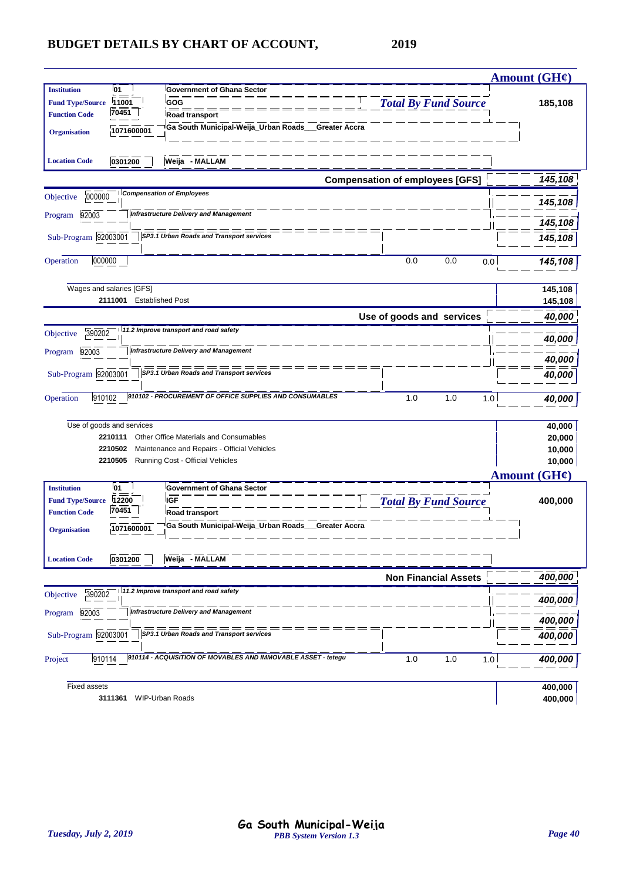|                         |                           |                                                               |                                        | <b>Amount (GH¢)</b>      |
|-------------------------|---------------------------|---------------------------------------------------------------|----------------------------------------|--------------------------|
| <b>Institution</b>      | l01                       | <b>Government of Ghana Sector</b>                             |                                        |                          |
| <b>Fund Type/Source</b> | 11001                     | GOG                                                           | <b>Total By Fund Source</b>            | 185,108                  |
| <b>Function Code</b>    | 70451                     | Road transport                                                |                                        |                          |
| <b>Organisation</b>     | 1071600001                | Ga South Municipal-Weija_Urban Roads__Greater Accra           |                                        |                          |
| <b>Location Code</b>    | 0301200                   | Weija - MALLAM                                                |                                        |                          |
|                         |                           |                                                               | <b>Compensation of employees [GFS]</b> | 145,108                  |
| 000000<br>Objective     |                           | <b>Compensation of Employees</b>                              |                                        | 145,108                  |
| Program 92003           |                           | <b>Infrastructure Delivery and Management</b>                 |                                        | 145,108                  |
| Sub-Program 92003001    |                           | ===<br>SP3.1 Urban Roads and Transport services               |                                        | 145,108                  |
| 000000<br>Operation     |                           |                                                               | 0.0<br>0.0<br>0.0                      | 145,108                  |
|                         | Wages and salaries [GFS]  |                                                               |                                        | 145,108                  |
|                         | 2111001                   | <b>Established Post</b>                                       |                                        | 145,108                  |
|                         |                           |                                                               | Use of goods and services              | 40,000                   |
| 390202<br>Objective     |                           | 11.2 Improve transport and road safety                        |                                        | 40,000                   |
| 92003<br>Program        |                           | <b>Infrastructure Delivery and Management</b>                 |                                        | 40,000                   |
| Sub-Program 92003001    |                           | SP3.1 Urban Roads and Transport services                      |                                        | 40,000                   |
| 910102<br>Operation     |                           | 910102 - PROCUREMENT OF OFFICE SUPPLIES AND CONSUMABLES       | 1.0<br>1.0<br>1.0                      | 40,000                   |
|                         | Use of goods and services |                                                               |                                        | 40,000                   |
|                         | 2210111                   | Other Office Materials and Consumables                        |                                        | 20,000                   |
|                         | 2210502                   | Maintenance and Repairs - Official Vehicles                   |                                        | 10,000                   |
|                         | 2210505                   | Running Cost - Official Vehicles                              |                                        | 10,000                   |
|                         |                           |                                                               |                                        | Amount $(GH\mathcal{C})$ |
| <b>Institution</b>      | 01                        | <b>Government of Ghana Sector</b>                             |                                        |                          |
| <b>Fund Type/Source</b> | 12200<br>70451            | <b>IGF</b>                                                    | <b>Total By Fund Source</b>            | 400,000                  |
| <b>Function Code</b>    |                           | Road transport                                                |                                        |                          |
| <b>Organisation</b>     | 1071600001                | Ga South Municipal-Weija_Urban Roads__Greater Accra           |                                        |                          |
| <b>Location Code</b>    | 0301200                   | Weija - MALLAM                                                |                                        |                          |
|                         |                           |                                                               | <b>Non Financial Assets</b>            | 400,000                  |
| 390202<br>Objective     |                           | 11.2 Improve transport and road safety                        |                                        | 400,000                  |
| 92003<br>Program        |                           | <b>Infrastructure Delivery and Management</b>                 |                                        | 400,000                  |
| Sub-Program 92003001    |                           | SP3.1 Urban Roads and Transport services                      |                                        | 400,000                  |
| 910114<br>Project       |                           | 910114 - ACQUISITION OF MOVABLES AND IMMOVABLE ASSET - tetegu | 1.0<br>1.0<br>1.0                      | 400,000                  |
|                         |                           |                                                               |                                        |                          |
| <b>Fixed assets</b>     | 3111361                   | <b>WIP-Urban Roads</b>                                        |                                        | 400,000<br>400,000       |
|                         |                           |                                                               |                                        |                          |